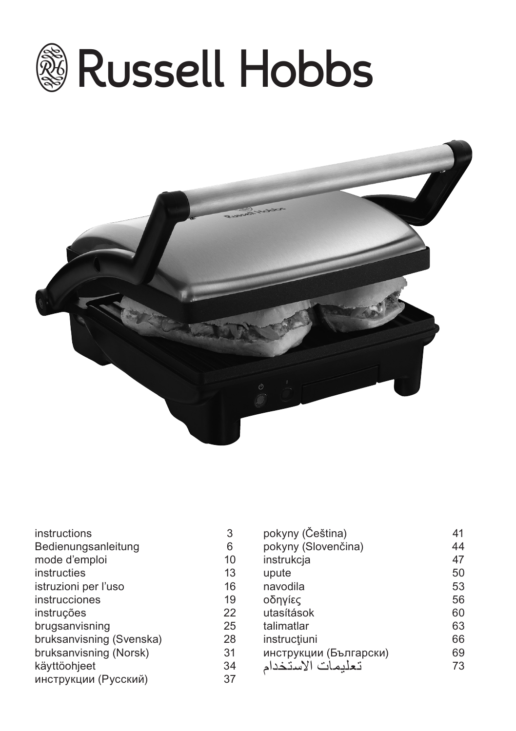



| instructions             | 3  | pokyny (Čeština)       | 41 |
|--------------------------|----|------------------------|----|
| Bedienungsanleitung      | 6  | pokyny (Slovenčina)    | 44 |
| mode d'emploi            | 10 | instrukcja             | 47 |
| instructies              | 13 | upute                  | 50 |
| istruzioni per l'uso     | 16 | navodila               | 53 |
| <i>instrucciones</i>     | 19 | οδηγίες                | 56 |
| instruções               | 22 | utasítások             | 60 |
| brugsanvisning           | 25 | talimatlar             | 63 |
| bruksanvisning (Svenska) | 28 | instrucțiuni           | 66 |
| bruksanvisning (Norsk)   | 31 | инструкции (Български) | 69 |
| käyttöohjeet             | 34 | تعلبمات الاستخدام      | 73 |
| инструкции (Русский)     | 37 |                        |    |
|                          |    |                        |    |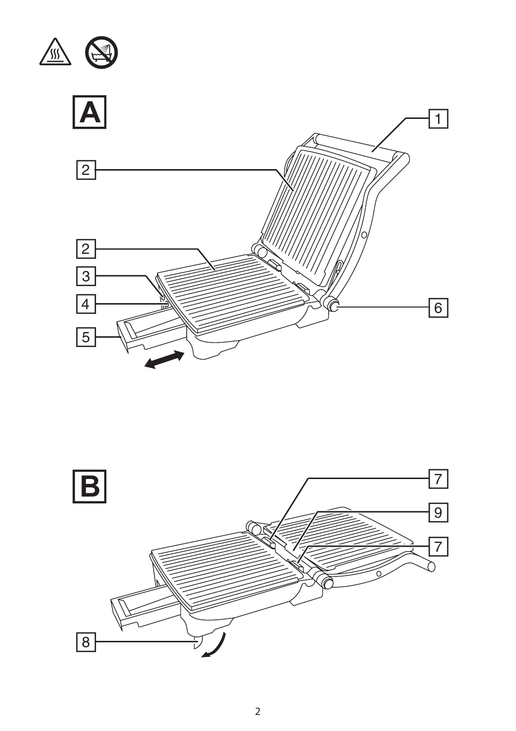

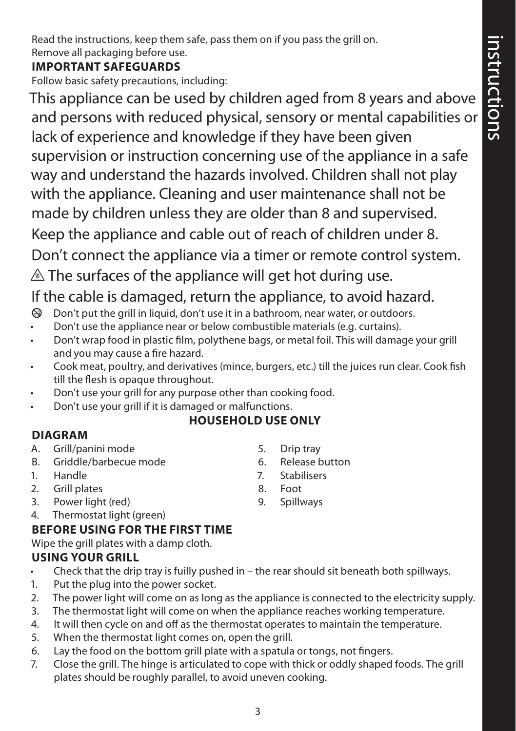Read the instructions, keep them safe, pass them on if you pass the grill on. Remove all packaging before use.

### **IMPORTANT SAFEGUARDS**

Follow basic safety precautions, including:

This appliance can be used by children aged from 8 years and above and persons with reduced physical, sensory or mental capabilities or lack of experience and knowledge if they have been given supervision or instruction concerning use of the appliance in a safe way and understand the hazards involved. Children shall not play with the appliance. Cleaning and user maintenance shall not be made by children unless they are older than 8 and supervised. Keep the appliance and cable out of reach of children under 8. Don't connect the appliance via a timer or remote control system.

 $\triangle$  The surfaces of the appliance will get hot during use.

# If the cable is damaged, return the appliance, to avoid hazard.

- $\circledast$  Don't put the grill in liquid, don't use it in a bathroom, near water, or outdoors.
- Don't use the appliance near or below combustible materials (e.g. curtains).
- Don't wrap food in plastic film, polythene bags, or metal foil. This will damage your grill and you may cause a fire hazard.
- Cook meat, poultry, and derivatives (mince, burgers, etc.) till the juices run clear. Cook fish till the flesh is opaque throughout.
- Don't use your grill for any purpose other than cooking food.
- Don't use your grill if it is damaged or malfunctions.

## **HOUSEHOLD USE ONLY**

## **DIAGRAM**

- A. Grill/panini mode
- B. Griddle/barbecue mode
- 1. Handle
- 2. Grill plates
- 3. Power light (red)
- 4. Thermostat light (green)

## **BEFORE USING FOR THE FIRST TIME**

Wipe the grill plates with a damp cloth.

## **USING YOUR GRILL**

- Check that the drip tray is fuilly pushed in the rear should sit beneath both spillways.
- 1. Put the plug into the power socket.
- 2. The power light will come on as long as the appliance is connected to the electricity supply.
- 3. The thermostat light will come on when the appliance reaches working temperature.
- 4. It will then cycle on and off as the thermostat operates to maintain the temperature.
- 5. When the thermostat light comes on, open the grill.
- 6. Lay the food on the bottom grill plate with a spatula or tongs, not fingers.
- 7. Close the grill. The hinge is articulated to cope with thick or oddly shaped foods. The grill plates should be roughly parallel, to avoid uneven cooking.
- 5. Drip tray
- 6. Release button
- 7. Stabilisers
- 8. Foot
- 9. Spillways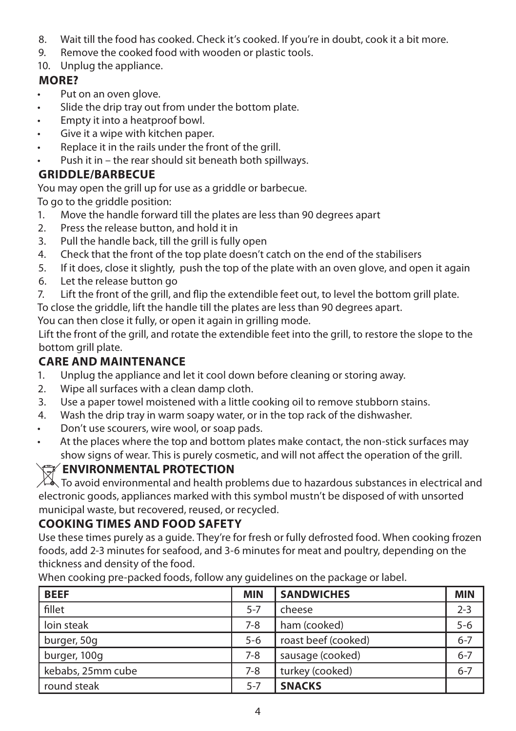- 8. Wait till the food has cooked. Check it's cooked. If you're in doubt, cook it a bit more.
- 9. Remove the cooked food with wooden or plastic tools.
- 10. Unplug the appliance.

## **MORE?**

- Put on an oven glove.
- Slide the drip tray out from under the bottom plate.
- Empty it into a heatproof bowl.
- Give it a wipe with kitchen paper.
- Replace it in the rails under the front of the grill.
- Push it in the rear should sit beneath both spillways.

## **GRIDDLE/BARBECUE**

You may open the grill up for use as a griddle or barbecue.

To go to the griddle position:

- 1. Move the handle forward till the plates are less than 90 degrees apart
- 2. Press the release button, and hold it in
- 3. Pull the handle back, till the grill is fully open
- 4. Check that the front of the top plate doesn't catch on the end of the stabilisers
- 5. If it does, close it slightly, push the top of the plate with an oven glove, and open it again
- 6. Let the release button go
- 7. Lift the front of the grill, and flip the extendible feet out, to level the bottom grill plate.

To close the griddle, lift the handle till the plates are less than 90 degrees apart.

You can then close it fully, or open it again in grilling mode.

Lift the front of the grill, and rotate the extendible feet into the grill, to restore the slope to the bottom grill plate.

## **CARE AND MAINTENANCE**

- 1. Unplug the appliance and let it cool down before cleaning or storing away.
- 2. Wipe all surfaces with a clean damp cloth.
- 3. Use a paper towel moistened with a little cooking oil to remove stubborn stains.
- 4. Wash the drip tray in warm soapy water, or in the top rack of the dishwasher.
- Don't use scourers, wire wool, or soap pads.
- At the places where the top and bottom plates make contact, the non-stick surfaces may show signs of wear. This is purely cosmetic, and will not affect the operation of the grill.

## W**ENVIRONMENTAL PROTECTION**

 $\!\!\!\nearrow\!\!\!\nearrow$  To avoid environmental and health problems due to hazardous substances in electrical and electronic goods, appliances marked with this symbol mustn't be disposed of with unsorted municipal waste, but recovered, reused, or recycled.

## **COOKING TIMES AND FOOD SAFETY**

Use these times purely as a guide. They're for fresh or fully defrosted food. When cooking frozen foods, add 2-3 minutes for seafood, and 3-6 minutes for meat and poultry, depending on the thickness and density of the food.

When cooking pre-packed foods, follow any guidelines on the package or label.

| <b>BEEF</b>       | <b>MIN</b> | <b>SANDWICHES</b>   | <b>MIN</b> |
|-------------------|------------|---------------------|------------|
| fillet            | $5 - 7$    | cheese              | $2 - 3$    |
| loin steak        | $7 - 8$    | ham (cooked)        | $5 - 6$    |
| burger, 50g       | $5 - 6$    | roast beef (cooked) | $6 - 7$    |
| burger, 100g      | $7 - 8$    | sausage (cooked)    | $6 - 7$    |
| kebabs, 25mm cube | 7-8        | turkey (cooked)     | $6 - 7$    |
| round steak       | $5 - 7$    | <b>SNACKS</b>       |            |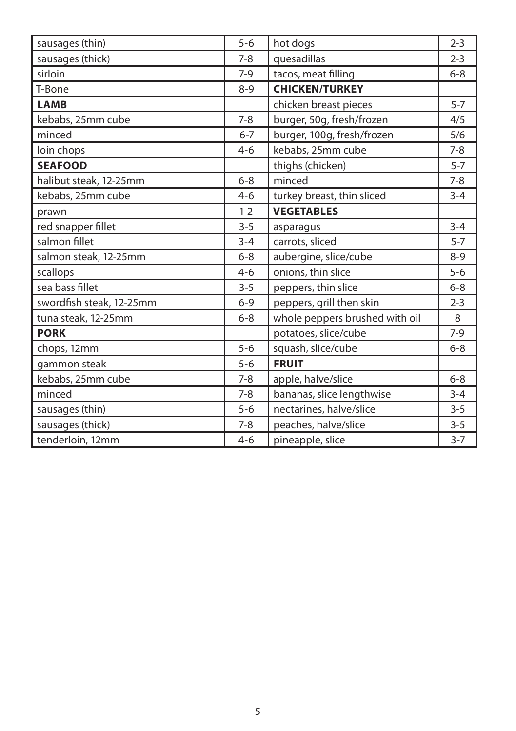|                          | $5 - 6$ |                                | $2 - 3$ |
|--------------------------|---------|--------------------------------|---------|
| sausages (thin)          |         | hot dogs                       |         |
| sausages (thick)         | $7-8$   | quesadillas                    | $2 - 3$ |
| sirloin                  | $7-9$   | tacos, meat filling            | $6 - 8$ |
| T-Bone                   | $8 - 9$ | <b>CHICKEN/TURKEY</b>          |         |
| <b>LAMB</b>              |         | chicken breast pieces          | $5 - 7$ |
| kebabs, 25mm cube        | $7 - 8$ | burger, 50g, fresh/frozen      | 4/5     |
| minced                   | $6 - 7$ | burger, 100g, fresh/frozen     | 5/6     |
| loin chops               | $4 - 6$ | kebabs, 25mm cube              | $7 - 8$ |
| <b>SEAFOOD</b>           |         | thighs (chicken)               | $5 - 7$ |
| halibut steak, 12-25mm   | $6 - 8$ | minced                         | $7 - 8$ |
| kebabs, 25mm cube        | $4 - 6$ | turkey breast, thin sliced     | $3 - 4$ |
| prawn                    | $1 - 2$ | <b>VEGETABLES</b>              |         |
| red snapper fillet       | $3 - 5$ | asparagus                      | $3 - 4$ |
| salmon fillet            | $3 - 4$ | carrots, sliced                | $5 - 7$ |
| salmon steak, 12-25mm    | $6 - 8$ | aubergine, slice/cube          | $8 - 9$ |
| scallops                 | $4 - 6$ | onions, thin slice             | $5-6$   |
| sea bass fillet          | $3 - 5$ | peppers, thin slice            | $6 - 8$ |
| swordfish steak, 12-25mm | $6 - 9$ | peppers, grill then skin       | $2 - 3$ |
| tuna steak, 12-25mm      | $6 - 8$ | whole peppers brushed with oil | 8       |
| <b>PORK</b>              |         | potatoes, slice/cube           | $7-9$   |
| chops, 12mm              | $5-6$   | squash, slice/cube             | $6 - 8$ |
| gammon steak             | $5 - 6$ | <b>FRUIT</b>                   |         |
| kebabs, 25mm cube        | $7 - 8$ | apple, halve/slice             | $6 - 8$ |
| minced                   | $7 - 8$ | bananas, slice lengthwise      | $3 - 4$ |
| sausages (thin)          | $5-6$   | nectarines, halve/slice        | $3 - 5$ |
| sausages (thick)         | $7 - 8$ | peaches, halve/slice           | $3 - 5$ |
| tenderloin, 12mm         | $4 - 6$ | pineapple, slice               | $3 - 7$ |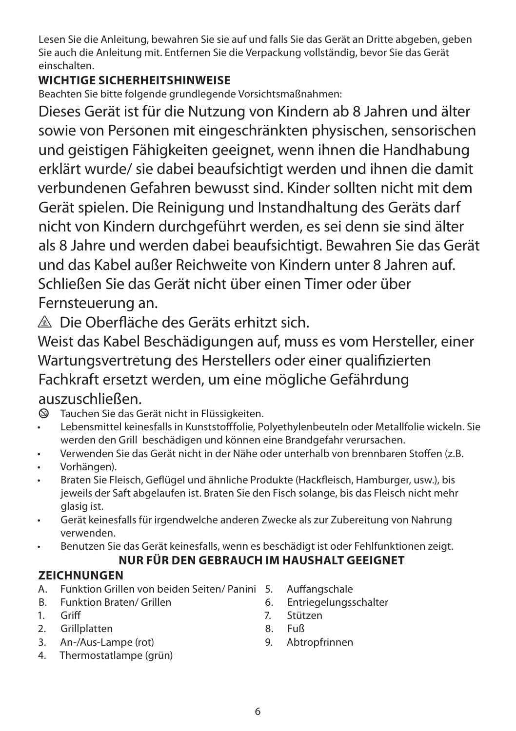Lesen Sie die Anleitung, bewahren Sie sie auf und falls Sie das Gerät an Dritte abgeben, geben Sie auch die Anleitung mit. Entfernen Sie die Verpackung vollständig, bevor Sie das Gerät einschalten.

## **WICHTIGE SICHERHEITSHINWEISE**

Beachten Sie bitte folgende grundlegende Vorsichtsmaßnahmen:

Dieses Gerät ist für die Nutzung von Kindern ab 8 Jahren und älter sowie von Personen mit eingeschränkten physischen, sensorischen und geistigen Fähigkeiten geeignet, wenn ihnen die Handhabung erklärt wurde/ sie dabei beaufsichtigt werden und ihnen die damit verbundenen Gefahren bewusst sind. Kinder sollten nicht mit dem Gerät spielen. Die Reinigung und Instandhaltung des Geräts darf nicht von Kindern durchgeführt werden, es sei denn sie sind älter als 8 Jahre und werden dabei beaufsichtigt. Bewahren Sie das Gerät und das Kabel außer Reichweite von Kindern unter 8 Jahren auf. Schließen Sie das Gerät nicht über einen Timer oder über Fernsteuerung an.

 $\triangle$  Die Oberfläche des Geräts erhitzt sich.

Weist das Kabel Beschädigungen auf, muss es vom Hersteller, einer Wartungsvertretung des Herstellers oder einer qualifizierten Fachkraft ersetzt werden, um eine mögliche Gefährdung auszuschließen.

- $\otimes$  Tauchen Sie das Gerät nicht in Flüssigkeiten.
- Lebensmittel keinesfalls in Kunststofffolie, Polyethylenbeuteln oder Metallfolie wickeln. Sie werden den Grill beschädigen und können eine Brandgefahr verursachen.
- Verwenden Sie das Gerät nicht in der Nähe oder unterhalb von brennbaren Stoffen (z.B.
- Vorhängen).
- Braten Sie Fleisch, Geflügel und ähnliche Produkte (Hackfleisch, Hamburger, usw.), bis jeweils der Saft abgelaufen ist. Braten Sie den Fisch solange, bis das Fleisch nicht mehr glasig ist.
- Gerät keinesfalls für irgendwelche anderen Zwecke als zur Zubereitung von Nahrung verwenden.
- Benutzen Sie das Gerät keinesfalls, wenn es beschädigt ist oder Fehlfunktionen zeigt.

## **NUR FÜR DEN GEBRAUCH IM HAUSHALT GEEIGNET**

## **ZEICHNUNGEN**

- A. Funktion Grillen von beiden Seiten/ Panini
- B. Funktion Braten/ Grillen
- 1. Griff
- 2. Grillplatten
- 3. An-/Aus-Lampe (rot)
- 4. Thermostatlampe (grün)
- 5. Auffangschale
- 6. Entriegelungsschalter
- 7. Stützen
- 8. Fuß
- 9. Abtropfrinnen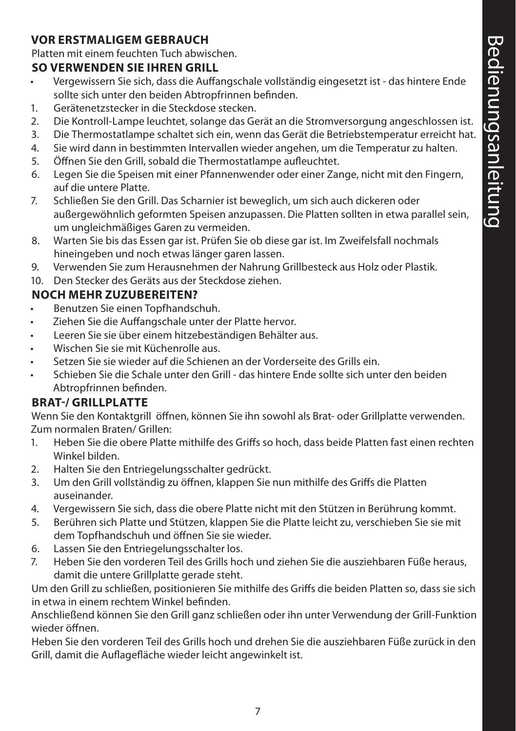#### **VOR ERSTMALIGEM GEBRAUCH**

Platten mit einem feuchten Tuch abwischen.

#### **SO VERWENDEN SIE IHREN GRILL**

- Vergewissern Sie sich, dass die Auffangschale vollständig eingesetzt ist das hintere Ende sollte sich unter den beiden Abtropfrinnen befinden.
- 1. Gerätenetzstecker in die Steckdose stecken.
- 2. Die Kontroll-Lampe leuchtet, solange das Gerät an die Stromversorgung angeschlossen ist.
- 3. Die Thermostatlampe schaltet sich ein, wenn das Gerät die Betriebstemperatur erreicht hat.
- 4. Sie wird dann in bestimmten Intervallen wieder angehen, um die Temperatur zu halten.
- 5. Öffnen Sie den Grill, sobald die Thermostatlampe aufleuchtet.
- 6. Legen Sie die Speisen mit einer Pfannenwender oder einer Zange, nicht mit den Fingern, auf die untere Platte.
- 7. Schließen Sie den Grill. Das Scharnier ist beweglich, um sich auch dickeren oder außergewöhnlich geformten Speisen anzupassen. Die Platten sollten in etwa parallel sein, um ungleichmäßiges Garen zu vermeiden.
- 8. Warten Sie bis das Essen gar ist. Prüfen Sie ob diese gar ist. Im Zweifelsfall nochmals hineingeben und noch etwas länger garen lassen.
- 9. Verwenden Sie zum Herausnehmen der Nahrung Grillbesteck aus Holz oder Plastik.
- 10. Den Stecker des Geräts aus der Steckdose ziehen.

#### **NOCH MEHR ZUZUBEREITEN?**

- Benutzen Sie einen Topfhandschuh.
- Ziehen Sie die Auffangschale unter der Platte hervor.
- Leeren Sie sie über einem hitzebeständigen Behälter aus.
- Wischen Sie sie mit Küchenrolle aus.
- Setzen Sie sie wieder auf die Schienen an der Vorderseite des Grills ein.
- Schieben Sie die Schale unter den Grill das hintere Ende sollte sich unter den beiden Abtropfrinnen befinden.

#### **BRAT-/ GRILLPLATTE**

Wenn Sie den Kontaktgrill öffnen, können Sie ihn sowohl als Brat- oder Grillplatte verwenden. Zum normalen Braten/ Grillen:

- 1. Heben Sie die obere Platte mithilfe des Griffs so hoch, dass beide Platten fast einen rechten Winkel bilden.
- 2. Halten Sie den Entriegelungsschalter gedrückt.
- 3. Um den Grill vollständig zu öffnen, klappen Sie nun mithilfe des Griffs die Platten auseinander.
- 4. Vergewissern Sie sich, dass die obere Platte nicht mit den Stützen in Berührung kommt.
- 5. Berühren sich Platte und Stützen, klappen Sie die Platte leicht zu, verschieben Sie sie mit dem Topfhandschuh und öffnen Sie sie wieder.
- 6. Lassen Sie den Entriegelungsschalter los.
- 7. Heben Sie den vorderen Teil des Grills hoch und ziehen Sie die ausziehbaren Füße heraus, damit die untere Grillplatte gerade steht.

Um den Grill zu schließen, positionieren Sie mithilfe des Griffs die beiden Platten so, dass sie sich in etwa in einem rechtem Winkel befinden.

Anschließend können Sie den Grill ganz schließen oder ihn unter Verwendung der Grill-Funktion wieder öffnen.

Heben Sie den vorderen Teil des Grills hoch und drehen Sie die ausziehbaren Füße zurück in den Grill, damit die Auflagefläche wieder leicht angewinkelt ist.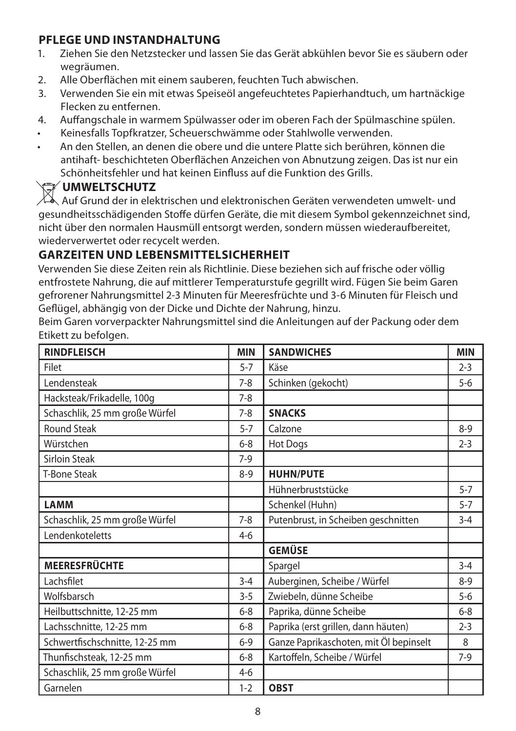#### **PFLEGE UND INSTANDHALTUNG**

- 1. Ziehen Sie den Netzstecker und lassen Sie das Gerät abkühlen bevor Sie es säubern oder wegräumen.
- 2. Alle Oberflächen mit einem sauberen, feuchten Tuch abwischen.
- 3. Verwenden Sie ein mit etwas Speiseöl angefeuchtetes Papierhandtuch, um hartnäckige Flecken zu entfernen.
- 4. Auffangschale in warmem Spülwasser oder im oberen Fach der Spülmaschine spülen.
- Keinesfalls Topfkratzer, Scheuerschwämme oder Stahlwolle verwenden.
- An den Stellen, an denen die obere und die untere Platte sich berühren, können die antihaft- beschichteten Oberflächen Anzeichen von Abnutzung zeigen. Das ist nur ein Schönheitsfehler und hat keinen Einfluss auf die Funktion des Grills.

### W**UMWELTSCHUTZ**

 $\mathbb Z$  Auf Grund der in elektrischen und elektronischen Geräten verwendeten umwelt- und gesundheitsschädigenden Stoffe dürfen Geräte, die mit diesem Symbol gekennzeichnet sind, nicht über den normalen Hausmüll entsorgt werden, sondern müssen wiederaufbereitet, wiederverwertet oder recycelt werden.

#### **GARZEITEN UND LEBENSMITTELSICHERHEIT**

Verwenden Sie diese Zeiten rein als Richtlinie. Diese beziehen sich auf frische oder völlig entfrostete Nahrung, die auf mittlerer Temperaturstufe gegrillt wird. Fügen Sie beim Garen gefrorener Nahrungsmittel 2-3 Minuten für Meeresfrüchte und 3-6 Minuten für Fleisch und Geflügel, abhängig von der Dicke und Dichte der Nahrung, hinzu.

Beim Garen vorverpackter Nahrungsmittel sind die Anleitungen auf der Packung oder dem Etikett zu befolgen.

| <b>RINDFLEISCH</b>             | <b>MIN</b> | <b>SANDWICHES</b>                      | <b>MIN</b> |
|--------------------------------|------------|----------------------------------------|------------|
| Filet                          | $5 - 7$    | Käse                                   | $2 - 3$    |
| Lendensteak                    | $7-8$      | Schinken (gekocht)                     | $5-6$      |
| Hacksteak/Frikadelle, 100g     | $7-8$      |                                        |            |
| Schaschlik, 25 mm große Würfel | $7-8$      | <b>SNACKS</b>                          |            |
| <b>Round Steak</b>             | $5 - 7$    | Calzone                                | $8-9$      |
| Würstchen                      | $6 - 8$    | Hot Dogs                               | $2 - 3$    |
| <b>Sirloin Steak</b>           | $7-9$      |                                        |            |
| <b>T-Bone Steak</b>            | $8 - 9$    | <b>HUHN/PUTE</b>                       |            |
|                                |            | Hühnerbruststücke                      | $5 - 7$    |
| <b>LAMM</b>                    |            | Schenkel (Huhn)                        | $5 - 7$    |
| Schaschlik, 25 mm große Würfel | $7 - 8$    | Putenbrust, in Scheiben geschnitten    | $3 - 4$    |
| Lendenkoteletts                | $4-6$      |                                        |            |
|                                |            | <b>GEMÜSE</b>                          |            |
| <b>MEERESFRÜCHTE</b>           |            | Spargel                                | $3 - 4$    |
| Lachsfilet                     | $3 - 4$    | Auberginen, Scheibe / Würfel           | $8-9$      |
| Wolfsbarsch                    | $3 - 5$    | Zwiebeln, dünne Scheibe                | $5 - 6$    |
| Heilbuttschnitte, 12-25 mm     | $6-8$      | Paprika, dünne Scheibe                 | $6 - 8$    |
| Lachsschnitte, 12-25 mm        | $6 - 8$    | Paprika (erst grillen, dann häuten)    | $2 - 3$    |
| Schwertfischschnitte, 12-25 mm | $6-9$      | Ganze Paprikaschoten, mit Öl bepinselt | 8          |
| Thunfischsteak, 12-25 mm       | $6 - 8$    | Kartoffeln, Scheibe / Würfel           | $7-9$      |
| Schaschlik, 25 mm große Würfel | $4-6$      |                                        |            |
| Garnelen                       | $1 - 2$    | <b>OBST</b>                            |            |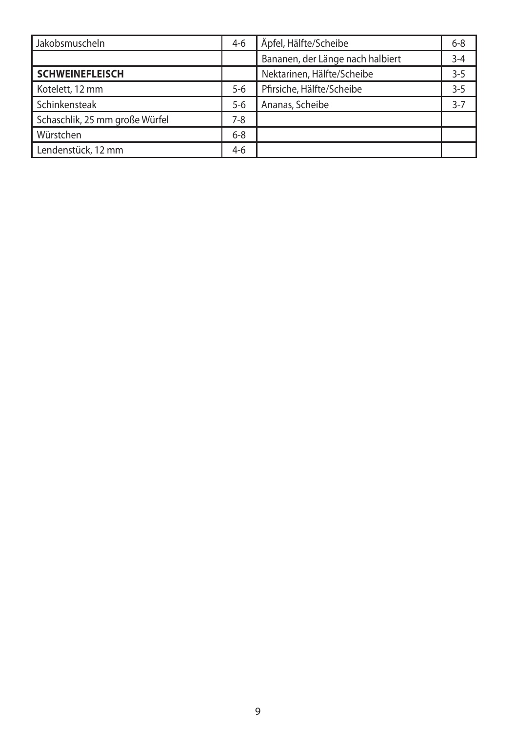| Jakobsmuscheln                 | $4-6$   | Äpfel, Hälfte/Scheibe            | $6 - 8$ |
|--------------------------------|---------|----------------------------------|---------|
|                                |         | Bananen, der Länge nach halbiert | $3 - 4$ |
| <b>SCHWEINEFLEISCH</b>         |         | Nektarinen, Hälfte/Scheibe       | $3 - 5$ |
| Kotelett, 12 mm                | $5 - 6$ | Pfirsiche, Hälfte/Scheibe        | $3 - 5$ |
| Schinkensteak                  | $5 - 6$ | Ananas, Scheibe                  | $3 - 7$ |
| Schaschlik, 25 mm große Würfel | $7 - 8$ |                                  |         |
| Würstchen                      | $6 - 8$ |                                  |         |
| Lendenstück, 12 mm             | $4-6$   |                                  |         |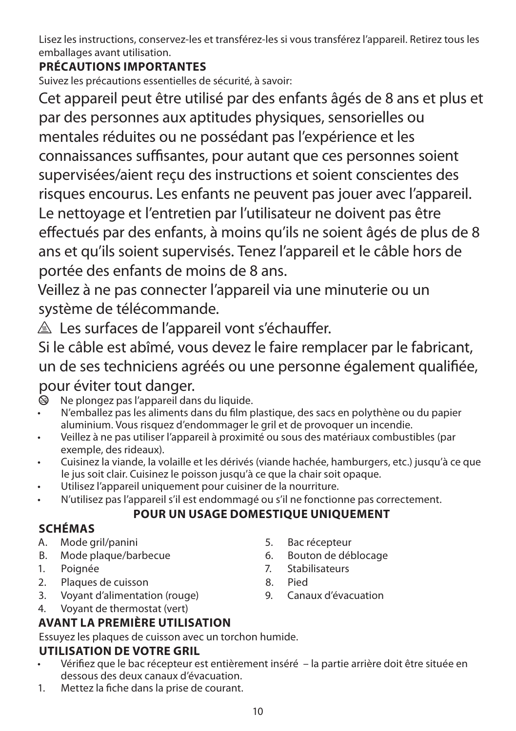Lisez les instructions, conservez-les et transférez-les si vous transférez l'appareil. Retirez tous les emballages avant utilisation.

## **PRÉCAUTIONS IMPORTANTES**

Suivez les précautions essentielles de sécurité, à savoir:

Cet appareil peut être utilisé par des enfants âgés de 8 ans et plus et par des personnes aux aptitudes physiques, sensorielles ou mentales réduites ou ne possédant pas l'expérience et les connaissances suffisantes, pour autant que ces personnes soient supervisées/aient reçu des instructions et soient conscientes des risques encourus. Les enfants ne peuvent pas jouer avec l'appareil. Le nettoyage et l'entretien par l'utilisateur ne doivent pas être effectués par des enfants, à moins qu'ils ne soient âgés de plus de 8 ans et qu'ils soient supervisés. Tenez l'appareil et le câble hors de portée des enfants de moins de 8 ans.

Veillez à ne pas connecter l'appareil via une minuterie ou un système de télécommande.

 $\triangle$  Les surfaces de l'appareil vont s'échauffer.

Si le câble est abîmé, vous devez le faire remplacer par le fabricant, un de ses techniciens agréés ou une personne également qualifiée,

# pour éviter tout danger.

- b Ne plongez pas l'appareil dans du liquide.
- N'emballez pas les aliments dans du film plastique, des sacs en polythène ou du papier aluminium. Vous risquez d'endommager le gril et de provoquer un incendie.
- Veillez à ne pas utiliser l'appareil à proximité ou sous des matériaux combustibles (par exemple, des rideaux).
- Cuisinez la viande, la volaille et les dérivés (viande hachée, hamburgers, etc.) jusqu'à ce que le jus soit clair. Cuisinez le poisson jusqu'à ce que la chair soit opaque.
- Utilisez l'appareil uniquement pour cuisiner de la nourriture.
	- N'utilisez pas l'appareil s'il est endommagé ou s'il ne fonctionne pas correctement.

## **POUR UN USAGE DOMESTIQUE UNIQUEMENT**

## **SCHÉMAS**

- A. Mode gril/panini
- B. Mode plaque/barbecue
- 1. Poignée
- 2. Plaques de cuisson
- 3. Voyant d'alimentation (rouge)
- 4. Voyant de thermostat (vert)

## **AVANT LA PREMIÈRE UTILISATION**

Essuyez les plaques de cuisson avec un torchon humide.

## **UTILISATION DE VOTRE GRIL**

- Vérifiez que le bac récepteur est entièrement inséré la partie arrière doit être située en dessous des deux canaux d'évacuation.
- 1. Mettez la fiche dans la prise de courant.

8. Pied 9. Canaux d'évacuation

5. Bac récepteur 6. Bouton de déblocage 7. Stabilisateurs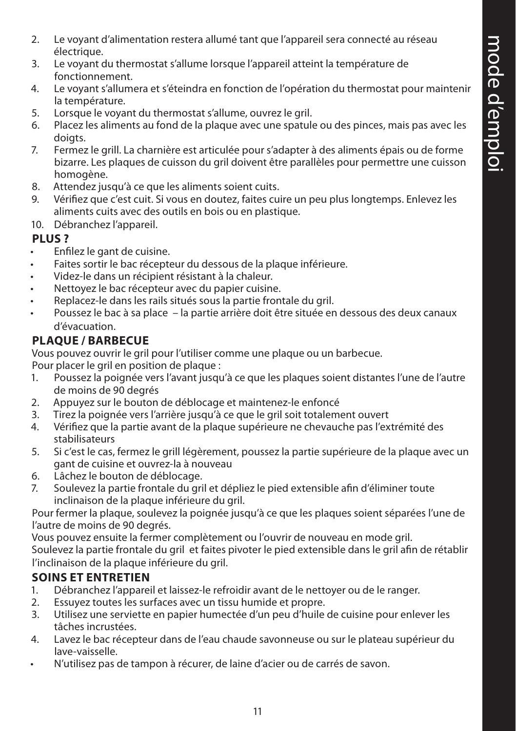- 2. Le voyant d'alimentation restera allumé tant que l'appareil sera connecté au réseau électrique.
- 3. Le voyant du thermostat s'allume lorsque l'appareil atteint la température de fonctionnement.
- 4. Le voyant s'allumera et s'éteindra en fonction de l'opération du thermostat pour maintenir la température.
- 5. Lorsque le voyant du thermostat s'allume, ouvrez le gril.
- 6. Placez les aliments au fond de la plaque avec une spatule ou des pinces, mais pas avec les doigts.
- 7. Fermez le grill. La charnière est articulée pour s'adapter à des aliments épais ou de forme bizarre. Les plaques de cuisson du gril doivent être parallèles pour permettre une cuisson homogène.
- 8. Attendez jusqu'à ce que les aliments soient cuits.<br>9. Vérifiez que c'est cuit. Si vous en doutez, faites cui
- 9. Vérifiez que c'est cuit. Si vous en doutez, faites cuire un peu plus longtemps. Enlevez les aliments cuits avec des outils en bois ou en plastique.
- 10. Débranchez l'appareil.

#### **PLUS ?**

- Enfilez le gant de cuisine.
- Faites sortir le bac récepteur du dessous de la plaque inférieure.
- Videz-le dans un récipient résistant à la chaleur.
- Nettoyez le bac récepteur avec du papier cuisine.
- Replacez-le dans les rails situés sous la partie frontale du gril.
- Poussez le bac à sa place la partie arrière doit être située en dessous des deux canaux d'évacuation.

## **PLAQUE / BARBECUE**

Vous pouvez ouvrir le gril pour l'utiliser comme une plaque ou un barbecue.

Pour placer le gril en position de plaque :

- 1. Poussez la poignée vers l'avant jusqu'à ce que les plaques soient distantes l'une de l'autre de moins de 90 degrés
- 2. Appuyez sur le bouton de déblocage et maintenez-le enfoncé<br>3. Tirez la poignée vers l'arrière jusqu'à ce que le gril soit totaleme
- 3. Tirez la poignée vers l'arrière jusqu'à ce que le gril soit totalement ouvert
- 4. Vérifiez que la partie avant de la plaque supérieure ne chevauche pas l'extrémité des stabilisateurs
- 5. Si c'est le cas, fermez le grill légèrement, poussez la partie supérieure de la plaque avec un gant de cuisine et ouvrez-la à nouveau
- 6. Lâchez le bouton de déblocage.
- 7. Soulevez la partie frontale du gril et dépliez le pied extensible afin d'éliminer toute inclinaison de la plaque inférieure du gril.

Pour fermer la plaque, soulevez la poignée jusqu'à ce que les plaques soient séparées l'une de l'autre de moins de 90 degrés.

Vous pouvez ensuite la fermer complètement ou l'ouvrir de nouveau en mode gril. Soulevez la partie frontale du gril et faites pivoter le pied extensible dans le gril afin de rétablir l'inclinaison de la plaque inférieure du gril.

#### **SOINS ET ENTRETIEN**

- 1. Débranchez l'appareil et laissez-le refroidir avant de le nettoyer ou de le ranger.
- 2. Essuyez toutes les surfaces avec un tissu humide et propre.
- 3. Utilisez une serviette en papier humectée d'un peu d'huile de cuisine pour enlever les tâches incrustées.
- 4. Lavez le bac récepteur dans de l'eau chaude savonneuse ou sur le plateau supérieur du lave-vaisselle.
- N'utilisez pas de tampon à récurer, de laine d'acier ou de carrés de savon.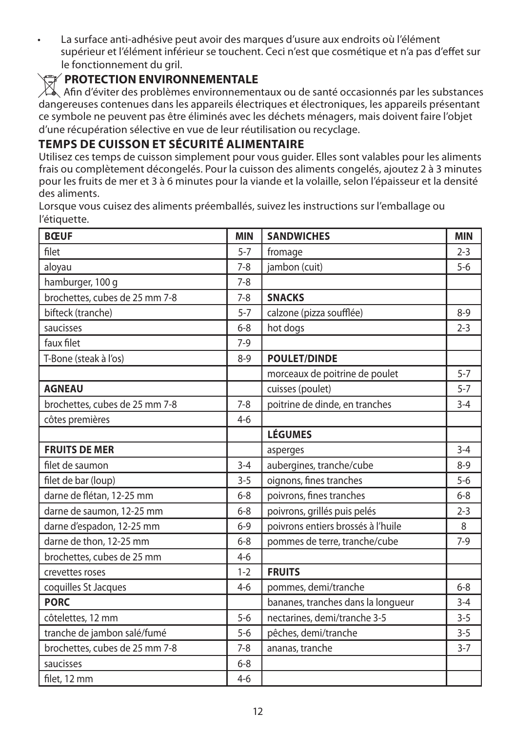• La surface anti-adhésive peut avoir des marques d'usure aux endroits où l'élément supérieur et l'élément inférieur se touchent. Ceci n'est que cosmétique et n'a pas d'effet sur le fonctionnement du gril.

#### W**PROTECTION ENVIRONNEMENTALE**

 $\boxtimes$  Afin d'éviter des problèmes environnementaux ou de santé occasionnés par les substances dangereuses contenues dans les appareils électriques et électroniques, les appareils présentant ce symbole ne peuvent pas être éliminés avec les déchets ménagers, mais doivent faire l'objet d'une récupération sélective en vue de leur réutilisation ou recyclage.

#### **TEMPS DE CUISSON ET SÉCURITÉ ALIMENTAIRE**

Utilisez ces temps de cuisson simplement pour vous guider. Elles sont valables pour les aliments frais ou complètement décongelés. Pour la cuisson des aliments congelés, ajoutez 2 à 3 minutes pour les fruits de mer et 3 à 6 minutes pour la viande et la volaille, selon l'épaisseur et la densité des aliments.

Lorsque vous cuisez des aliments préemballés, suivez les instructions sur l'emballage ou l'étiquette.

| <b>BŒUF</b>                    | <b>MIN</b> | <b>SANDWICHES</b>                  | <b>MIN</b> |
|--------------------------------|------------|------------------------------------|------------|
| filet                          | $5 - 7$    | fromage                            | $2 - 3$    |
| aloyau                         | $7 - 8$    | jambon (cuit)                      | $5-6$      |
| hamburger, 100 g               | $7 - 8$    |                                    |            |
| brochettes, cubes de 25 mm 7-8 | $7 - 8$    | <b>SNACKS</b>                      |            |
| bifteck (tranche)              | $5 - 7$    | calzone (pizza soufflée)           | $8-9$      |
| saucisses                      | $6 - 8$    | hot dogs                           | $2 - 3$    |
| faux filet                     | $7-9$      |                                    |            |
| T-Bone (steak à l'os)          | $8-9$      | <b>POULET/DINDE</b>                |            |
|                                |            | morceaux de poitrine de poulet     | $5 - 7$    |
| <b>AGNEAU</b>                  |            | cuisses (poulet)                   | $5 - 7$    |
| brochettes, cubes de 25 mm 7-8 | $7 - 8$    | poitrine de dinde, en tranches     | $3 - 4$    |
| côtes premières                | $4 - 6$    |                                    |            |
|                                |            | <b>LÉGUMES</b>                     |            |
| <b>FRUITS DE MER</b>           |            | asperges                           | $3 - 4$    |
| filet de saumon                | $3 - 4$    | aubergines, tranche/cube           | $8 - 9$    |
| filet de bar (loup)            | $3 - 5$    | oignons, fines tranches            | $5-6$      |
| darne de flétan, 12-25 mm      | $6 - 8$    | poivrons, fines tranches           | $6 - 8$    |
| darne de saumon, 12-25 mm      | $6 - 8$    | poivrons, grillés puis pelés       | $2 - 3$    |
| darne d'espadon, 12-25 mm      | $6 - 9$    | poivrons entiers brossés à l'huile | 8          |
| darne de thon, 12-25 mm        | $6 - 8$    | pommes de terre, tranche/cube      | $7-9$      |
| brochettes, cubes de 25 mm     | $4 - 6$    |                                    |            |
| crevettes roses                | $1 - 2$    | <b>FRUITS</b>                      |            |
| coquilles St Jacques           | $4 - 6$    | pommes, demi/tranche               | $6 - 8$    |
| <b>PORC</b>                    |            | bananes, tranches dans la longueur | $3 - 4$    |
| côtelettes, 12 mm              | $5 - 6$    | nectarines, demi/tranche 3-5       | $3 - 5$    |
| tranche de jambon salé/fumé    | $5 - 6$    | pêches, demi/tranche               | $3 - 5$    |
| brochettes, cubes de 25 mm 7-8 | $7 - 8$    | ananas, tranche                    | $3 - 7$    |
| saucisses                      | $6 - 8$    |                                    |            |
| filet, 12 mm                   | $4 - 6$    |                                    |            |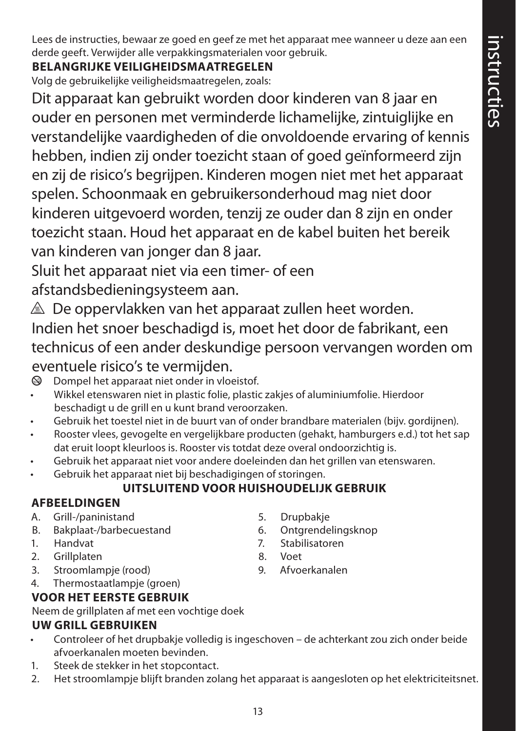Lees de instructies, bewaar ze goed en geef ze met het apparaat mee wanneer u deze aan een derde geeft. Verwijder alle verpakkingsmaterialen voor gebruik.

## **BELANGRIJKE VEILIGHEIDSMAATREGELEN**

Volg de gebruikelijke veiligheidsmaatregelen, zoals:

Dit apparaat kan gebruikt worden door kinderen van 8 jaar en ouder en personen met verminderde lichamelijke, zintuiglijke en verstandelijke vaardigheden of die onvoldoende ervaring of kennis hebben, indien zij onder toezicht staan of goed geïnformeerd zijn en zij de risico's begrijpen. Kinderen mogen niet met het apparaat spelen. Schoonmaak en gebruikersonderhoud mag niet door kinderen uitgevoerd worden, tenzij ze ouder dan 8 zijn en onder toezicht staan. Houd het apparaat en de kabel buiten het bereik van kinderen van jonger dan 8 jaar.

Sluit het apparaat niet via een timer- of een

afstandsbedieningsysteem aan.

 $\triangle$  De oppervlakken van het apparaat zullen heet worden.

Indien het snoer beschadigd is, moet het door de fabrikant, een technicus of een ander deskundige persoon vervangen worden om eventuele risico's te vermijden.

 $\circledA$  Dompel het apparaat niet onder in vloeistof.

- Wikkel etenswaren niet in plastic folie, plastic zakjes of aluminiumfolie. Hierdoor beschadigt u de grill en u kunt brand veroorzaken.
- Gebruik het toestel niet in de buurt van of onder brandbare materialen (bijv. gordijnen).
- Rooster vlees, gevogelte en vergelijkbare producten (gehakt, hamburgers e.d.) tot het sap dat eruit loopt kleurloos is. Rooster vis totdat deze overal ondoorzichtig is.
- Gebruik het apparaat niet voor andere doeleinden dan het grillen van etenswaren.
- Gebruik het apparaat niet bij beschadigingen of storingen.

## **UITSLUITEND VOOR HUISHOUDELIJK GEBRUIK**

#### **AFBEELDINGEN**

- A. Grill-/paninistand
- B. Bakplaat-/barbecuestand
- 1. Handvat
- 2. Grillplaten
- 3. Stroomlampje (rood)
- 4. Thermostaatlampje (groen)

## **VOOR HET EERSTE GEBRUIK**

Neem de grillplaten af met een vochtige doek

## **UW GRILL GEBRUIKEN**

- Controleer of het drupbakje volledig is ingeschoven de achterkant zou zich onder beide afvoerkanalen moeten bevinden.
- 1. Steek de stekker in het stopcontact.
- 2. Het stroomlampje blijft branden zolang het apparaat is aangesloten op het elektriciteitsnet.
- 5. Drupbakje
- 6. Ontgrendelingsknop
- 7. Stabilisatoren
- 8. Voet
- 9. Afvoerkanalen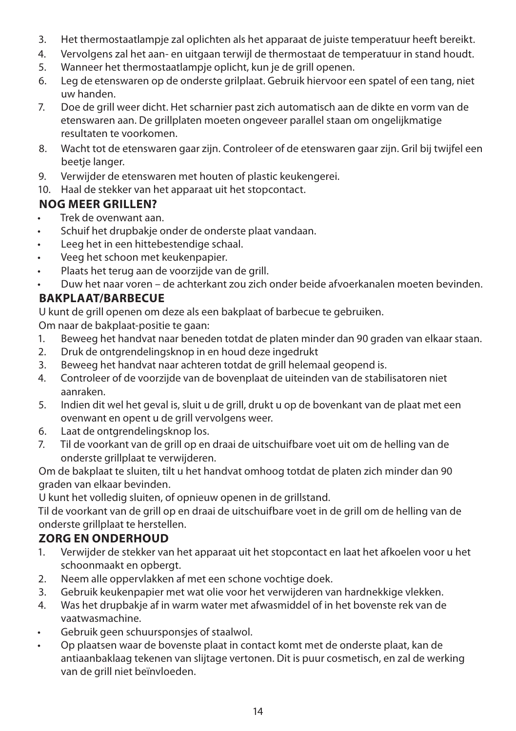- 3. Het thermostaatlampje zal oplichten als het apparaat de juiste temperatuur heeft bereikt.
- 4. Vervolgens zal het aan- en uitgaan terwijl de thermostaat de temperatuur in stand houdt.
- 5. Wanneer het thermostaatlampje oplicht, kun je de grill openen.
- 6. Leg de etenswaren op de onderste grilplaat. Gebruik hiervoor een spatel of een tang, niet uw handen.
- 7. Doe de grill weer dicht. Het scharnier past zich automatisch aan de dikte en vorm van de etenswaren aan. De grillplaten moeten ongeveer parallel staan om ongelijkmatige resultaten te voorkomen.
- 8. Wacht tot de etenswaren gaar zijn. Controleer of de etenswaren gaar zijn. Gril bij twijfel een beetje langer.
- 9. Verwijder de etenswaren met houten of plastic keukengerei.
- 10. Haal de stekker van het apparaat uit het stopcontact.

#### **NOG MEER GRILLEN?**

- Trek de ovenwant aan.
- Schuif het drupbakje onder de onderste plaat vandaan.
- Leeg het in een hittebestendige schaal.
- Veeg het schoon met keukenpapier.
- Plaats het terug aan de voorzijde van de grill.
- Duw het naar voren de achterkant zou zich onder beide afvoerkanalen moeten bevinden.

### **BAKPLAAT/BARBECUE**

U kunt de grill openen om deze als een bakplaat of barbecue te gebruiken.

Om naar de bakplaat-positie te gaan:

- 1. Beweeg het handvat naar beneden totdat de platen minder dan 90 graden van elkaar staan.
- 2. Druk de ontgrendelingsknop in en houd deze ingedrukt
- 3. Beweeg het handvat naar achteren totdat de grill helemaal geopend is.
- 4. Controleer of de voorzijde van de bovenplaat de uiteinden van de stabilisatoren niet aanraken.
- 5. Indien dit wel het geval is, sluit u de grill, drukt u op de bovenkant van de plaat met een ovenwant en opent u de grill vervolgens weer.
- 6. Laat de ontgrendelingsknop los.
- 7. Til de voorkant van de grill op en draai de uitschuifbare voet uit om de helling van de onderste grillplaat te verwijderen.

Om de bakplaat te sluiten, tilt u het handvat omhoog totdat de platen zich minder dan 90 graden van elkaar bevinden.

U kunt het volledig sluiten, of opnieuw openen in de grillstand.

Til de voorkant van de grill op en draai de uitschuifbare voet in de grill om de helling van de onderste grillplaat te herstellen.

## **ZORG EN ONDERHOUD**

- 1. Verwijder de stekker van het apparaat uit het stopcontact en laat het afkoelen voor u het schoonmaakt en opbergt.
- 2. Neem alle oppervlakken af met een schone vochtige doek.
- 3. Gebruik keukenpapier met wat olie voor het verwijderen van hardnekkige vlekken.
- 4. Was het drupbakje af in warm water met afwasmiddel of in het bovenste rek van de vaatwasmachine.
- Gebruik geen schuursponsjes of staalwol.
- Op plaatsen waar de bovenste plaat in contact komt met de onderste plaat, kan de antiaanbaklaag tekenen van slijtage vertonen. Dit is puur cosmetisch, en zal de werking van de grill niet beïnvloeden.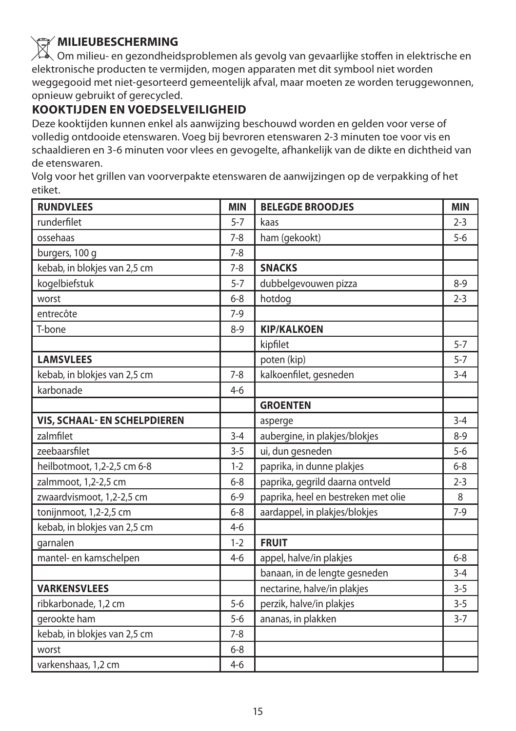## W**MILIEUBESCHERMING**

Om milieu- en gezondheidsproblemen als gevolg van gevaarlijke stoffen in elektrische en elektronische producten te vermijden, mogen apparaten met dit symbool niet worden weggegooid met niet-gesorteerd gemeentelijk afval, maar moeten ze worden teruggewonnen, opnieuw gebruikt of gerecycled.

#### **KOOKTIJDEN EN VOEDSELVEILIGHEID**

Deze kooktijden kunnen enkel als aanwijzing beschouwd worden en gelden voor verse of volledig ontdooide etenswaren. Voeg bij bevroren etenswaren 2-3 minuten toe voor vis en schaaldieren en 3-6 minuten voor vlees en gevogelte, afhankelijk van de dikte en dichtheid van de etenswaren.

Volg voor het grillen van voorverpakte etenswaren de aanwijzingen op de verpakking of het etiket.

| <b>RUNDVLEES</b>             | <b>MIN</b> | <b>BELEGDE BROODJES</b>             | <b>MIN</b> |
|------------------------------|------------|-------------------------------------|------------|
| runderfilet                  | $5 - 7$    | kaas                                | $2 - 3$    |
| ossehaas                     | $7 - 8$    | ham (gekookt)                       | $5 - 6$    |
| burgers, 100 g               | $7 - 8$    |                                     |            |
| kebab, in blokjes van 2,5 cm | $7 - 8$    | <b>SNACKS</b>                       |            |
| kogelbiefstuk                | $5 - 7$    | dubbelgevouwen pizza                | $8 - 9$    |
| worst                        | $6 - 8$    | hotdog                              | $2 - 3$    |
| entrecôte                    | $7-9$      |                                     |            |
| T-bone                       | $8 - 9$    | <b>KIP/KALKOEN</b>                  |            |
|                              |            | kipfilet                            | $5 - 7$    |
| <b>LAMSVLEES</b>             |            | poten (kip)                         | $5 - 7$    |
| kebab, in blokjes van 2,5 cm | $7 - 8$    | kalkoenfilet, gesneden              | $3 - 4$    |
| karbonade                    | $4-6$      |                                     |            |
|                              |            | <b>GROENTEN</b>                     |            |
| VIS, SCHAAL- EN SCHELPDIEREN |            | asperge                             | $3 - 4$    |
| zalmfilet                    | $3 - 4$    | aubergine, in plakjes/blokjes       | $8 - 9$    |
| zeebaarsfilet                | $3 - 5$    | ui, dun gesneden                    | $5 - 6$    |
| heilbotmoot, 1,2-2,5 cm 6-8  | $1 - 2$    | paprika, in dunne plakjes           | $6 - 8$    |
| zalmmoot, 1,2-2,5 cm         | $6 - 8$    | paprika, gegrild daarna ontveld     | $2 - 3$    |
| zwaardvismoot, 1,2-2,5 cm    | $6 - 9$    | paprika, heel en bestreken met olie | 8          |
| tonijnmoot, 1,2-2,5 cm       | $6 - 8$    | aardappel, in plakjes/blokjes       | $7-9$      |
| kebab, in blokjes van 2,5 cm | $4-6$      |                                     |            |
| garnalen                     | $1 - 2$    | <b>FRUIT</b>                        |            |
| mantel- en kamschelpen       | $4-6$      | appel, halve/in plakjes             | $6 - 8$    |
|                              |            | banaan, in de lengte gesneden       | $3 - 4$    |
| <b>VARKENSVLEES</b>          |            | nectarine, halve/in plakjes         | $3 - 5$    |
| ribkarbonade, 1,2 cm         | $5 - 6$    | perzik, halve/in plakjes            | $3 - 5$    |
| gerookte ham                 | $5 - 6$    | ananas, in plakken                  | $3 - 7$    |
| kebab, in blokjes van 2,5 cm | $7 - 8$    |                                     |            |
| worst                        | $6 - 8$    |                                     |            |
| varkenshaas, 1,2 cm          | $4 - 6$    |                                     |            |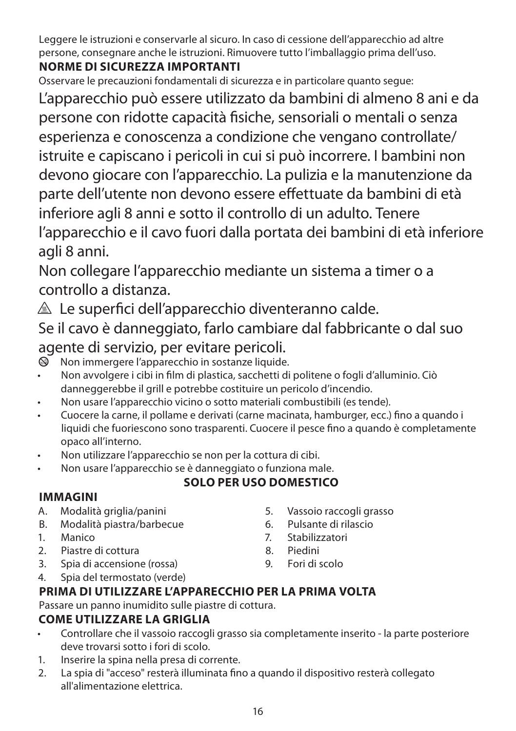Leggere le istruzioni e conservarle al sicuro. In caso di cessione dell'apparecchio ad altre persone, consegnare anche le istruzioni. Rimuovere tutto l'imballaggio prima dell'uso.

## **NORME DI SICUREZZA IMPORTANTI**

Osservare le precauzioni fondamentali di sicurezza e in particolare quanto segue:

L'apparecchio può essere utilizzato da bambini di almeno 8 ani e da persone con ridotte capacità fisiche, sensoriali o mentali o senza esperienza e conoscenza a condizione che vengano controllate/ istruite e capiscano i pericoli in cui si può incorrere. I bambini non devono giocare con l'apparecchio. La pulizia e la manutenzione da parte dell'utente non devono essere effettuate da bambini di età inferiore agli 8 anni e sotto il controllo di un adulto. Tenere l'apparecchio e il cavo fuori dalla portata dei bambini di età inferiore agli 8 anni.

Non collegare l'apparecchio mediante un sistema a timer o a controllo a distanza.

 $\triangle$  Le superfici dell'apparecchio diventeranno calde.

Se il cavo è danneggiato, farlo cambiare dal fabbricante o dal suo agente di servizio, per evitare pericoli.<br>
il Non immergere l'apparecchio in sostanze liquide

b Non immergere l'apparecchio in sostanze liquide.

- Non avvolgere i cibi in film di plastica, sacchetti di politene o fogli d'alluminio. Ciò danneggerebbe il grill e potrebbe costituire un pericolo d'incendio.
- Non usare l'apparecchio vicino o sotto materiali combustibili (es tende).
- Cuocere la carne, il pollame e derivati (carne macinata, hamburger, ecc.) fino a quando i liquidi che fuoriescono sono trasparenti. Cuocere il pesce fino a quando è completamente opaco all'interno.
- Non utilizzare l'apparecchio se non per la cottura di cibi.
- Non usare l'apparecchio se è danneggiato o funziona male.

## **SOLO PER USO DOMESTICO**

#### **IMMAGINI**

- A. Modalità griglia/panini
- B. Modalità piastra/barbecue
- 1. Manico
- 2. Piastre di cottura
- 3. Spia di accensione (rossa)
- 4. Spia del termostato (verde)
- 5. Vassoio raccogli grasso
- 6. Pulsante di rilascio
- 7. Stabilizzatori
- 8. Piedini
- 9. Fori di scolo
- **PRIMA DI UTILIZZARE L'APPARECCHIO PER LA PRIMA VOLTA**

Passare un panno inumidito sulle piastre di cottura.

## **COME UTILIZZARE LA GRIGLIA**

- Controllare che il vassoio raccogli grasso sia completamente inserito la parte posteriore deve trovarsi sotto i fori di scolo.
- 1. Inserire la spina nella presa di corrente.
- 2. La spia di "acceso" resterà illuminata fino a quando il dispositivo resterà collegato all'alimentazione elettrica.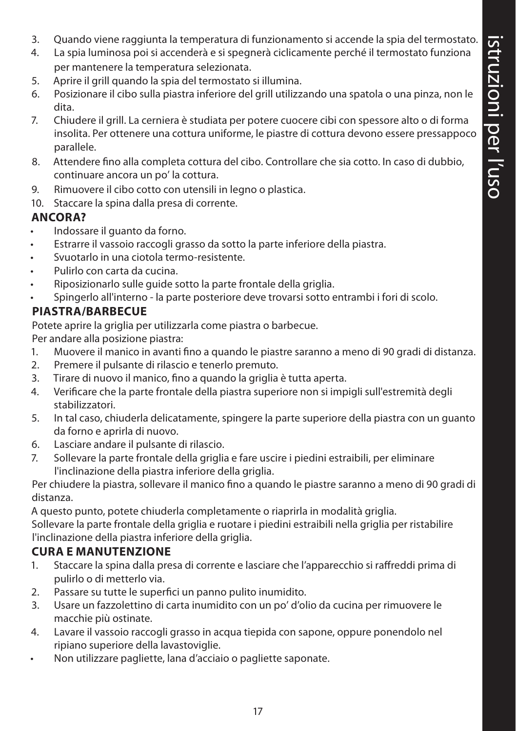- 3. Quando viene raggiunta la temperatura di funzionamento si accende la spia del termostato.
- 4. La spia luminosa poi si accenderà e si spegnerà ciclicamente perché il termostato funziona per mantenere la temperatura selezionata.
- 5. Aprire il grill quando la spia del termostato si illumina.
- 6. Posizionare il cibo sulla piastra inferiore del grill utilizzando una spatola o una pinza, non le dita.
- 7. Chiudere il grill. La cerniera è studiata per potere cuocere cibi con spessore alto o di forma insolita. Per ottenere una cottura uniforme, le piastre di cottura devono essere pressappoco parallele.
- 8. Attendere fino alla completa cottura del cibo. Controllare che sia cotto. In caso di dubbio, continuare ancora un po' la cottura.
- 9. Rimuovere il cibo cotto con utensili in legno o plastica.
- 10. Staccare la spina dalla presa di corrente.

#### **ANCORA?**

- Indossare il guanto da forno.
- Estrarre il vassoio raccogli grasso da sotto la parte inferiore della piastra.
- Svuotarlo in una ciotola termo-resistente.
- Pulirlo con carta da cucina.
- Riposizionarlo sulle guide sotto la parte frontale della griglia.
- Spingerlo all'interno la parte posteriore deve trovarsi sotto entrambi i fori di scolo.

#### **PIASTRA/BARBECUE**

Potete aprire la griglia per utilizzarla come piastra o barbecue.

Per andare alla posizione piastra:

- 1. Muovere il manico in avanti fino a quando le piastre saranno a meno di 90 gradi di distanza.
- 2. Premere il pulsante di rilascio e tenerlo premuto.
- 3. Tirare di nuovo il manico, fino a quando la griglia è tutta aperta.
- 4. Verificare che la parte frontale della piastra superiore non si impigli sull'estremità degli stabilizzatori.
- 5. In tal caso, chiuderla delicatamente, spingere la parte superiore della piastra con un guanto da forno e aprirla di nuovo.
- 6. Lasciare andare il pulsante di rilascio.
- 7. Sollevare la parte frontale della griglia e fare uscire i piedini estraibili, per eliminare l'inclinazione della piastra inferiore della griglia.

Per chiudere la piastra, sollevare il manico fino a quando le piastre saranno a meno di 90 gradi di distanza.

A questo punto, potete chiuderla completamente o riaprirla in modalità griglia.

Sollevare la parte frontale della griglia e ruotare i piedini estraibili nella griglia per ristabilire l'inclinazione della piastra inferiore della griglia.

#### **CURA E MANUTENZIONE**

- 1. Staccare la spina dalla presa di corrente e lasciare che l'apparecchio si raffreddi prima di pulirlo o di metterlo via.
- 2. Passare su tutte le superfici un panno pulito inumidito.
- 3. Usare un fazzolettino di carta inumidito con un po' d'olio da cucina per rimuovere le macchie più ostinate.
- 4. Lavare il vassoio raccogli grasso in acqua tiepida con sapone, oppure ponendolo nel ripiano superiore della lavastoviglie.
- Non utilizzare pagliette, lana d'acciaio o pagliette saponate.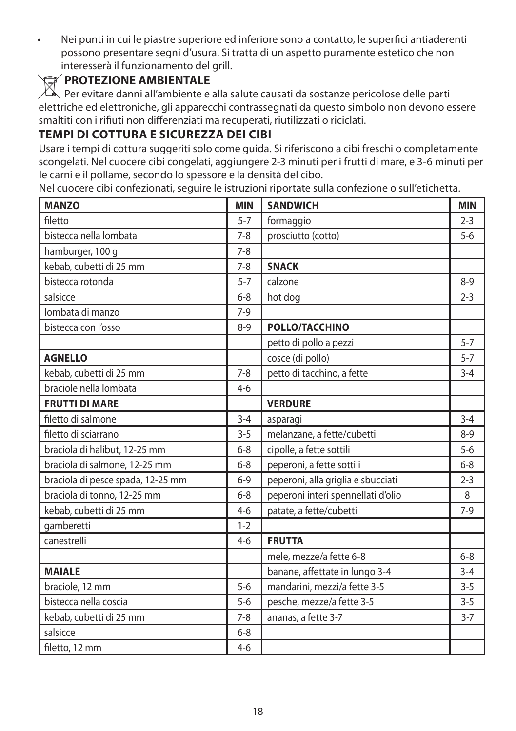• Nei punti in cui le piastre superiore ed inferiore sono a contatto, le superfici antiaderenti possono presentare segni d'usura. Si tratta di un aspetto puramente estetico che non interesserà il funzionamento del grill.<br>**PROTEZIONE AMBIENTALE** 

**PROTEZIONE AMBIENTALE**<br>Per evitare danni all'ambiente e alla salute causati da sostanze pericolose delle parti elettriche ed elettroniche, gli apparecchi contrassegnati da questo simbolo non devono essere smaltiti con i rifiuti non differenziati ma recuperati, riutilizzati o riciclati.

#### **TEMPI DI COTTURA E SICUREZZA DEI CIBI**

Usare i tempi di cottura suggeriti solo come guida. Si riferiscono a cibi freschi o completamente scongelati. Nel cuocere cibi congelati, aggiungere 2-3 minuti per i frutti di mare, e 3-6 minuti per le carni e il pollame, secondo lo spessore e la densità del cibo.

Nel cuocere cibi confezionati, seguire le istruzioni riportate sulla confezione o sull'etichetta.

| <b>MANZO</b>                      | <b>MIN</b> | <b>SANDWICH</b>                    | <b>MIN</b> |
|-----------------------------------|------------|------------------------------------|------------|
| filetto                           | $5 - 7$    | formaggio                          | $2 - 3$    |
| bistecca nella lombata            | $7-8$      | prosciutto (cotto)                 | $5-6$      |
| hamburger, 100 g                  | $7 - 8$    |                                    |            |
| kebab, cubetti di 25 mm           | $7 - 8$    | <b>SNACK</b>                       |            |
| bistecca rotonda                  | $5 - 7$    | calzone                            | $8 - 9$    |
| salsicce                          | $6 - 8$    | hot dog                            | $2 - 3$    |
| lombata di manzo                  | $7-9$      |                                    |            |
| bistecca con l'osso               | $8 - 9$    | <b>POLLO/TACCHINO</b>              |            |
|                                   |            | petto di pollo a pezzi             | $5 - 7$    |
| <b>AGNELLO</b>                    |            | cosce (di pollo)                   | $5 - 7$    |
| kebab, cubetti di 25 mm           | $7 - 8$    | petto di tacchino, a fette         | $3 - 4$    |
| braciole nella lombata            | $4 - 6$    |                                    |            |
| <b>FRUTTI DI MARE</b>             |            | <b>VERDURE</b>                     |            |
| filetto di salmone                | $3 - 4$    | asparagi                           | $3 - 4$    |
| filetto di sciarrano              | $3 - 5$    | melanzane, a fette/cubetti         | $8 - 9$    |
| braciola di halibut, 12-25 mm     | $6 - 8$    | cipolle, a fette sottili           | $5 - 6$    |
| braciola di salmone, 12-25 mm     | $6 - 8$    | peperoni, a fette sottili          | $6 - 8$    |
| braciola di pesce spada, 12-25 mm | $6 - 9$    | peperoni, alla griglia e sbucciati | $2 - 3$    |
| braciola di tonno, 12-25 mm       | $6 - 8$    | peperoni interi spennellati d'olio | 8          |
| kebab, cubetti di 25 mm           | $4-6$      | patate, a fette/cubetti            | $7-9$      |
| gamberetti                        | $1 - 2$    |                                    |            |
| canestrelli                       | $4-6$      | <b>FRUTTA</b>                      |            |
|                                   |            | mele, mezze/a fette 6-8            | $6 - 8$    |
| <b>MAIALE</b>                     |            | banane, affettate in lungo 3-4     | $3 - 4$    |
| braciole, 12 mm                   | $5 - 6$    | mandarini, mezzi/a fette 3-5       | $3 - 5$    |
| bistecca nella coscia             | $5 - 6$    | pesche, mezze/a fette 3-5          | $3 - 5$    |
| kebab, cubetti di 25 mm           | $7 - 8$    | ananas, a fette 3-7                | $3 - 7$    |
| salsicce                          | $6 - 8$    |                                    |            |
| filetto, 12 mm                    | $4 - 6$    |                                    |            |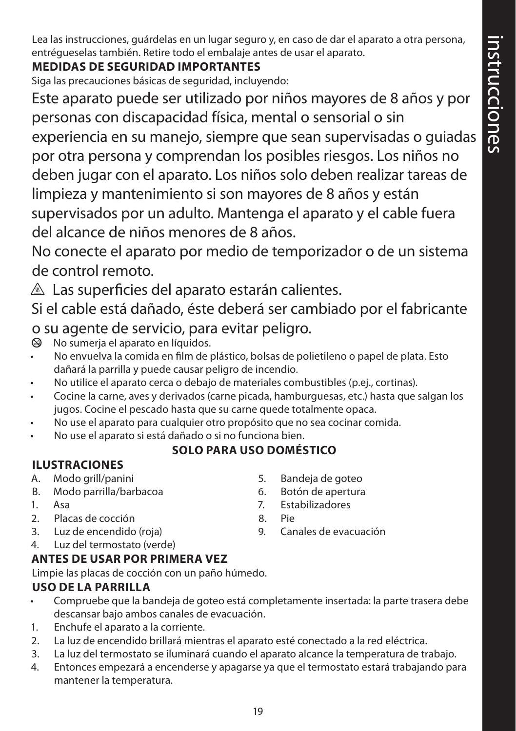Lea las instrucciones, guárdelas en un lugar seguro y, en caso de dar el aparato a otra persona, entrégueselas también. Retire todo el embalaje antes de usar el aparato.

## **MEDIDAS DE SEGURIDAD IMPORTANTES**

Siga las precauciones básicas de seguridad, incluyendo:

Este aparato puede ser utilizado por niños mayores de 8 años y por personas con discapacidad física, mental o sensorial o sin

experiencia en su manejo, siempre que sean supervisadas o guiadas por otra persona y comprendan los posibles riesgos. Los niños no deben jugar con el aparato. Los niños solo deben realizar tareas de limpieza y mantenimiento si son mayores de 8 años y están supervisados por un adulto. Mantenga el aparato y el cable fuera del alcance de niños menores de 8 años.

No conecte el aparato por medio de temporizador o de un sistema de control remoto.

 $\triangle$  Las superficies del aparato estarán calientes.

Si el cable está dañado, éste deberá ser cambiado por el fabricante o su agente de servicio, para evitar peligro.

- $\otimes$  No sumerja el aparato en líquidos.
- No envuelva la comida en film de plástico, bolsas de polietileno o papel de plata. Esto dañará la parrilla y puede causar peligro de incendio.
- No utilice el aparato cerca o debajo de materiales combustibles (p.ej., cortinas).
- Cocine la carne, aves y derivados (carne picada, hamburguesas, etc.) hasta que salgan los jugos. Cocine el pescado hasta que su carne quede totalmente opaca.
- No use el aparato para cualquier otro propósito que no sea cocinar comida.
- No use el aparato si está dañado o si no funciona bien.

## **SOLO PARA USO DOMÉSTICO**

## **ILUSTRACIONES**

- A. Modo grill/panini
- B. Modo parrilla/barbacoa
- 1. Asa
- 2. Placas de cocción
- 3. Luz de encendido (roja)
- 4. Luz del termostato (verde)

## **ANTES DE USAR POR PRIMERA VEZ**

Limpie las placas de cocción con un paño húmedo.

## **USO DE LA PARRILLA**

- Compruebe que la bandeja de goteo está completamente insertada: la parte trasera debe descansar bajo ambos canales de evacuación.
- 1. Enchufe el aparato a la corriente.
- 2. La luz de encendido brillará mientras el aparato esté conectado a la red eléctrica.
- 3. La luz del termostato se iluminará cuando el aparato alcance la temperatura de trabajo.
- 4. Entonces empezará a encenderse y apagarse ya que el termostato estará trabajando para mantener la temperatura.
- 5. Bandeja de goteo
- 6. Botón de apertura
- 7. Estabilizadores
- 8. Pie
- 9. Canales de evacuación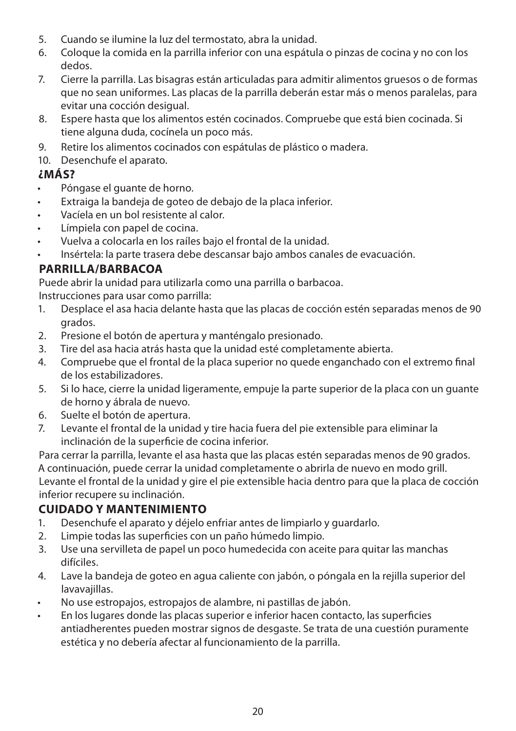- 5. Cuando se ilumine la luz del termostato, abra la unidad.
- 6. Coloque la comida en la parrilla inferior con una espátula o pinzas de cocina y no con los dedos.
- 7. Cierre la parrilla. Las bisagras están articuladas para admitir alimentos gruesos o de formas que no sean uniformes. Las placas de la parrilla deberán estar más o menos paralelas, para evitar una cocción desigual.
- 8. Espere hasta que los alimentos estén cocinados. Compruebe que está bien cocinada. Si tiene alguna duda, cocínela un poco más.
- 9. Retire los alimentos cocinados con espátulas de plástico o madera.
- 10. Desenchufe el aparato.

#### **¿MÁS?**

- Póngase el guante de horno.
- Extraiga la bandeja de goteo de debajo de la placa inferior.
- Vacíela en un bol resistente al calor.
- Límpiela con papel de cocina.
- Vuelva a colocarla en los raíles bajo el frontal de la unidad.
- Insértela: la parte trasera debe descansar bajo ambos canales de evacuación.

#### **PARRILLA/BARBACOA**

Puede abrir la unidad para utilizarla como una parrilla o barbacoa.

Instrucciones para usar como parrilla:

- 1. Desplace el asa hacia delante hasta que las placas de cocción estén separadas menos de 90 grados.
- 2. Presione el botón de apertura y manténgalo presionado.
- 3. Tire del asa hacia atrás hasta que la unidad esté completamente abierta.
- 4. Compruebe que el frontal de la placa superior no quede enganchado con el extremo final de los estabilizadores.
- 5. Si lo hace, cierre la unidad ligeramente, empuje la parte superior de la placa con un guante de horno y ábrala de nuevo.
- 6. Suelte el botón de apertura.<br>7. Levante el frontal de la unida
- 7. Levante el frontal de la unidad y tire hacia fuera del pie extensible para eliminar la inclinación de la superficie de cocina inferior.

Para cerrar la parrilla, levante el asa hasta que las placas estén separadas menos de 90 grados. A continuación, puede cerrar la unidad completamente o abrirla de nuevo en modo grill. Levante el frontal de la unidad y gire el pie extensible hacia dentro para que la placa de cocción inferior recupere su inclinación.

#### **CUIDADO Y MANTENIMIENTO**

- 1. Desenchufe el aparato y déjelo enfriar antes de limpiarlo y guardarlo.
- 2. Limpie todas las superficies con un paño húmedo limpio.
- 3. Use una servilleta de papel un poco humedecida con aceite para quitar las manchas difíciles.
- 4. Lave la bandeja de goteo en agua caliente con jabón, o póngala en la rejilla superior del lavavajillas.
- No use estropajos, estropajos de alambre, ni pastillas de jabón.
- En los lugares donde las placas superior e inferior hacen contacto, las superficies antiadherentes pueden mostrar signos de desgaste. Se trata de una cuestión puramente estética y no debería afectar al funcionamiento de la parrilla.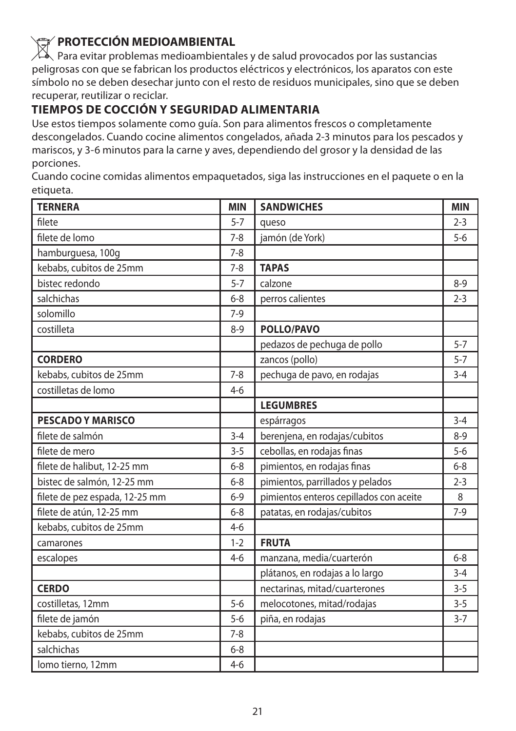**PROTECCIÓN MEDIOAMBIENTAL**<br>Para evitar problemas medioambientales y de salud provocados por las sustancias peligrosas con que se fabrican los productos eléctricos y electrónicos, los aparatos con este símbolo no se deben desechar junto con el resto de residuos municipales, sino que se deben recuperar, reutilizar o reciclar.

#### **TIEMPOS DE COCCIÓN Y SEGURIDAD ALIMENTARIA**

Use estos tiempos solamente como guía. Son para alimentos frescos o completamente descongelados. Cuando cocine alimentos congelados, añada 2-3 minutos para los pescados y mariscos, y 3-6 minutos para la carne y aves, dependiendo del grosor y la densidad de las porciones.

Cuando cocine comidas alimentos empaquetados, siga las instrucciones en el paquete o en la etiqueta.

| <b>TERNERA</b>                 | <b>MIN</b> | <b>SANDWICHES</b>                       | <b>MIN</b> |
|--------------------------------|------------|-----------------------------------------|------------|
| filete                         | $5 - 7$    | queso                                   | $2 - 3$    |
| filete de lomo                 | $7 - 8$    | jamón (de York)                         | $5 - 6$    |
| hamburguesa, 100g              | $7 - 8$    |                                         |            |
| kebabs, cubitos de 25mm        | $7 - 8$    | <b>TAPAS</b>                            |            |
| bistec redondo                 | $5 - 7$    | calzone                                 | $8-9$      |
| salchichas                     | $6 - 8$    | perros calientes                        | $2 - 3$    |
| solomillo                      | $7-9$      |                                         |            |
| costilleta                     | $8 - 9$    | <b>POLLO/PAVO</b>                       |            |
|                                |            | pedazos de pechuga de pollo             | $5 - 7$    |
| <b>CORDERO</b>                 |            | zancos (pollo)                          | $5 - 7$    |
| kebabs, cubitos de 25mm        | $7 - 8$    | pechuga de pavo, en rodajas             | $3 - 4$    |
| costilletas de lomo            | $4 - 6$    |                                         |            |
|                                |            | <b>LEGUMBRES</b>                        |            |
| <b>PESCADO Y MARISCO</b>       |            | espárragos                              | $3 - 4$    |
| filete de salmón               | $3 - 4$    | berenjena, en rodajas/cubitos           | $8-9$      |
| filete de mero                 | $3 - 5$    | cebollas, en rodajas finas              | $5 - 6$    |
| filete de halibut, 12-25 mm    | $6 - 8$    | pimientos, en rodajas finas             | $6 - 8$    |
| bistec de salmón, 12-25 mm     | $6 - 8$    | pimientos, parrillados y pelados        | $2 - 3$    |
| filete de pez espada, 12-25 mm | $6 - 9$    | pimientos enteros cepillados con aceite | 8          |
| filete de atún, 12-25 mm       | $6 - 8$    | patatas, en rodajas/cubitos             | $7-9$      |
| kebabs, cubitos de 25mm        | $4-6$      |                                         |            |
| camarones                      | $1 - 2$    | <b>FRUTA</b>                            |            |
| escalopes                      | $4 - 6$    | manzana, media/cuarterón                | $6 - 8$    |
|                                |            | plátanos, en rodajas a lo largo         | $3 - 4$    |
| <b>CERDO</b>                   |            | nectarinas, mitad/cuarterones           | $3 - 5$    |
| costilletas, 12mm              | $5-6$      | melocotones, mitad/rodajas              | $3 - 5$    |
| filete de jamón                | $5 - 6$    | piña, en rodajas                        | $3 - 7$    |
| kebabs, cubitos de 25mm        | $7 - 8$    |                                         |            |
| salchichas                     | $6 - 8$    |                                         |            |
| lomo tierno, 12mm              | $4 - 6$    |                                         |            |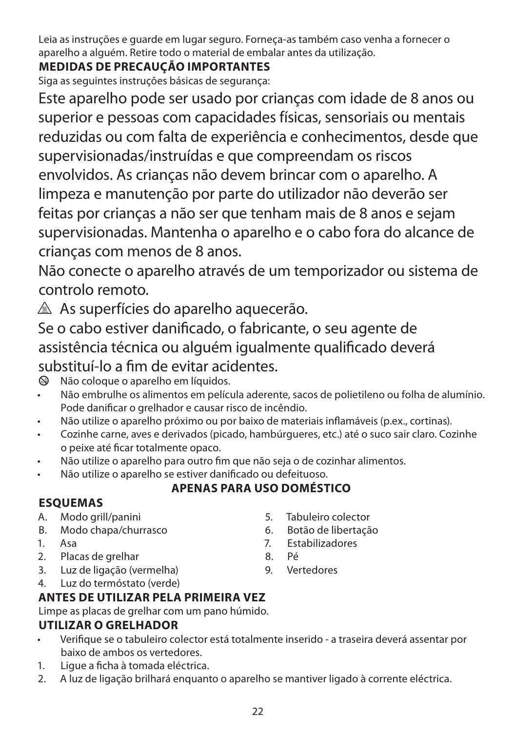Leia as instruções e guarde em lugar seguro. Forneça-as também caso venha a fornecer o aparelho a alguém. Retire todo o material de embalar antes da utilização.

## **MEDIDAS DE PRECAUÇÃO IMPORTANTES**

Siga as seguintes instruções básicas de segurança:

Este aparelho pode ser usado por crianças com idade de 8 anos ou superior e pessoas com capacidades físicas, sensoriais ou mentais reduzidas ou com falta de experiência e conhecimentos, desde que supervisionadas/instruídas e que compreendam os riscos envolvidos. As crianças não devem brincar com o aparelho. A limpeza e manutenção por parte do utilizador não deverão ser feitas por crianças a não ser que tenham mais de 8 anos e sejam supervisionadas. Mantenha o aparelho e o cabo fora do alcance de crianças com menos de 8 anos.

Não conecte o aparelho através de um temporizador ou sistema de controlo remoto.

 $\triangle$  As superfícies do aparelho aquecerão.

Se o cabo estiver danificado, o fabricante, o seu agente de assistência técnica ou alguém igualmente qualificado deverá substituí-lo a fim de evitar acidentes.

- $\otimes$  Não coloque o aparelho em líquidos.
- Não embrulhe os alimentos em película aderente, sacos de polietileno ou folha de alumínio. Pode danificar o grelhador e causar risco de incêndio.
- Não utilize o aparelho próximo ou por baixo de materiais inflamáveis (p.ex., cortinas).
- Cozinhe carne, aves e derivados (picado, hambúrgueres, etc.) até o suco sair claro. Cozinhe o peixe até ficar totalmente opaco.
- Não utilize o aparelho para outro fim que não seja o de cozinhar alimentos.
- Não utilize o aparelho se estiver danificado ou defeituoso.

## **APENAS PARA USO DOMÉSTICO**

#### **ESQUEMAS**

- A. Modo grill/panini
- B. Modo chapa/churrasco
- 1. Asa
- 2. Placas de grelhar
- 3. Luz de ligação (vermelha)
- 4. Luz do termóstato (verde)

## **ANTES DE UTILIZAR PELA PRIMEIRA VEZ**

Limpe as placas de grelhar com um pano húmido.

## **UTILIZAR O GRELHADOR**

- Verifique se o tabuleiro colector está totalmente inserido a traseira deverá assentar por baixo de ambos os vertedores.
- 1. Ligue a ficha à tomada eléctrica.
- 2. A luz de ligação brilhará enquanto o aparelho se mantiver ligado à corrente eléctrica.
- 5. Tabuleiro colector
- 6. Botão de libertação
- 7. Estabilizadores
- 8. Pé
- 9. Vertedores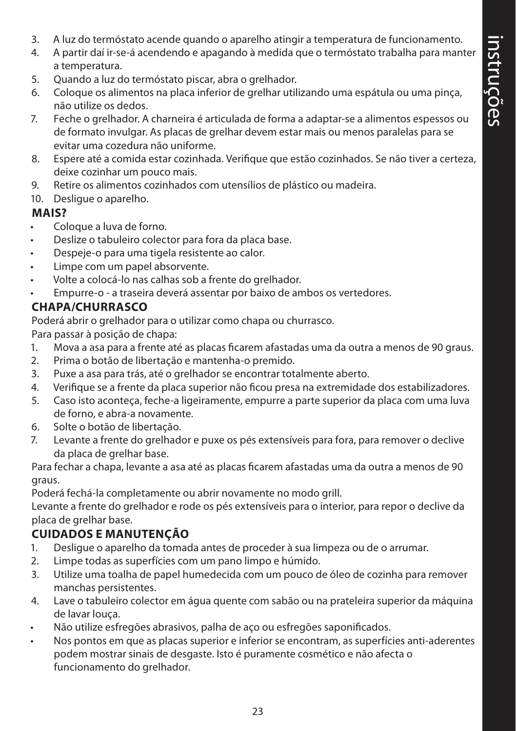- 3. A luz do termóstato acende quando o aparelho atingir a temperatura de funcionamento.
- 4. A partir daí ir-se-á acendendo e apagando à medida que o termóstato trabalha para manter a temperatura.
- 5. Quando a luz do termóstato piscar, abra o grelhador.
- 6. Coloque os alimentos na placa inferior de grelhar utilizando uma espátula ou uma pinça, não utilize os dedos.
- 7. Feche o grelhador. A charneira é articulada de forma a adaptar-se a alimentos espessos ou de formato invulgar. As placas de grelhar devem estar mais ou menos paralelas para se evitar uma cozedura não uniforme.
- 8. Espere até a comida estar cozinhada. Verifique que estão cozinhados. Se não tiver a certeza, deixe cozinhar um pouco mais.
- 9. Retire os alimentos cozinhados com utensílios de plástico ou madeira.
- 10. Desligue o aparelho.

#### **MAIS?**

- Coloque a luva de forno.
- Deslize o tabuleiro colector para fora da placa base.
- Despeje-o para uma tigela resistente ao calor.
- Limpe com um papel absorvente.
- Volte a colocá-lo nas calhas sob a frente do grelhador.
- Empurre-o a traseira deverá assentar por baixo de ambos os vertedores.

#### **CHAPA/CHURRASCO**

Poderá abrir o grelhador para o utilizar como chapa ou churrasco.

Para passar à posição de chapa:

- 1. Mova a asa para a frente até as placas ficarem afastadas uma da outra a menos de 90 graus.
- 2. Prima o botão de libertação e mantenha-o premido.
- 3. Puxe a asa para trás, até o grelhador se encontrar totalmente aberto.
- 4. Verifique se a frente da placa superior não ficou presa na extremidade dos estabilizadores.
- 5. Caso isto aconteça, feche-a ligeiramente, empurre a parte superior da placa com uma luva de forno, e abra-a novamente.
- 6. Solte o botão de libertação.
- 7. Levante a frente do grelhador e puxe os pés extensíveis para fora, para remover o declive da placa de grelhar base.

Para fechar a chapa, levante a asa até as placas ficarem afastadas uma da outra a menos de 90 graus.

Poderá fechá-la completamente ou abrir novamente no modo grill.

Levante a frente do grelhador e rode os pés extensíveis para o interior, para repor o declive da placa de grelhar base.

#### **CUIDADOS E MANUTENÇÃO**

- 1. Desligue o aparelho da tomada antes de proceder à sua limpeza ou de o arrumar.
- 2. Limpe todas as superfícies com um pano limpo e húmido.
- 3. Utilize uma toalha de papel humedecida com um pouco de óleo de cozinha para remover manchas persistentes.
- 4. Lave o tabuleiro colector em água quente com sabão ou na prateleira superior da máquina de lavar louça.
- Não utilize esfregões abrasivos, palha de aço ou esfregões saponificados.
- Nos pontos em que as placas superior e inferior se encontram, as superfícies anti-aderentes podem mostrar sinais de desgaste. Isto é puramente cosmético e não afecta o funcionamento do grelhador.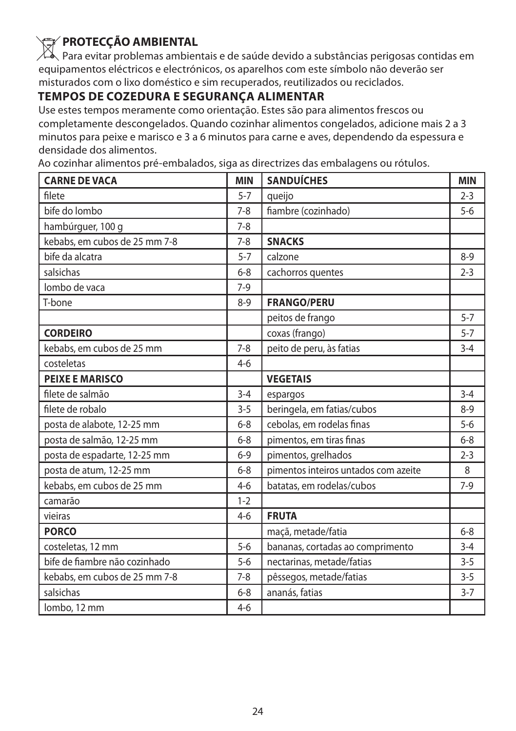**PROTECÇÃO AMBIENTAL**<br>Para evitar problemas ambientais e de saúde devido a substâncias perigosas contidas em equipamentos eléctricos e electrónicos, os aparelhos com este símbolo não deverão ser misturados com o lixo doméstico e sim recuperados, reutilizados ou reciclados.

#### **TEMPOS DE COZEDURA E SEGURANÇA ALIMENTAR**

Use estes tempos meramente como orientação. Estes são para alimentos frescos ou completamente descongelados. Quando cozinhar alimentos congelados, adicione mais 2 a 3 minutos para peixe e marisco e 3 a 6 minutos para carne e aves, dependendo da espessura e densidade dos alimentos.

Ao cozinhar alimentos pré-embalados, siga as directrizes das embalagens ou rótulos.

| <b>CARNE DE VACA</b>          | <b>MIN</b> | <b>SANDUÍCHES</b>                    | <b>MIN</b> |
|-------------------------------|------------|--------------------------------------|------------|
| filete                        | $5 - 7$    | queijo                               | $2 - 3$    |
| bife do lombo                 | $7 - 8$    | fiambre (cozinhado)                  | $5 - 6$    |
| hambúrguer, 100 g             | $7 - 8$    |                                      |            |
| kebabs, em cubos de 25 mm 7-8 | $7 - 8$    | <b>SNACKS</b>                        |            |
| bife da alcatra               | $5 - 7$    | calzone                              | $8 - 9$    |
| salsichas                     | $6 - 8$    | cachorros quentes                    | $2 - 3$    |
| lombo de vaca                 | $7-9$      |                                      |            |
| T-bone                        | $8 - 9$    | <b>FRANGO/PERU</b>                   |            |
|                               |            | peitos de frango                     | $5 - 7$    |
| <b>CORDEIRO</b>               |            | coxas (frango)                       | $5 - 7$    |
| kebabs, em cubos de 25 mm     | $7 - 8$    | peito de peru, às fatias             | $3 - 4$    |
| costeletas                    | $4-6$      |                                      |            |
| <b>PEIXE E MARISCO</b>        |            | <b>VEGETAIS</b>                      |            |
| filete de salmão              | $3 - 4$    | espargos                             | $3 - 4$    |
| filete de robalo              | $3 - 5$    | beringela, em fatias/cubos           | $8-9$      |
| posta de alabote, 12-25 mm    | $6 - 8$    | cebolas, em rodelas finas            | $5 - 6$    |
| posta de salmão, 12-25 mm     | $6 - 8$    | pimentos, em tiras finas             | $6 - 8$    |
| posta de espadarte, 12-25 mm  | $6 - 9$    | pimentos, grelhados                  | $2 - 3$    |
| posta de atum, 12-25 mm       | $6 - 8$    | pimentos inteiros untados com azeite | 8          |
| kebabs, em cubos de 25 mm     | $4-6$      | batatas, em rodelas/cubos            | $7-9$      |
| camarão                       | $1 - 2$    |                                      |            |
| vieiras                       | $4-6$      | <b>FRUTA</b>                         |            |
| <b>PORCO</b>                  |            | maçã, metade/fatia                   | $6 - 8$    |
| costeletas, 12 mm             | $5 - 6$    | bananas, cortadas ao comprimento     | $3 - 4$    |
| bife de fiambre não cozinhado | $5 - 6$    | nectarinas, metade/fatias            | $3 - 5$    |
| kebabs, em cubos de 25 mm 7-8 | $7 - 8$    | pêssegos, metade/fatias              | $3 - 5$    |
| salsichas                     | $6 - 8$    | ananás, fatias                       | $3 - 7$    |
| lombo, 12 mm                  | $4 - 6$    |                                      |            |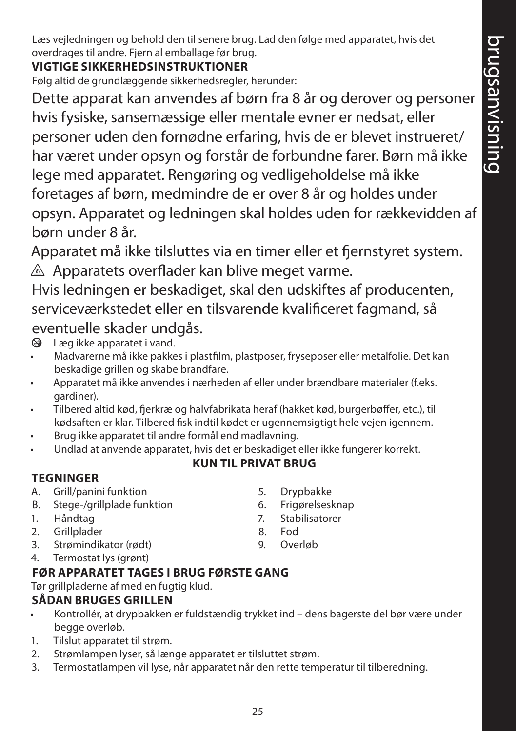Læs vejledningen og behold den til senere brug. Lad den følge med apparatet, hvis det overdrages til andre. Fjern al emballage før brug.

## **VIGTIGE SIKKERHEDSINSTRUKTIONER**

Følg altid de grundlæggende sikkerhedsregler, herunder:

Dette apparat kan anvendes af børn fra 8 år og derover og personer hvis fysiske, sansemæssige eller mentale evner er nedsat, eller personer uden den fornødne erfaring, hvis de er blevet instrueret/ har været under opsyn og forstår de forbundne farer. Børn må ikke lege med apparatet. Rengøring og vedligeholdelse må ikke foretages af børn, medmindre de er over 8 år og holdes under opsyn. Apparatet og ledningen skal holdes uden for rækkevidden af børn under 8 år.

Apparatet må ikke tilsluttes via en timer eller et fjernstyret system.  $\triangle$  Apparatets overflader kan blive meget varme.

Hvis ledningen er beskadiget, skal den udskiftes af producenten, serviceværkstedet eller en tilsvarende kvalificeret fagmand, så eventuelle skader undgås.

 $\otimes$  Læg ikke apparatet i vand.

- Madvarerne må ikke pakkes i plastfilm, plastposer, fryseposer eller metalfolie. Det kan beskadige grillen og skabe brandfare.
- Apparatet må ikke anvendes i nærheden af eller under brændbare materialer (f.eks. gardiner).
- Tilbered altid kød, fjerkræ og halvfabrikata heraf (hakket kød, burgerbøffer, etc.), til kødsaften er klar. Tilbered fisk indtil kødet er ugennemsigtigt hele vejen igennem.
- Brug ikke apparatet til andre formål end madlavning.
- Undlad at anvende apparatet, hvis det er beskadiget eller ikke fungerer korrekt.

## **KUN TIL PRIVAT BRUG**

## **TEGNINGER**

- A. Grill/panini funktion
- B. Stege-/grillplade funktion
- 1. Håndtag
- 2. Grillplader
- 3. Strømindikator (rødt)
- 4. Termostat lys (grønt)

## **FØR APPARATET TAGES I BRUG FØRSTE GANG**

Tør grillpladerne af med en fugtig klud.

## **SÅDAN BRUGES GRILLEN**

- Kontrollér, at drypbakken er fuldstændig trykket ind dens bagerste del bør være under begge overløb.
- 1. Tilslut apparatet til strøm.
- 2. Strømlampen lyser, så længe apparatet er tilsluttet strøm.
- 3. Termostatlampen vil lyse, når apparatet når den rette temperatur til tilberedning.
- 5. Drypbakke
- 6. Frigørelsesknap
- 7. Stabilisatorer
- 8. Fod
- 9. Overløb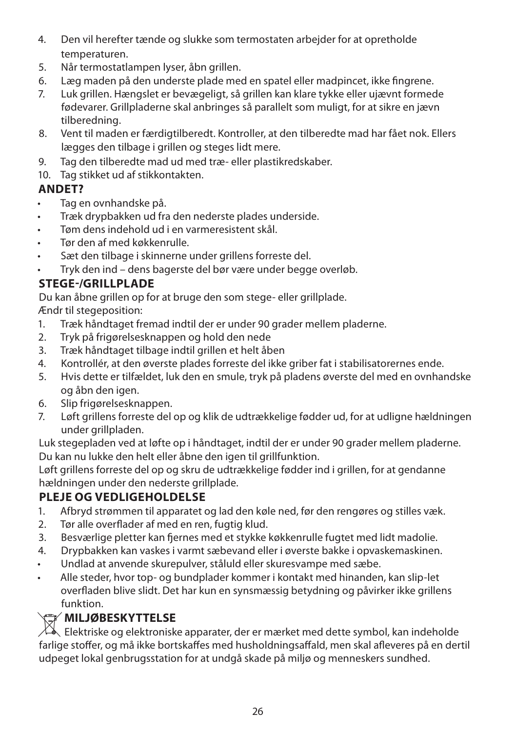- 4. Den vil herefter tænde og slukke som termostaten arbejder for at opretholde temperaturen.
- 5. Når termostatlampen lyser, åbn grillen.
- 6. Læg maden på den underste plade med en spatel eller madpincet, ikke fingrene.
- 7. Luk grillen. Hængslet er bevægeligt, så grillen kan klare tykke eller ujævnt formede fødevarer. Grillpladerne skal anbringes så parallelt som muligt, for at sikre en jævn tilberedning.
- 8. Vent til maden er færdigtilberedt. Kontroller, at den tilberedte mad har fået nok. Ellers lægges den tilbage i grillen og steges lidt mere.
- 9. Tag den tilberedte mad ud med træ- eller plastikredskaber.
- 10. Tag stikket ud af stikkontakten.

#### **ANDET?**

- Tag en ovnhandske på.
- Træk drypbakken ud fra den nederste plades underside.
- Tøm dens indehold ud i en varmeresistent skål.
- Tør den af med køkkenrulle.
- Sæt den tilbage i skinnerne under grillens forreste del.
- Tryk den ind dens bagerste del bør være under begge overløb.

### **STEGE-/GRILLPLADE**

Du kan åbne grillen op for at bruge den som stege- eller grillplade.

Ændr til stegeposition:

- 1. Træk håndtaget fremad indtil der er under 90 grader mellem pladerne.
- 2. Tryk på frigørelsesknappen og hold den nede
- 3. Træk håndtaget tilbage indtil grillen et helt åben
- 4. Kontrollér, at den øverste plades forreste del ikke griber fat i stabilisatorernes ende.
- 5. Hvis dette er tilfældet, luk den en smule, tryk på pladens øverste del med en ovnhandske og åbn den igen.
- 6. Slip frigørelsesknappen.
- 7. Løft grillens forreste del op og klik de udtrækkelige fødder ud, for at udligne hældningen under grillpladen.

Luk stegepladen ved at løfte op i håndtaget, indtil der er under 90 grader mellem pladerne. Du kan nu lukke den helt eller åbne den igen til grillfunktion.

Løft grillens forreste del op og skru de udtrækkelige fødder ind i grillen, for at gendanne hældningen under den nederste grillplade.

#### **PLEJE OG VEDLIGEHOLDELSE**

- 1. Afbryd strømmen til apparatet og lad den køle ned, før den rengøres og stilles væk.
- 2. Tør alle overflader af med en ren, fugtig klud.
- 3. Besværlige pletter kan fjernes med et stykke køkkenrulle fugtet med lidt madolie.
- 4. Drypbakken kan vaskes i varmt sæbevand eller i øverste bakke i opvaskemaskinen.
- Undlad at anvende skurepulver, ståluld eller skuresvampe med sæbe.
- Alle steder, hvor top- og bundplader kommer i kontakt med hinanden, kan slip-let overfladen blive slidt. Det har kun en synsmæssig betydning og påvirker ikke grillens funktion.

**WILJØBESKYTTELSE**<br>Elektriske og elektroniske apparater, der er mærket med dette symbol, kan indeholde farlige stoffer, og må ikke bortskaffes med husholdningsaffald, men skal afleveres på en dertil udpeget lokal genbrugsstation for at undgå skade på miljø og menneskers sundhed.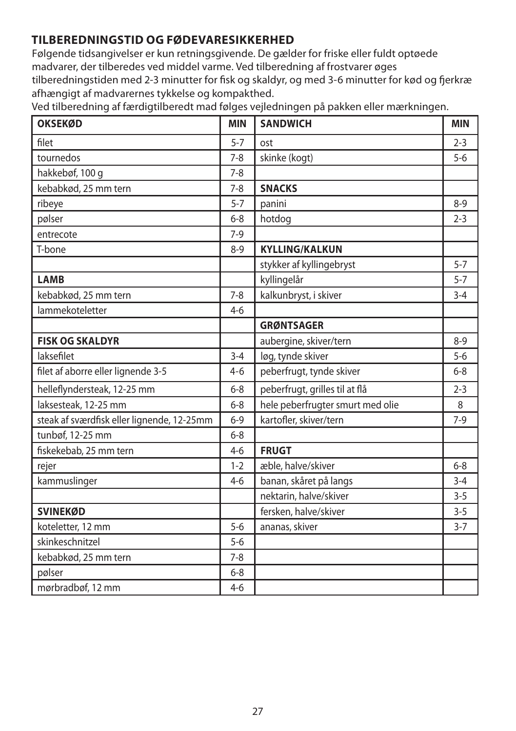### **TILBEREDNINGSTID OG FØDEVARESIKKERHED**

Følgende tidsangivelser er kun retningsgivende. De gælder for friske eller fuldt optøede madvarer, der tilberedes ved middel varme. Ved tilberedning af frostvarer øges tilberedningstiden med 2-3 minutter for fisk og skaldyr, og med 3-6 minutter for kød og fjerkræ afhængigt af madvarernes tykkelse og kompakthed.

| <b>OKSEKØD</b>                             | <b>MIN</b> | <b>SANDWICH</b>                  | <b>MIN</b> |
|--------------------------------------------|------------|----------------------------------|------------|
| filet                                      | $5 - 7$    | ost                              | $2 - 3$    |
| tournedos                                  | $7 - 8$    | skinke (kogt)                    | $5 - 6$    |
| hakkebøf, 100 g                            | $7 - 8$    |                                  |            |
| kebabkød, 25 mm tern                       | $7 - 8$    | <b>SNACKS</b>                    |            |
| ribeye                                     | $5 - 7$    | panini                           | $8 - 9$    |
| pølser                                     | $6 - 8$    | hotdog                           | $2 - 3$    |
| entrecote                                  | $7-9$      |                                  |            |
| T-bone                                     | $8 - 9$    | <b>KYLLING/KALKUN</b>            |            |
|                                            |            | stykker af kyllingebryst         | $5 - 7$    |
| <b>LAMB</b>                                |            | kyllingelår                      | $5 - 7$    |
| kebabkød, 25 mm tern                       | $7 - 8$    | kalkunbryst, i skiver            | $3 - 4$    |
| lammekoteletter                            | $4-6$      |                                  |            |
|                                            |            | <b>GRØNTSAGER</b>                |            |
| <b>FISK OG SKALDYR</b>                     |            | aubergine, skiver/tern           | $8 - 9$    |
| laksefilet                                 | $3 - 4$    | løg, tynde skiver                | $5 - 6$    |
| filet af aborre eller lignende 3-5         | $4 - 6$    | peberfrugt, tynde skiver         | $6 - 8$    |
| helleflyndersteak, 12-25 mm                | $6 - 8$    | peberfrugt, grilles til at flå   | $2 - 3$    |
| laksesteak, 12-25 mm                       | $6 - 8$    | hele peberfrugter smurt med olie | 8          |
| steak af sværdfisk eller lignende, 12-25mm | $6 - 9$    | kartofler, skiver/tern           | $7-9$      |
| tunbøf, 12-25 mm                           | $6 - 8$    |                                  |            |
| fiskekebab, 25 mm tern                     | $4 - 6$    | <b>FRUGT</b>                     |            |
| rejer                                      | $1 - 2$    | æble, halve/skiver               | $6 - 8$    |
| kammuslinger                               | $4 - 6$    | banan, skåret på langs           | $3 - 4$    |
|                                            |            | nektarin, halve/skiver           | $3 - 5$    |
| <b>SVINEKØD</b>                            |            | fersken, halve/skiver            | $3 - 5$    |
| koteletter, 12 mm                          | $5-6$      | ananas, skiver                   | $3 - 7$    |
| skinkeschnitzel                            | $5-6$      |                                  |            |
| kebabkød, 25 mm tern                       | $7 - 8$    |                                  |            |
| pølser                                     | $6 - 8$    |                                  |            |
| mørbradbøf, 12 mm                          | $4 - 6$    |                                  |            |

Ved tilberedning af færdigtilberedt mad følges vejledningen på pakken eller mærkningen.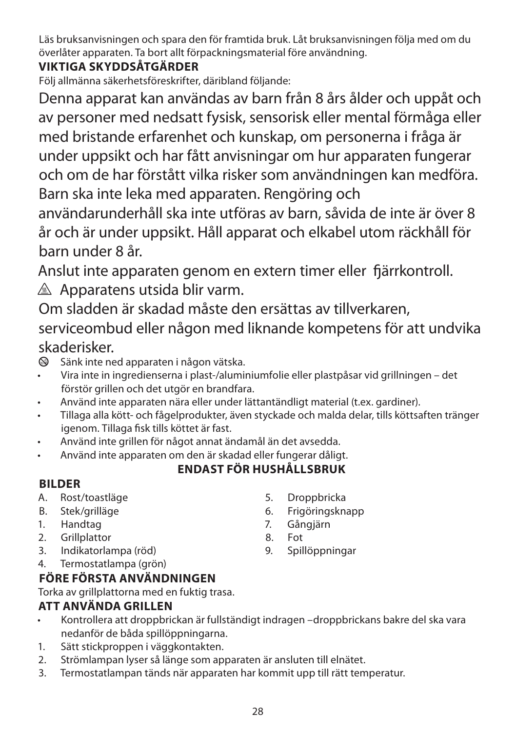Läs bruksanvisningen och spara den för framtida bruk. Låt bruksanvisningen följa med om du överlåter apparaten. Ta bort allt förpackningsmaterial före användning.

## **VIKTIGA SKYDDSÅTGÄRDER**

Följ allmänna säkerhetsföreskrifter, däribland följande:

Denna apparat kan användas av barn från 8 års ålder och uppåt och av personer med nedsatt fysisk, sensorisk eller mental förmåga eller med bristande erfarenhet och kunskap, om personerna i fråga är under uppsikt och har fått anvisningar om hur apparaten fungerar och om de har förstått vilka risker som användningen kan medföra. Barn ska inte leka med apparaten. Rengöring och

användarunderhåll ska inte utföras av barn, såvida de inte är över 8 år och är under uppsikt. Håll apparat och elkabel utom räckhåll för barn under 8 år.

Anslut inte apparaten genom en extern timer eller fjärrkontroll.  $\triangle$  Apparatens utsida blir varm.

Om sladden är skadad måste den ersättas av tillverkaren,

serviceombud eller någon med liknande kompetens för att undvika skaderisker.

 $\otimes$  Sänk inte ned apparaten i någon vätska.

- Vira inte in ingredienserna i plast-/aluminiumfolie eller plastpåsar vid grillningen det förstör grillen och det utgör en brandfara.
- Använd inte apparaten nära eller under lättantändligt material (t.ex. gardiner).
- Tillaga alla kött- och fågelprodukter, även styckade och malda delar, tills köttsaften tränger igenom. Tillaga fisk tills köttet är fast.
- Använd inte grillen för något annat ändamål än det avsedda.
- Använd inte apparaten om den är skadad eller fungerar dåligt.

## **ENDAST FÖR HUSHÅLLSBRUK**

## **BILDER**

- A. Rost/toastläge
- B. Stek/grilläge
- 1. Handtag
- 2. Grillplattor
- 3. Indikatorlampa (röd)
- 4. Termostatlampa (grön)

## **FÖRE FÖRSTA ANVÄNDNINGEN**

Torka av grillplattorna med en fuktig trasa.

## **ATT ANVÄNDA GRILLEN**

- Kontrollera att droppbrickan är fullständigt indragen –droppbrickans bakre del ska vara nedanför de båda spillöppningarna.
- 1. Sätt stickproppen i väggkontakten.
- 2. Strömlampan lyser så länge som apparaten är ansluten till elnätet.
- 3. Termostatlampan tänds när apparaten har kommit upp till rätt temperatur.
- 5. Droppbricka
- 6. Frigöringsknapp
- 7. Gångjärn
- 8. Fot
- 9. Spillöppningar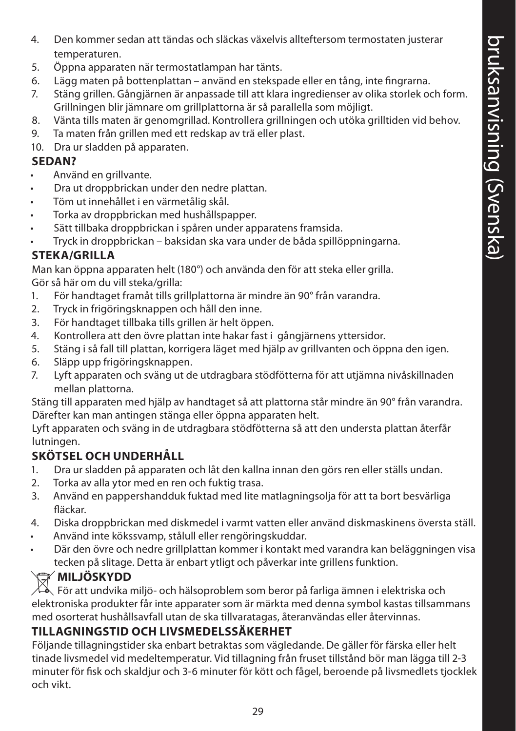- 4. Den kommer sedan att tändas och släckas växelvis allteftersom termostaten justerar temperaturen.
- 5. Öppna apparaten när termostatlampan har tänts.
- 6. Lägg maten på bottenplattan använd en stekspade eller en tång, inte fingrarna.
- 7. Stäng grillen. Gångjärnen är anpassade till att klara ingredienser av olika storlek och form. Grillningen blir jämnare om grillplattorna är så parallella som möjligt.
- 8. Vänta tills maten är genomgrillad. Kontrollera grillningen och utöka grilltiden vid behov.
- 9. Ta maten från grillen med ett redskap av trä eller plast.
- 10. Dra ur sladden på apparaten.

#### **SEDAN?**

- Använd en grillvante.
- Dra ut droppbrickan under den nedre plattan.
- Töm ut innehållet i en värmetålig skål.
- Torka av droppbrickan med hushållspapper.
- Sätt tillbaka droppbrickan i spåren under apparatens framsida.

• Tryck in droppbrickan – baksidan ska vara under de båda spillöppningarna.

### **STEKA/GRILLA**

Man kan öppna apparaten helt (180°) och använda den för att steka eller grilla. Gör så här om du vill steka/grilla:

- 1. För handtaget framåt tills grillplattorna är mindre än 90° från varandra.
- 2. Tryck in frigöringsknappen och håll den inne.
- 3. För handtaget tillbaka tills grillen är helt öppen.
- 4. Kontrollera att den övre plattan inte hakar fast i gångjärnens yttersidor.
- 5. Stäng i så fall till plattan, korrigera läget med hjälp av grillvanten och öppna den igen.
- 6. Släpp upp frigöringsknappen.
- 7. Lyft apparaten och sväng ut de utdragbara stödfötterna för att utjämna nivåskillnaden mellan plattorna.

Stäng till apparaten med hjälp av handtaget så att plattorna står mindre än 90° från varandra. Därefter kan man antingen stänga eller öppna apparaten helt.

Lyft apparaten och sväng in de utdragbara stödfötterna så att den understa plattan återfår lutningen.

#### **SKÖTSEL OCH UNDERHÅLL**

- 1. Dra ur sladden på apparaten och låt den kallna innan den görs ren eller ställs undan.
- 2. Torka av alla ytor med en ren och fuktig trasa.
- 3. Använd en pappershandduk fuktad med lite matlagningsolja för att ta bort besvärliga fläckar.
- 4. Diska droppbrickan med diskmedel i varmt vatten eller använd diskmaskinens översta ställ.
- Använd inte kökssvamp, stålull eller rengöringskuddar.
- Där den övre och nedre grillplattan kommer i kontakt med varandra kan beläggningen visa tecken på slitage. Detta är enbart ytligt och påverkar inte grillens funktion.

## **WILJÖSKYDD**

För att undvika miljö- och hälsoproblem som beror på farliga ämnen i elektriska och elektroniska produkter får inte apparater som är märkta med denna symbol kastas tillsammans med osorterat hushållsavfall utan de ska tillvaratagas, återanvändas eller återvinnas.

## **TILLAGNINGSTID OCH LIVSMEDELSSÄKERHET**

Följande tillagningstider ska enbart betraktas som vägledande. De gäller för färska eller helt tinade livsmedel vid medeltemperatur. Vid tillagning från fruset tillstånd bör man lägga till 2-3 minuter för fisk och skaldjur och 3-6 minuter för kött och fågel, beroende på livsmedlets tjocklek och vikt.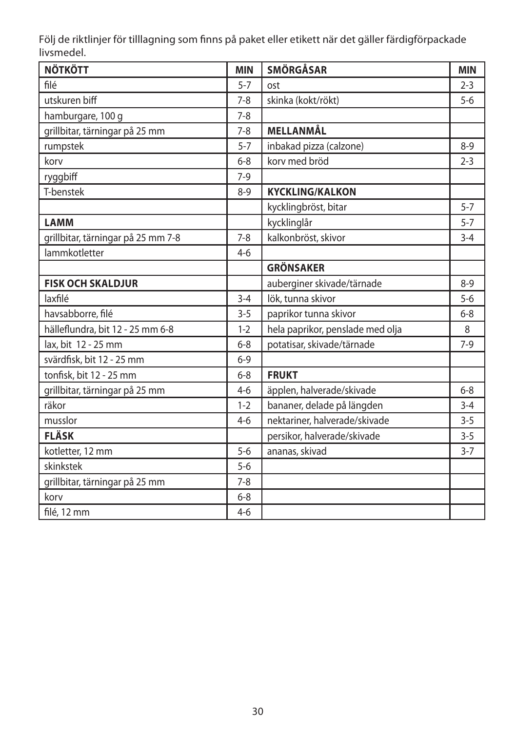Följ de riktlinjer för tilllagning som finns på paket eller etikett när det gäller färdigförpackade livsmedel.

| <b>NÖTKÖTT</b>                     | <b>MIN</b> | <b>SMÖRGÅSAR</b>                 | <b>MIN</b> |
|------------------------------------|------------|----------------------------------|------------|
| filé                               | $5 - 7$    | ost                              | $2 - 3$    |
| utskuren biff                      | $7 - 8$    | skinka (kokt/rökt)               | $5 - 6$    |
| hamburgare, 100 g                  | $7 - 8$    |                                  |            |
| grillbitar, tärningar på 25 mm     | $7 - 8$    | MELLANMÅL                        |            |
| rumpstek                           | $5 - 7$    | inbakad pizza (calzone)          | $8 - 9$    |
| korv                               | $6 - 8$    | korv med bröd                    | $2 - 3$    |
| ryggbiff                           | $7-9$      |                                  |            |
| T-benstek                          | $8 - 9$    | <b>KYCKLING/KALKON</b>           |            |
|                                    |            | kycklingbröst, bitar             | $5 - 7$    |
| <b>LAMM</b>                        |            | kycklinglår                      | $5 - 7$    |
| grillbitar, tärningar på 25 mm 7-8 | $7 - 8$    | kalkonbröst, skivor              | $3 - 4$    |
| lammkotletter                      | $4-6$      |                                  |            |
|                                    |            | <b>GRÖNSAKER</b>                 |            |
| <b>FISK OCH SKALDJUR</b>           |            | auberginer skivade/tärnade       | $8-9$      |
| laxfilé                            | $3 - 4$    | lök, tunna skivor                | $5-6$      |
| havsabborre, filé                  | $3 - 5$    | paprikor tunna skivor            | $6 - 8$    |
| hälleflundra, bit 12 - 25 mm 6-8   | $1-2$      | hela paprikor, penslade med olja | 8          |
| lax, bit 12 - 25 mm                | $6 - 8$    | potatisar, skivade/tärnade       | $7-9$      |
| svärdfisk, bit 12 - 25 mm          | $6 - 9$    |                                  |            |
| tonfisk, bit 12 - 25 mm            | $6 - 8$    | <b>FRUKT</b>                     |            |
| grillbitar, tärningar på 25 mm     | $4 - 6$    | äpplen, halverade/skivade        | $6 - 8$    |
| räkor                              | $1 - 2$    | bananer, delade på längden       | $3 - 4$    |
| musslor                            | $4 - 6$    | nektariner, halverade/skivade    | $3 - 5$    |
| <b>FLÄSK</b>                       |            | persikor, halverade/skivade      | $3 - 5$    |
| kotletter, 12 mm                   | $5 - 6$    | ananas, skivad                   | $3 - 7$    |
| skinkstek                          | $5 - 6$    |                                  |            |
| grillbitar, tärningar på 25 mm     | $7 - 8$    |                                  |            |
| korv                               | $6 - 8$    |                                  |            |
| filé, 12 mm                        | $4-6$      |                                  |            |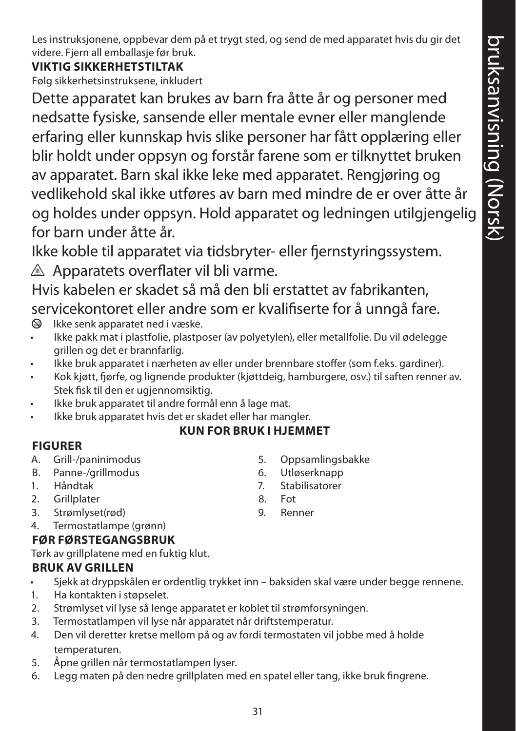Les instruksjonene, oppbevar dem på et trygt sted, og send de med apparatet hvis du gir det videre. Fjern all emballasje før bruk.

## **VIKTIG SIKKERHETSTILTAK**

Følg sikkerhetsinstruksene, inkludert

Dette apparatet kan brukes av barn fra åtte år og personer med nedsatte fysiske, sansende eller mentale evner eller manglende erfaring eller kunnskap hvis slike personer har fått opplæring eller blir holdt under oppsyn og forstår farene som er tilknyttet bruken av apparatet. Barn skal ikke leke med apparatet. Rengjøring og vedlikehold skal ikke utføres av barn med mindre de er over åtte år og holdes under oppsyn. Hold apparatet og ledningen utilgjengelig for barn under åtte år.

Ikke koble til apparatet via tidsbryter- eller fjernstyringssystem.  $\triangle$  Apparatets overflater vil bli varme.

Hvis kabelen er skadet så må den bli erstattet av fabrikanten, servicekontoret eller andre som er kvalifiserte for å unngå fare.<br>
Sollske senkapparatet ned i væske.

- Ikke senk apparatet ned i væske.
- Ikke pakk mat i plastfolie, plastposer (av polyetylen), eller metallfolie. Du vil ødelegge grillen og det er brannfarlig.
- Ikke bruk apparatet i nærheten av eller under brennbare stoffer (som f.eks. gardiner).
- Kok kjøtt, fjørfe, og lignende produkter (kjøttdeig, hamburgere, osv.) til saften renner av. Stek fisk til den er ugjennomsiktig.
- Ikke bruk apparatet til andre formål enn å lage mat.
- Ikke bruk apparatet hvis det er skadet eller har mangler.

#### **KUN FOR BRUK I HJEMMET**

#### **FIGURER**

- A. Grill-/paninimodus
- B. Panne-/grillmodus
- 1. Håndtak
- 2. Grillplater
- 3. Strømlyset(rød)
- 4. Termostatlampe (grønn)

#### **FØR FØRSTEGANGSBRUK**

Tørk av grillplatene med en fuktig klut.

## **BRUK AV GRILLEN**

- Sjekk at dryppskålen er ordentlig trykket inn baksiden skal være under begge rennene.
- 1. Ha kontakten i støpselet.
- 2. Strømlyset vil lyse så lenge apparatet er koblet til strømforsyningen.
- 3. Termostatlampen vil lyse når apparatet når driftstemperatur.
- 4. Den vil deretter kretse mellom på og av fordi termostaten vil jobbe med å holde temperaturen.
- 5. Åpne grillen når termostatlampen lyser.
- 6. Legg maten på den nedre grillplaten med en spatel eller tang, ikke bruk fingrene.
- 5. Oppsamlingsbakke
- 6. Utløserknapp
- 7. Stabilisatorer
- 8. Fot
- 9. Renner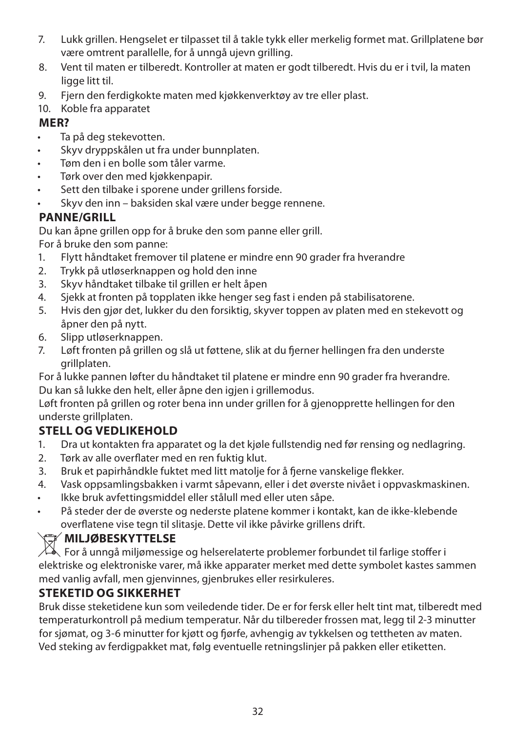- 7. Lukk grillen. Hengselet er tilpasset til å takle tykk eller merkelig formet mat. Grillplatene bør være omtrent parallelle, for å unngå ujevn grilling.
- 8. Vent til maten er tilberedt. Kontroller at maten er godt tilberedt. Hvis du er i tvil, la maten ligge litt til.
- 9. Fjern den ferdigkokte maten med kjøkkenverktøy av tre eller plast.
- 10. Koble fra apparatet

#### **MER?**

- Ta på deg stekevotten.
- Skyv dryppskålen ut fra under bunnplaten.
- Tøm den i en bolle som tåler varme.
- Tørk over den med kjøkkenpapir.
- Sett den tilbake i sporene under grillens forside.
- Skyv den inn baksiden skal være under begge rennene.

### **PANNE/GRILL**

Du kan åpne grillen opp for å bruke den som panne eller grill.

For å bruke den som panne:

- 1. Flytt håndtaket fremover til platene er mindre enn 90 grader fra hverandre
- 2. Trykk på utløserknappen og hold den inne
- 3. Skyv håndtaket tilbake til grillen er helt åpen
- 4. Sjekk at fronten på topplaten ikke henger seg fast i enden på stabilisatorene.
- 5. Hvis den gjør det, lukker du den forsiktig, skyver toppen av platen med en stekevott og åpner den på nytt.
- 6. Slipp utløserknappen.
- 7. Løft fronten på grillen og slå ut føttene, slik at du fjerner hellingen fra den underste grillplaten.

For å lukke pannen løfter du håndtaket til platene er mindre enn 90 grader fra hverandre. Du kan så lukke den helt, eller åpne den igjen i grillemodus.

Løft fronten på grillen og roter bena inn under grillen for å gjenopprette hellingen for den underste grillplaten.

## **STELL OG VEDLIKEHOLD**

- 1. Dra ut kontakten fra apparatet og la det kjøle fullstendig ned før rensing og nedlagring.
- 2. Tørk av alle overflater med en ren fuktig klut.
- 3. Bruk et papirhåndkle fuktet med litt matolje for å fjerne vanskelige flekker.
- 4. Vask oppsamlingsbakken i varmt såpevann, eller i det øverste nivået i oppvaskmaskinen.
- Ikke bruk avfettingsmiddel eller stålull med eller uten såpe.
- På steder der de øverste og nederste platene kommer i kontakt, kan de ikke-klebende overflatene vise tegn til slitasje. Dette vil ikke påvirke grillens drift.

## W**MILJØBESKYTTELSE**

 $\Box$  For å unngå miljømessige og helserelaterte problemer forbundet til farlige stoffer i elektriske og elektroniske varer, må ikke apparater merket med dette symbolet kastes sammen med vanlig avfall, men gjenvinnes, gjenbrukes eller resirkuleres.

## **STEKETID OG SIKKERHET**

Bruk disse steketidene kun som veiledende tider. De er for fersk eller helt tint mat, tilberedt med temperaturkontroll på medium temperatur. Når du tilbereder frossen mat, legg til 2-3 minutter for sjømat, og 3-6 minutter for kjøtt og fjørfe, avhengig av tykkelsen og tettheten av maten. Ved steking av ferdigpakket mat, følg eventuelle retningslinjer på pakken eller etiketten.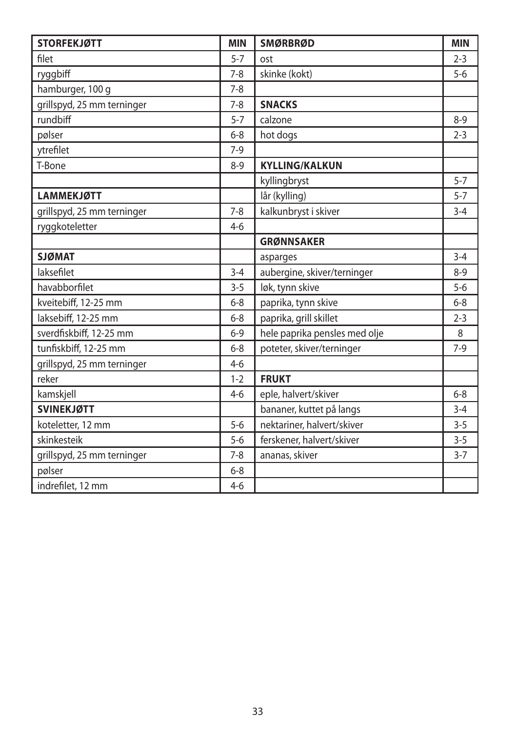| <b>STORFEKJØTT</b>         | <b>MIN</b> | <b>SMØRBRØD</b>               | <b>MIN</b> |
|----------------------------|------------|-------------------------------|------------|
| filet                      | $5 - 7$    | ost                           | $2 - 3$    |
| ryggbiff                   | $7 - 8$    | skinke (kokt)                 | $5-6$      |
| hamburger, 100 g           | $7 - 8$    |                               |            |
| grillspyd, 25 mm terninger | $7 - 8$    | <b>SNACKS</b>                 |            |
| rundbiff                   | $5 - 7$    | calzone                       | $8 - 9$    |
| pølser                     | $6 - 8$    | hot dogs                      | $2 - 3$    |
| ytrefilet                  | $7-9$      |                               |            |
| T-Bone                     | $8 - 9$    | <b>KYLLING/KALKUN</b>         |            |
|                            |            | kyllingbryst                  | $5 - 7$    |
| <b>LAMMEKJØTT</b>          |            | lår (kylling)                 | $5 - 7$    |
| grillspyd, 25 mm terninger | $7 - 8$    | kalkunbryst i skiver          | $3 - 4$    |
| ryggkoteletter             | $4 - 6$    |                               |            |
|                            |            | <b>GRØNNSAKER</b>             |            |
| <b>SJØMAT</b>              |            | asparges                      | $3 - 4$    |
| laksefilet                 | $3 - 4$    | aubergine, skiver/terninger   | $8 - 9$    |
| havabborfilet              | $3 - 5$    | løk, tynn skive               | $5-6$      |
| kveitebiff, 12-25 mm       | $6 - 8$    | paprika, tynn skive           | $6 - 8$    |
| laksebiff, 12-25 mm        | $6 - 8$    | paprika, grill skillet        | $2 - 3$    |
| sverdfiskbiff, 12-25 mm    | $6 - 9$    | hele paprika pensles med olje | 8          |
| tunfiskbiff, 12-25 mm      | $6 - 8$    | poteter, skiver/terninger     | $7-9$      |
| grillspyd, 25 mm terninger | $4 - 6$    |                               |            |
| reker                      | $1 - 2$    | <b>FRUKT</b>                  |            |
| kamskjell                  | $4 - 6$    | eple, halvert/skiver          | $6 - 8$    |
| <b>SVINEKJØTT</b>          |            | bananer, kuttet på langs      | $3 - 4$    |
| koteletter, 12 mm          | $5 - 6$    | nektariner, halvert/skiver    | $3 - 5$    |
| skinkesteik                | $5 - 6$    | ferskener, halvert/skiver     | $3 - 5$    |
| grillspyd, 25 mm terninger | $7 - 8$    | ananas, skiver                | $3 - 7$    |
| pølser                     | $6 - 8$    |                               |            |
| indrefilet, 12 mm          | $4 - 6$    |                               |            |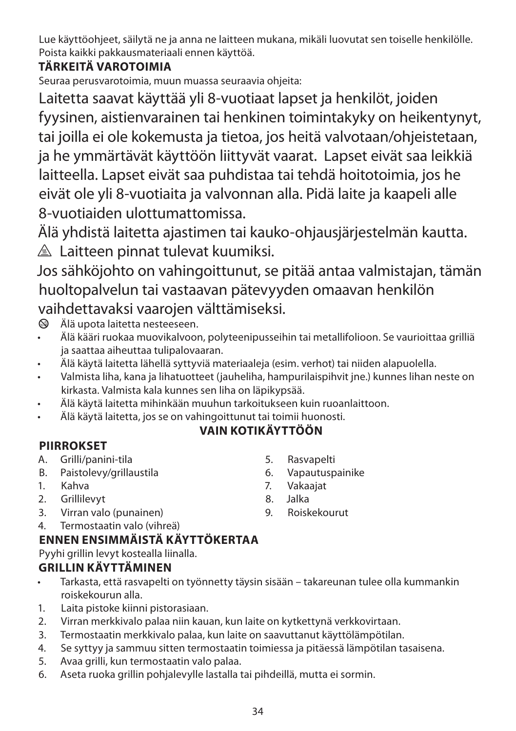Lue käyttöohjeet, säilytä ne ja anna ne laitteen mukana, mikäli luovutat sen toiselle henkilölle. Poista kaikki pakkausmateriaali ennen käyttöä.

## **TÄRKEITÄ VAROTOIMIA**

Seuraa perusvarotoimia, muun muassa seuraavia ohjeita:

Laitetta saavat käyttää yli 8-vuotiaat lapset ja henkilöt, joiden fyysinen, aistienvarainen tai henkinen toimintakyky on heikentynyt, tai joilla ei ole kokemusta ja tietoa, jos heitä valvotaan/ohjeistetaan, ja he ymmärtävät käyttöön liittyvät vaarat. Lapset eivät saa leikkiä laitteella. Lapset eivät saa puhdistaa tai tehdä hoitotoimia, jos he eivät ole yli 8-vuotiaita ja valvonnan alla. Pidä laite ja kaapeli alle 8-vuotiaiden ulottumattomissa.

Älä yhdistä laitetta ajastimen tai kauko-ohjausjärjestelmän kautta.

 $\triangle$  Laitteen pinnat tulevat kuumiksi.

Jos sähköjohto on vahingoittunut, se pitää antaa valmistajan, tämän huoltopalvelun tai vastaavan pätevyyden omaavan henkilön vaihdettavaksi vaarojen välttämiseksi.

 $\circledA$  Älä upota laitetta nesteeseen.

- Älä kääri ruokaa muovikalvoon, polyteenipusseihin tai metallifolioon. Se vaurioittaa grilliä ja saattaa aiheuttaa tulipalovaaran.
- Älä käytä laitetta lähellä syttyviä materiaaleja (esim. verhot) tai niiden alapuolella.
- Valmista liha, kana ja lihatuotteet (jauheliha, hampurilaispihvit jne.) kunnes lihan neste on kirkasta. Valmista kala kunnes sen liha on läpikypsää.
- Älä käytä laitetta mihinkään muuhun tarkoitukseen kuin ruoanlaittoon.
- Älä käytä laitetta, jos se on vahingoittunut tai toimii huonosti.

## **VAIN KOTIKÄYTTÖÖN**

## **PIIRROKSET**

- A. Grilli/panini-tila
- B. Paistolevy/grillaustila
- 1. Kahva
- 2. Grillilevyt
- 3. Virran valo (punainen)
- 4. Termostaatin valo (vihreä)

## **ENNEN ENSIMMÄISTÄ KÄYTTÖKERTAA**

Pyyhi grillin levyt kostealla liinalla.

## **GRILLIN KÄYTTÄMINEN**

- Tarkasta, että rasvapelti on työnnetty täysin sisään takareunan tulee olla kummankin roiskekourun alla.
- 1. Laita pistoke kiinni pistorasiaan.
- 2. Virran merkkivalo palaa niin kauan, kun laite on kytkettynä verkkovirtaan.
- 3. Termostaatin merkkivalo palaa, kun laite on saavuttanut käyttölämpötilan.
- 4. Se syttyy ja sammuu sitten termostaatin toimiessa ja pitäessä lämpötilan tasaisena.
- 5. Avaa grilli, kun termostaatin valo palaa.
- 6. Aseta ruoka grillin pohjalevylle lastalla tai pihdeillä, mutta ei sormin.
- 5. Rasvapelti 6. Vapautuspainike
- 7. Vakaajat
- 8. Jalka 9. Roiskekourut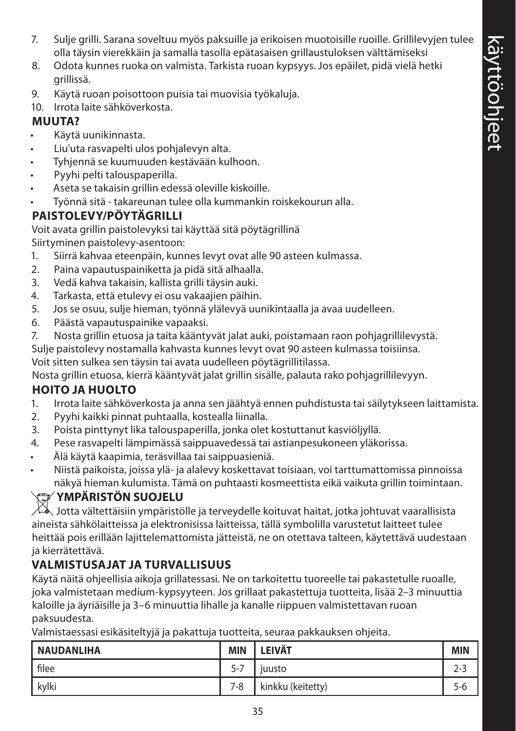- 7. Sulje grilli. Sarana soveltuu myös paksuille ja erikoisen muotoisille ruoille. Grillilevyjen tulee olla täysin vierekkäin ja samalla tasolla epätasaisen grillaustuloksen välttämiseksi
- 8. Odota kunnes ruoka on valmista. Tarkista ruoan kypsyys. Jos epäilet, pidä vielä hetki grillissä.
- 9. Käytä ruoan poisottoon puisia tai muovisia työkaluja.
- 10. Irrota laite sähköverkosta.

## **MUUTA?**

- Käytä uunikinnasta.
- Liu'uta rasvapelti ulos pohjalevyn alta.
- Tyhjennä se kuumuuden kestävään kulhoon.
- Pyyhi pelti talouspaperilla.
- Aseta se takaisin grillin edessä oleville kiskoille.
- Työnnä sitä takareunan tulee olla kummankin roiskekourun alla.

## **PAISTOLEVY/PÖYTÄGRILLI**

Voit avata grillin paistolevyksi tai käyttää sitä pöytägrillinä Siirtyminen paistolevy-asentoon:

- 1. Siirrä kahvaa eteenpäin, kunnes levyt ovat alle 90 asteen kulmassa.
- 2. Paina vapautuspainiketta ja pidä sitä alhaalla.
- 3. Vedä kahva takaisin, kallista grilli täysin auki.
- 4. Tarkasta, että etulevy ei osu vakaajien päihin.
- 5. Jos se osuu, sulje hieman, työnnä ylälevyä uunikintaalla ja avaa uudelleen.
- 6. Päästä vapautuspainike vapaaksi.
- 7. Nosta grillin etuosa ja taita kääntyvät jalat auki, poistamaan raon pohjagrillilevystä.

Sulje paistolevy nostamalla kahvasta kunnes levyt ovat 90 asteen kulmassa toisiinsa.

Voit sitten sulkea sen täysin tai avata uudelleen pöytägrillitilassa.

Nosta grillin etuosa, kierrä kääntyvät jalat grillin sisälle, palauta rako pohjagrillilevyyn.

## **HOITO JA HUOLTO**

- 1. Irrota laite sähköverkosta ja anna sen jäähtyä ennen puhdistusta tai säilytykseen laittamista.
- 2. Pyyhi kaikki pinnat puhtaalla, kostealla liinalla.
- 3. Poista pinttynyt lika talouspaperilla, jonka olet kostuttanut kasviöljyllä.
- 4. Pese rasvapelti lämpimässä saippuavedessä tai astianpesukoneen yläkorissa.
- Älä käytä kaapimia, teräsvillaa tai saippuasieniä.
- Niistä paikoista, joissa ylä- ja alalevy koskettavat toisiaan, voi tarttumattomissa pinnoissa näkyä hieman kulumista. Tämä on puhtaasti kosmeettista eikä vaikuta grillin toimintaan.

# W**YMPÄRISTÖN SUOJELU**

 $\forall \lambda$  Jotta vältettäisiin ympäristölle ja terveydelle koituvat haitat, jotka johtuvat vaarallisista aineista sähkölaitteissa ja elektronisissa laitteissa, tällä symbolilla varustetut laitteet tulee heittää pois erillään lajittelemattomista jätteistä, ne on otettava talteen, käytettävä uudestaan ja kierrätettävä.

## **VALMISTUSAJAT JA TURVALLISUUS**

Käytä näitä ohjeellisia aikoja grillatessasi. Ne on tarkoitettu tuoreelle tai pakastetulle ruoalle, joka valmistetaan medium-kypsyyteen. Jos grillaat pakastettuja tuotteita, lisää 2–3 minuuttia kaloille ja äyriäisille ja 3–6 minuuttia lihalle ja kanalle riippuen valmistettavan ruoan paksuudesta.

Valmistaessasi esikäsiteltyjä ja pakattuja tuotteita, seuraa pakkauksen ohjeita.

| <b>NAUDANLIHA</b> | <b>MIN</b> | <b>LEIVÄT</b>     | <b>MIN</b> |
|-------------------|------------|-------------------|------------|
| filee             | $5 - 7$    | juusto            | $2 - 3$    |
| kylki             | 7-8        | kinkku (keitetty) | 5-6        |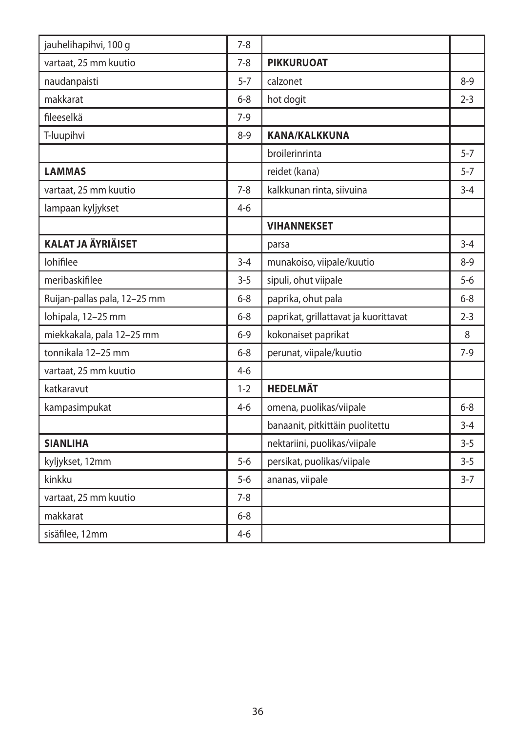| jauhelihapihvi, 100 g        | $7 - 8$ |                                       |         |
|------------------------------|---------|---------------------------------------|---------|
| vartaat, 25 mm kuutio        | $7 - 8$ | <b>PIKKURUOAT</b>                     |         |
| naudanpaisti                 | $5 - 7$ | calzonet                              | $8-9$   |
| makkarat                     | $6 - 8$ | hot dogit                             | $2 - 3$ |
| fileeselkä                   | $7-9$   |                                       |         |
| T-luupihvi                   | $8-9$   | <b>KANA/KALKKUNA</b>                  |         |
|                              |         | broilerinrinta                        | $5 - 7$ |
| <b>LAMMAS</b>                |         | reidet (kana)                         | $5 - 7$ |
| vartaat, 25 mm kuutio        | $7 - 8$ | kalkkunan rinta, siivuina             | $3 - 4$ |
| lampaan kyljykset            | $4-6$   |                                       |         |
|                              |         | <b>VIHANNEKSET</b>                    |         |
| <b>KALAT JA ÄYRIÄISET</b>    |         | parsa                                 | $3 - 4$ |
| lohifilee                    | $3 - 4$ | munakoiso, viipale/kuutio             | $8 - 9$ |
| meribaskifilee               | $3 - 5$ | sipuli, ohut viipale                  | $5-6$   |
| Ruijan-pallas pala, 12-25 mm | $6 - 8$ | paprika, ohut pala                    | $6 - 8$ |
| lohipala, 12-25 mm           | $6 - 8$ | paprikat, grillattavat ja kuorittavat | $2 - 3$ |
| miekkakala, pala 12-25 mm    | $6 - 9$ | kokonaiset paprikat                   | 8       |
| tonnikala 12-25 mm           | $6 - 8$ | perunat, viipale/kuutio               | $7-9$   |
| vartaat, 25 mm kuutio        | $4-6$   |                                       |         |
| katkaravut                   | $1 - 2$ | <b>HEDELMÄT</b>                       |         |
| kampasimpukat                | $4 - 6$ | omena, puolikas/viipale               | $6 - 8$ |
|                              |         | banaanit, pitkittäin puolitettu       | $3 - 4$ |
| <b>SIANLIHA</b>              |         | nektariini, puolikas/viipale          | $3 - 5$ |
| kyljykset, 12mm              | $5 - 6$ | persikat, puolikas/viipale            | $3 - 5$ |
| kinkku                       | $5 - 6$ | ananas, viipale                       | $3 - 7$ |
| vartaat, 25 mm kuutio        | $7 - 8$ |                                       |         |
| makkarat                     | $6 - 8$ |                                       |         |
| sisäfilee, 12mm              | $4 - 6$ |                                       |         |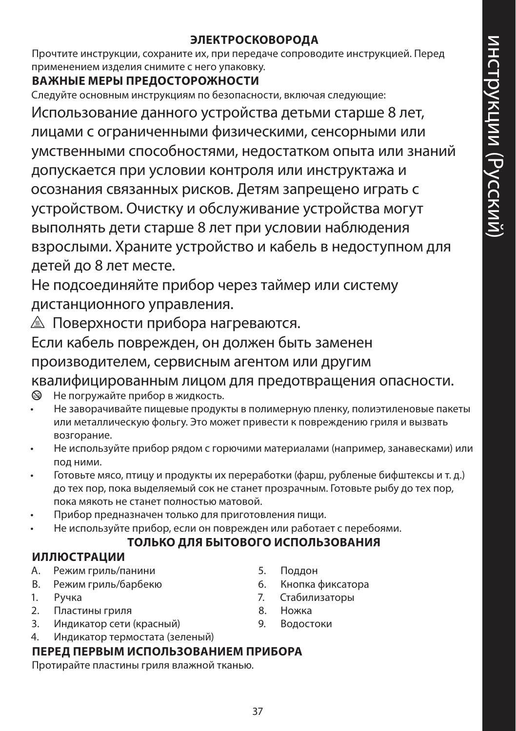#### **ЭЛЕКТРОСКОВОРОДА**

Прочтите инструкции, сохраните их, при передаче сопроводите инструкцией. Перед применением изделия снимите с него упаковку.

#### **ВАЖНЫЕ МЕРЫ ПРЕДОСТОРОЖНОСТИ**

Следуйте основным инструкциям по безопасности, включая следующие:

Использование данного устройства детьми старше 8 лет, лицами с ограниченными физическими, сенсорными или умственными способностями, недостатком опыта или знаний допускается при условии контроля или инструктажа и осознания связанных рисков. Детям запрещено играть с устройством. Очистку и обслуживание устройства могут выполнять дети старше 8 лет при условии наблюдения взрослыми. Храните устройство и кабель в недоступном для детей до 8 лет месте.

Не подсоединяйте прибор через таймер или систему дистанционного управления.

**<u>A</u>** Поверхности прибора нагреваются.

Если кабель поврежден, он должен быть заменен производителем, сервисным агентом или другим

квалифицированным лицом для предотвращения опасности.

- $\circledast$  Не погружайте прибор в жидкость.
- Не заворачивайте пищевые продукты в полимерную пленку, полиэтиленовые пакеты или металлическую фольгу. Это может привести к повреждению гриля и вызвать возгорание.
- Не используйте прибор рядом с горючими материалами (например, занавесками) или под ними.
- Готовьте мясо, птицу и продукты их переработки (фарш, рубленые бифштексы и т. д.) до тех пор, пока выделяемый сок не станет прозрачным. Готовьте рыбу до тех пор, пока мякоть не станет полностью матовой.
- Прибор предназначен только для приготовления пищи.
- Не используйте прибор, если он поврежден или работает с перебоями.

## **ТОЛЬКО ДЛЯ БЫТОВОГО ИСПОЛЬЗОВАНИЯ**

#### **ИЛЛЮСТРАЦИИ**

- A. Pежим гриль/панини
- B. Pежим гриль/барбекю
- 1. Pучка
- 2. Пластины гриля
- 3. Индикатор сети (красный)
- 4. Индикатор термостата (зеленый)

#### **ПЕРЕД ПЕРВЫМ ИСПОЛЬЗОВАНИЕМ ПРИБОРА**

Протирайте пластины гриля влажной тканью.

- 5. Поддон
- 6. Кнопка фиксатора
- 7. Стабилизаторы
- 8. Ножка
- 9. Водостоки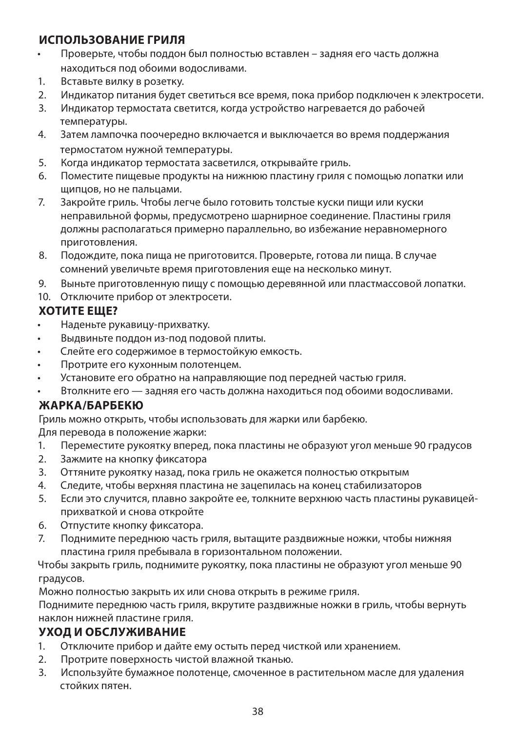#### **ИСПОЛЬЗОВАНИЕ ГРИЛЯ**

- Проверьте, чтобы поддон был полностью вставлен задняя его часть должна находиться под обоими водосливами.
- 1. Вставьте вилку в розетку.
- 2. Индикатор питания будет светиться все время, пока прибор подключен к электросети.
- 3. Индикатор термостата светится, когда устройство нагревается до рабочей температуры.
- 4. Затем лампочка поочередно включается и выключается во время поддержания термостатом нужной температуры.
- 5. Когда индикатор термостата засветился, открывайте гриль.
- 6. Поместите пищевые продукты на нижнюю пластину гриля с помощью лопатки или щипцов, но не пальцами.
- 7. Закройте гриль. Чтобы легче было готовить толстые куски пищи или куски неправильной формы, предусмотрено шарнирное соединение. Пластины гриля должны располагаться примерно параллельно, во избежание неравномерного приготовления.
- 8. Подождите, пока пища не приготовится. Проверьте, готова ли пища. В случае сомнений увеличьте время приготовления еще на несколько минут.
- 9. Выньте приготовленную пищу с помощью деревянной или пластмассовой лопатки.
- 10. Отключите прибор от электросети.

#### **ХОТИТЕ ЕЩЕ?**

- Наденьте рукавицу-прихватку.
- Выдвиньте поддон из-под подовой плиты.
- Слейте его содержимое в термостойкую емкость.
- Протрите его кухонным полотенцем.
- Установите его обратно на направляющие под передней частью гриля.
- Втолкните его задняя его часть должна находиться под обоими водосливами.

#### **ЖАРКА/БАРБЕКЮ**

Гриль можно открыть, чтобы использовать для жарки или барбекю.

Для перевода в положение жарки:

- 1. Переместите рукоятку вперед, пока пластины не образуют угол меньше 90 градусов
- 2. Зажмите на кнопку фиксатора
- 3. Оттяните рукоятку назад, пока гриль не окажется полностью открытым
- 4. Следите, чтобы верхняя пластина не зацепилась на конец стабилизаторов
- 5. Если это случится, плавно закройте ее, толкните верхнюю часть пластины рукавицейприхваткой и снова откройте
- 6. Отпустите кнопку фиксатора.
- 7. Поднимите переднюю часть гриля, вытащите раздвижные ножки, чтобы нижняя пластина гриля пребывала в горизонтальном положении.

Чтобы закрыть гриль, поднимите рукоятку, пока пластины не образуют угол меньше 90 градусов.

Можно полностью закрыть их или снова открыть в режиме гриля.

Поднимите переднюю часть гриля, вкрутите раздвижные ножки в гриль, чтобы вернуть наклон нижней пластине гриля.

#### **УХОД И ОБСЛУЖИВАНИЕ**

- 1. Отключите прибор и дайте ему остыть перед чисткой или хранением.
- 2. Протрите поверхность чистой влажной тканью.
- 3. Используйте бумажное полотенце, смоченное в растительном масле для удаления стойких пятен.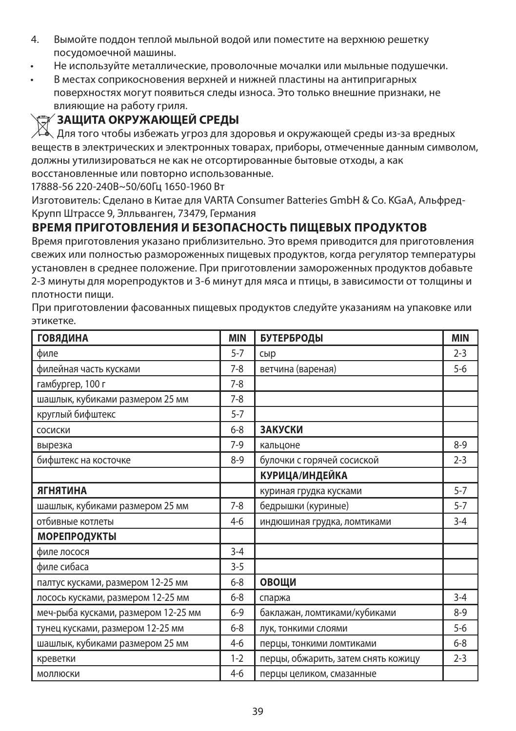- 4. Вымойте поддон теплой мыльной водой или поместите на верхнюю решетку посудомоечной машины.
- Не используйте металлические, проволочные мочалки или мыльные подушечки.
- В местах соприкосновения верхней и нижней пластины на антипригарных поверхностях могут появиться следы износа. Это только внешние признаки, не влияющие на работу гриля.

#### W**ЗАЩИТА ОКРУЖАЮЩЕЙ СРЕДЫ**

Для того чтобы избежать угроз для здоровья и окружающей среды из-за вредных веществ в электрических и электронных товарах, приборы, отмеченные данным символом, должны утилизироваться не как не отсортированные бытовые отходы, а как восстановленные или повторно использованные.

17888-56 220-240В~50/60Гц 1650-1960 Вт

Изготовитель: Cделано в Китае для VARTA Consumer Batteries GmbH & Co. KGaA, Альфред-Крупп Штрассе 9, Элльванген, 73479, Германия

#### **ВРЕМЯ ПРИГОТОВЛЕНИЯ И БЕЗОПАСНОСТЬ ПИЩЕВЫХ ПРОДУКТОВ**

Время приготовления указано приблизительно. Это время приводится для приготовления свежих или полностью размороженных пищевых продуктов, когда регулятор температуры установлен в среднее положение. При приготовлении замороженных продуктов добавьте 2-3 минуты для морепродуктов и 3-6 минут для мяса и птицы, в зависимости от толщины и плотности пищи.

При приготовлении фасованных пищевых продуктов следуйте указаниям на упаковке или этикетке.

| <b>ГОВЯДИНА</b>                     | <b>MIN</b> | БУТЕРБРОДЫ                          | <b>MIN</b> |
|-------------------------------------|------------|-------------------------------------|------------|
| филе                                | $5 - 7$    | сыр                                 | $2 - 3$    |
| филейная часть кусками              | $7 - 8$    | ветчина (вареная)                   | $5 - 6$    |
| гамбургер, 100 г                    | $7 - 8$    |                                     |            |
| шашлык, кубиками размером 25 мм     | $7-8$      |                                     |            |
| круглый бифштекс                    | $5 - 7$    |                                     |            |
| сосиски                             | $6 - 8$    | <b>ЗАКУСКИ</b>                      |            |
| вырезка                             | $7-9$      | кальцоне                            | $8 - 9$    |
| бифштекс на косточке                | $8 - 9$    | булочки с горячей сосиской          | $2 - 3$    |
|                                     |            | КУРИЦА/ИНДЕЙКА                      |            |
| <b>АГНЯТИНА</b>                     |            | куриная грудка кусками              | $5 - 7$    |
| шашлык, кубиками размером 25 мм     | $7 - 8$    | бедрышки (куриные)                  | $5 - 7$    |
| отбивные котлеты                    | 4-6        | индюшиная грудка, ломтиками         | $3 - 4$    |
| <b>МОРЕПРОДУКТЫ</b>                 |            |                                     |            |
| филе лосося                         | $3 - 4$    |                                     |            |
| филе сибаса                         | $3 - 5$    |                                     |            |
| палтус кусками, размером 12-25 мм   | $6 - 8$    | ОВОЩИ                               |            |
| лосось кусками, размером 12-25 мм   | $6 - 8$    | спаржа                              | $3 - 4$    |
| меч-рыба кусками, размером 12-25 мм | $6 - 9$    | баклажан, ломтиками/кубиками        | $8-9$      |
| тунец кусками, размером 12-25 мм    | $6 - 8$    | лук, тонкими слоями                 | $5 - 6$    |
| шашлык, кубиками размером 25 мм     | $4-6$      | перцы, тонкими ломтиками            | $6 - 8$    |
| креветки                            | $1 - 2$    | перцы, обжарить, затем снять кожицу | $2 - 3$    |
| МОЛЛЮСКИ                            | $4-6$      | перцы целиком, смазанные            |            |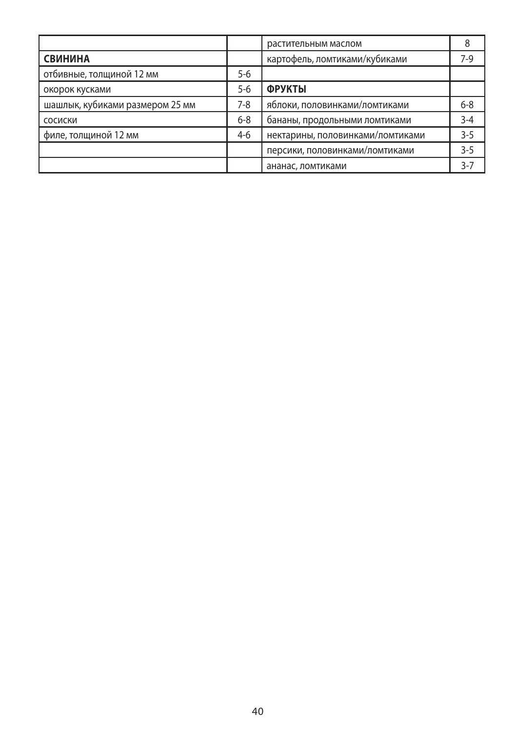|                                 |         | растительным маслом              | 8       |
|---------------------------------|---------|----------------------------------|---------|
| <b>СВИНИНА</b>                  |         | картофель, ломтиками/кубиками    | 7-9     |
| отбивные, толщиной 12 мм        | $5 - 6$ |                                  |         |
| окорок кусками                  | $5 - 6$ | <b>ФРУКТЫ</b>                    |         |
| шашлык, кубиками размером 25 мм | 7-8     | яблоки, половинками/ломтиками    | $6 - 8$ |
| СОСИСКИ                         | $6 - 8$ | бананы, продольными ломтиками    | $3 - 4$ |
| филе, толщиной 12 мм            | $4-6$   | нектарины, половинками/ломтиками | $3 - 5$ |
|                                 |         | персики, половинками/ломтиками   | $3 - 5$ |
|                                 |         | ананас, ломтиками                | $3 - 7$ |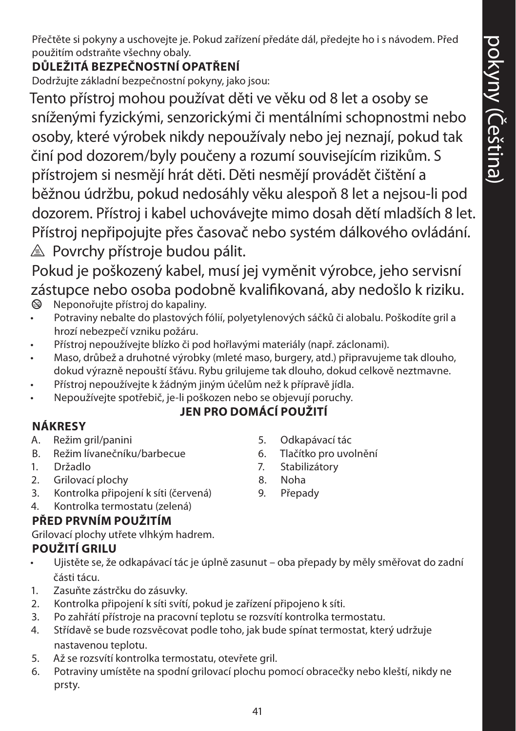Přečtěte si pokyny a uschovejte je. Pokud zařízení předáte dál, předejte ho i s návodem. Před použitím odstraňte všechny obaly.

# **DŮLEŽITÁ BEZPEČNOSTNÍ OPATŘENÍ**

Dodržujte základní bezpečnostní pokyny, jako jsou:

Tento přístroj mohou používat děti ve věku od 8 let a osoby se sníženými fyzickými, senzorickými či mentálními schopnostmi nebo osoby, které výrobek nikdy nepoužívaly nebo jej neznají, pokud tak činí pod dozorem/byly poučeny a rozumí souvisejícím rizikům. S přístrojem si nesmějí hrát děti. Děti nesmějí provádět čištění a běžnou údržbu, pokud nedosáhly věku alespoň 8 let a nejsou-li pod dozorem. Přístroj i kabel uchovávejte mimo dosah dětí mladších 8 let. Přístroj nepřipojujte přes časovač nebo systém dálkového ovládání.  $\triangle$  Povrchy přístroje budou pálit.

Pokud je poškozený kabel, musí jej vyměnit výrobce, jeho servisní zástupce nebo osoba podobně kvalifikovaná, aby nedošlo k riziku.  $\otimes$  Neponořujte přístroj do kapaliny.

- Potraviny nebalte do plastových fólií, polyetylenových sáčků či alobalu. Poškodíte gril a hrozí nebezpečí vzniku požáru.
- Přístroj nepoužívejte blízko či pod hořlavými materiály (např. záclonami).
- Maso, drůbež a druhotné výrobky (mleté maso, burgery, atd.) připravujeme tak dlouho, dokud výrazně nepouští šťávu. Rybu grilujeme tak dlouho, dokud celkově neztmavne.
- Přístroj nepoužívejte k žádným jiným účelům než k přípravě jídla.
- Nepoužívejte spotřebič, je-li poškozen nebo se objevují poruchy.

# **JEN PRO DOMÁCÍ POUŽITÍ**

# **NÁKRESY**

- A. Režim gril/panini
- B. Režim lívanečníku/barbecue
- 1. Držadlo
- 2. Grilovací plochy
- 3. Kontrolka připojení k síti (červená)
- 4. Kontrolka termostatu (zelená)

# **PŘED PRVNÍM POUŽITÍM**

Grilovací plochy utřete vlhkým hadrem.

# **POUŽITÍ GRILU**

- Ujistěte se, že odkapávací tác je úplně zasunut oba přepady by měly směřovat do zadní části tácu.
- 1. Zasuňte zástrčku do zásuvky.
- 2. Kontrolka připojení k síti svítí, pokud je zařízení připojeno k síti.
- 3. Po zahřátí přístroje na pracovní teplotu se rozsvítí kontrolka termostatu.
- 4. Střídavě se bude rozsvěcovat podle toho, jak bude spínat termostat, který udržuje nastavenou teplotu.
- 5. Až se rozsvítí kontrolka termostatu, otevřete gril.
- 6. Potraviny umístěte na spodní grilovací plochu pomocí obracečky nebo kleští, nikdy ne prsty.
- 5. Odkapávací tác
- 6. Tlačítko pro uvolnění
- 7. Stabilizátory
- 8. Noha
- 9. Přepady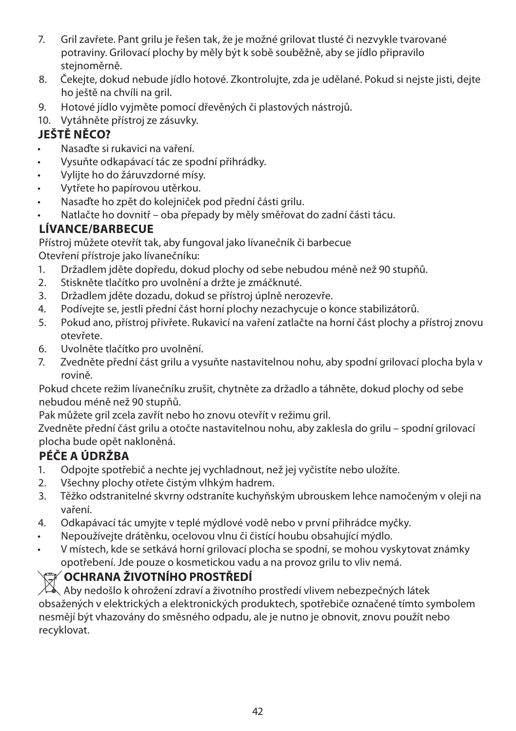- 7. Gril zavřete. Pant grilu je řešen tak, že je možné grilovat tlusté či nezvykle tvarované potraviny. Grilovací plochy by měly být k sobě souběžně, aby se jídlo připravilo stejnoměrně.
- 8. Čekejte, dokud nebude jídlo hotové. Zkontrolujte, zda je udělané. Pokud si nejste jisti, dejte ho ještě na chvíli na gril.
- 9. Hotové jídlo vyjměte pomocí dřevěných či plastových nástrojů.
- 10. Vytáhněte přístroj ze zásuvky.

## **JEŠTĚ NĚCO?**

- Nasaďte si rukavici na vaření.
- Vysuňte odkapávací tác ze spodní přihrádky.
- Vylijte ho do žáruvzdorné mísy.
- Vytřete ho papírovou utěrkou.
- Nasaďte ho zpět do kolejniček pod přední části grilu.
- Natlačte ho dovnitř oba přepady by měly směřovat do zadní části tácu.

## **LÍVANCE/BARBECUE**

Přístroj můžete otevřít tak, aby fungoval jako lívanečník či barbecue Otevření přístroje jako lívanečníku:

- 1. Držadlem jděte dopředu, dokud plochy od sebe nebudou méně než 90 stupňů.
- 2. Stiskněte tlačítko pro uvolnění a držte je zmáčknuté.
- 3. Držadlem jděte dozadu, dokud se přístroj úplně nerozevře.
- 4. Podívejte se, jestli přední část horní plochy nezachycuje o konce stabilizátorů.
- 5. Pokud ano, přístroj přivřete. Rukavicí na vaření zatlačte na horní část plochy a přístroj znovu otevřete.
- 6. Uvolněte tlačítko pro uvolnění.
- 7. Zvedněte přední část grilu a vysuňte nastavitelnou nohu, aby spodní grilovací plocha byla v rovině.

Pokud chcete režim lívanečníku zrušit, chytněte za držadlo a táhněte, dokud plochy od sebe nebudou méně než 90 stupňů.

Pak můžete gril zcela zavřít nebo ho znovu otevřít v režimu gril.

Zvedněte přední část grilu a otočte nastavitelnou nohu, aby zaklesla do grilu – spodní grilovací plocha bude opět nakloněná.

## **PÉČE A ÚDRŽBA**

- 1. Odpojte spotřebič a nechte jej vychladnout, než jej vyčistíte nebo uložíte.
- 2. Všechny plochy otřete čistým vlhkým hadrem.
- 3. Těžko odstranitelné skvrny odstraníte kuchyňským ubrouskem lehce namočeným v oleji na vaření.
- 4. Odkapávací tác umyjte v teplé mýdlové vodě nebo v první přihrádce myčky.
- Nepoužívejte drátěnku, ocelovou vlnu či čistící houbu obsahující mýdlo.
- V místech, kde se setkává horní grilovací plocha se spodní, se mohou vyskytovat známky opotřebení. Jde pouze o kosmetickou vadu a na provoz grilu to vliv nemá.

# W**OCHRANA ŽIVOTNÍHO PROSTŘEDÍ**

 $\mathbb{X}_{\bullet}$  Aby nedošlo k ohrožení zdraví a životního prostředí vlivem nebezpečných látek obsažených v elektrických a elektronických produktech, spotřebiče označené tímto symbolem nesmějí být vhazovány do směsného odpadu, ale je nutno je obnovit, znovu použít nebo recyklovat.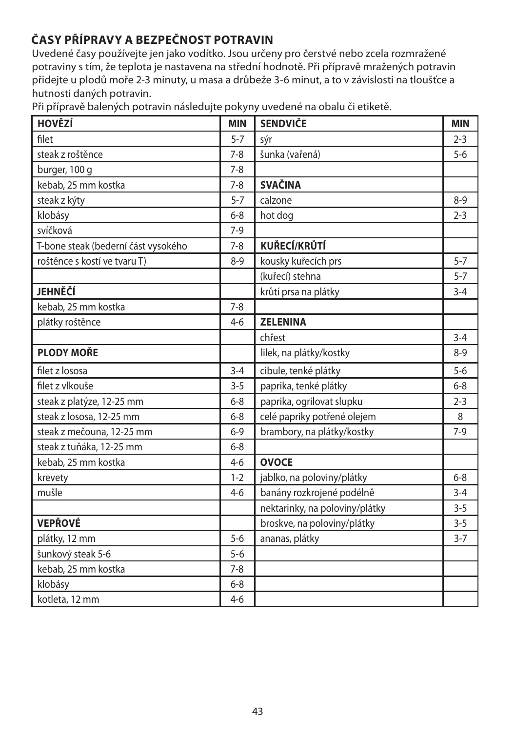# **ČASY PŘÍPRAVY A BEZPEČNOST POTRAVIN**

Uvedené časy používejte jen jako vodítko. Jsou určeny pro čerstvé nebo zcela rozmražené potraviny s tím, že teplota je nastavena na střední hodnotě. Při přípravě mražených potravin přidejte u plodů moře 2-3 minuty, u masa a drůbeže 3-6 minut, a to v závislosti na tloušťce a hutnosti daných potravin.

Při přípravě balených potravin následujte pokyny uvedené na obalu či etiketě.

| <b>HOVĚZÍ</b>                       | <b>MIN</b> | <b>SENDVIČE</b>                | <b>MIN</b> |
|-------------------------------------|------------|--------------------------------|------------|
| filet                               | $5 - 7$    | sýr                            | $2 - 3$    |
| steak z roštěnce                    | $7 - 8$    | šunka (vařená)                 | $5 - 6$    |
| burger, 100 g                       | $7 - 8$    |                                |            |
| kebab, 25 mm kostka                 | $7 - 8$    | <b>SVAČINA</b>                 |            |
| steak z kýty                        | $5 - 7$    | calzone                        | $8 - 9$    |
| klobásy                             | $6 - 8$    | hot dog                        | $2 - 3$    |
| svíčková                            | $7-9$      |                                |            |
| T-bone steak (bederní část vysokého | $7 - 8$    | KUŘECÍ/KRŮTÍ                   |            |
| roštěnce s kostí ve tvaru T)        | $8 - 9$    | kousky kuřecích prs            | $5 - 7$    |
|                                     |            | (kuřecí) stehna                | $5 - 7$    |
| <b>JEHNĚČÍ</b>                      |            | krůtí prsa na plátky           | $3 - 4$    |
| kebab, 25 mm kostka                 | $7 - 8$    |                                |            |
| plátky roštěnce                     | $4 - 6$    | <b>ZELENINA</b>                |            |
|                                     |            | chřest                         | $3 - 4$    |
| <b>PLODY MOŘE</b>                   |            | lilek, na plátky/kostky        | $8 - 9$    |
| filet z lososa                      | $3 - 4$    | cibule, tenké plátky           | $5 - 6$    |
| filet z vlkouše                     | $3 - 5$    | paprika, tenké plátky          | $6 - 8$    |
| steak z platýze, 12-25 mm           | $6 - 8$    | paprika, ogrilovat slupku      | $2 - 3$    |
| steak z lososa, 12-25 mm            | $6 - 8$    | celé papriky potřené olejem    | 8          |
| steak z mečouna, 12-25 mm           | $6 - 9$    | brambory, na plátky/kostky     | $7-9$      |
| steak z tuňáka, 12-25 mm            | $6 - 8$    |                                |            |
| kebab, 25 mm kostka                 | $4 - 6$    | <b>OVOCE</b>                   |            |
| krevety                             | $1 - 2$    | jablko, na poloviny/plátky     | $6 - 8$    |
| mušle                               | $4 - 6$    | banány rozkrojené podélně      | $3 - 4$    |
|                                     |            | nektarinky, na poloviny/plátky | $3 - 5$    |
| <b>VEPŘOVÉ</b>                      |            | broskve, na poloviny/plátky    | $3 - 5$    |
| plátky, 12 mm                       | $5-6$      | ananas, plátky                 | $3 - 7$    |
| šunkový steak 5-6                   | $5 - 6$    |                                |            |
| kebab, 25 mm kostka                 | $7 - 8$    |                                |            |
| klobásy                             | $6 - 8$    |                                |            |
| kotleta, 12 mm                      | $4 - 6$    |                                |            |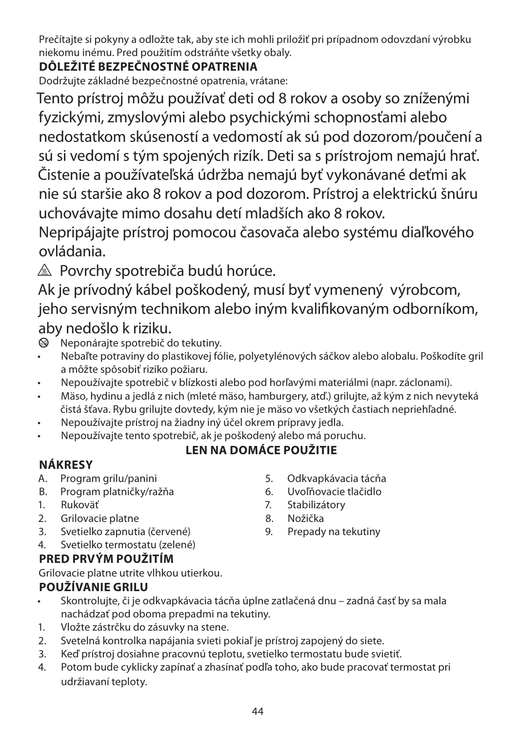Prečítajte si pokyny a odložte tak, aby ste ich mohli priložiť pri prípadnom odovzdaní výrobku niekomu inému. Pred použitím odstráňte všetky obaly.

# **DÔLEŽITÉ BEZPEČNOSTNÉ OPATRENIA**

Dodržujte základné bezpečnostné opatrenia, vrátane:

Tento prístroj môžu používať deti od 8 rokov a osoby so zníženými fyzickými, zmyslovými alebo psychickými schopnosťami alebo nedostatkom skúseností a vedomostí ak sú pod dozorom/poučení a sú si vedomí s tým spojených rizík. Deti sa s prístrojom nemajú hrať. Čistenie a používateľská údržba nemajú byť vykonávané deťmi ak nie sú staršie ako 8 rokov a pod dozorom. Prístroj a elektrickú šnúru uchovávajte mimo dosahu detí mladších ako 8 rokov.

Nepripájajte prístroj pomocou časovača alebo systému diaľkového ovládania.

 $\triangle$  Povrchy spotrebiča budú horúce.

Ak je prívodný kábel poškodený, musí byť vymenený výrobcom, jeho servisným technikom alebo iným kvalifikovaným odborníkom, aby nedošlo k riziku.

- Neponárajte spotrebič do tekutiny.
- Nebaľte potraviny do plastikovej fólie, polyetylénových sáčkov alebo alobalu. Poškodíte gril a môžte spôsobiť riziko požiaru.
- Nepoužívajte spotrebič v blízkosti alebo pod horľavými materiálmi (napr. záclonami).
- Mäso, hydinu a jedlá z nich (mleté mäso, hamburgery, atď.) grilujte, až kým z nich nevyteká čistá šťava. Rybu grilujte dovtedy, kým nie je mäso vo všetkých častiach nepriehľadné.
- Nepoužívajte prístroj na žiadny iný účel okrem prípravy jedla.
- Nepoužívajte tento spotrebič, ak je poškodený alebo má poruchu.

## **LEN NA DOMÁCE POUŽITIE**

# **NÁKRESY**

- A. Program grilu/panini
- B. Program platničky/ražňa
- 1. Rukoväť
- 2. Grilovacie platne
- 3. Svetielko zapnutia (červené)
- 4. Svetielko termostatu (zelené)

# **PRED PRVÝM POUŽITÍM**

Grilovacie platne utrite vlhkou utierkou.

# **POUŽÍVANIE GRILU**

- Skontrolujte, či je odkvapkávacia tácňa úplne zatlačená dnu zadná časť by sa mala nachádzať pod oboma prepadmi na tekutiny.
- 1. Vložte zástrčku do zásuvky na stene.
- 2. Svetelná kontrolka napájania svieti pokiaľ je prístroj zapojený do siete.
- 3. Keď prístroj dosiahne pracovnú teplotu, svetielko termostatu bude svietiť.
- 4. Potom bude cyklicky zapínať a zhasínať podľa toho, ako bude pracovať termostat pri udržiavaní teploty.
- 5. Odkvapkávacia tácňa
- 6. Uvoľňovacie tlačidlo
- 7. Stabilizátory
- 8. Nožička
- 9. Prepady na tekutiny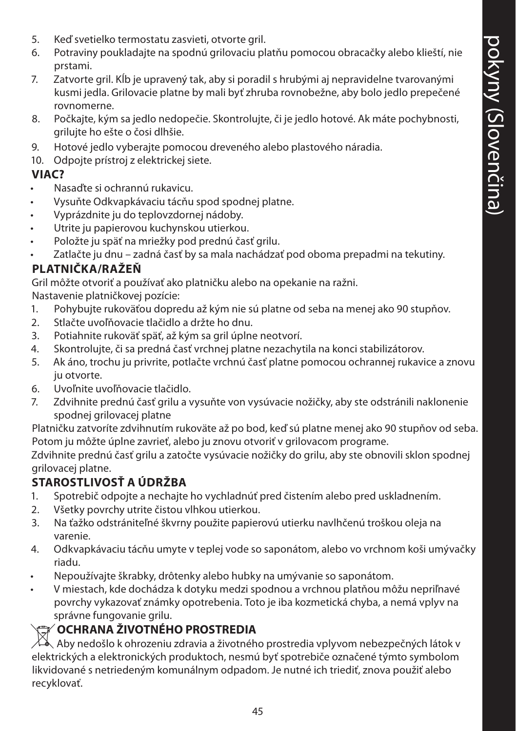- 5. Keď svetielko termostatu zasvieti, otvorte gril.
- 6. Potraviny poukladajte na spodnú grilovaciu platňu pomocou obracačky alebo klieští, nie prstami.
- 7. Zatvorte gril. Kĺb je upravený tak, aby si poradil s hrubými aj nepravidelne tvarovanými kusmi jedla. Grilovacie platne by mali byť zhruba rovnobežne, aby bolo jedlo prepečené rovnomerne.
- 8. Počkajte, kým sa jedlo nedopečie. Skontrolujte, či je jedlo hotové. Ak máte pochybnosti, grilujte ho ešte o čosi dlhšie.
- 9. Hotové jedlo vyberajte pomocou dreveného alebo plastového náradia.
- 10. Odpojte prístroj z elektrickej siete.

#### **VIAC?**

- Nasaďte si ochrannú rukavicu.
- Vysuňte Odkvapkávaciu tácňu spod spodnej platne.
- Vyprázdnite ju do teplovzdornej nádoby.
- Utrite ju papierovou kuchynskou utierkou.
- Položte ju späť na mriežky pod prednú časť grilu.
- Zatlačte ju dnu zadná časť by sa mala nachádzať pod oboma prepadmi na tekutiny.

#### **PLATNIČKA/RAŽEŇ**

Gril môžte otvoriť a používať ako platničku alebo na opekanie na ražni.

Nastavenie platničkovej pozície:

- 1. Pohybujte rukoväťou dopredu až kým nie sú platne od seba na menej ako 90 stupňov.
- 2. Stlačte uvoľňovacie tlačidlo a držte ho dnu.
- 3. Potiahnite rukoväť späť, až kým sa gril úplne neotvorí.
- 4. Skontrolujte, či sa predná časť vrchnej platne nezachytila na konci stabilizátorov.
- 5. Ak áno, trochu ju privrite, potlačte vrchnú časť platne pomocou ochrannej rukavice a znovu ju otvorte.
- 6. Uvoľnite uvoľňovacie tlačidlo.
- 7. Zdvihnite prednú časť grilu a vysuňte von vysúvacie nožičky, aby ste odstránili naklonenie spodnej grilovacej platne

Platničku zatvoríte zdvihnutím rukoväte až po bod, keď sú platne menej ako 90 stupňov od seba. Potom ju môžte úplne zavrieť, alebo ju znovu otvoriť v grilovacom programe.

Zdvihnite prednú časť grilu a zatočte vysúvacie nožičky do grilu, aby ste obnovili sklon spodnej grilovacej platne.

#### **STAROSTLIVOSŤ A ÚDRŽBA**

- 1. Spotrebič odpojte a nechajte ho vychladnúť pred čistením alebo pred uskladnením.
- 2. Všetky povrchy utrite čistou vlhkou utierkou.
- 3. Na ťažko odstrániteľné škvrny použite papierovú utierku navlhčenú troškou oleja na varenie.
- 4. Odkvapkávaciu tácňu umyte v teplej vode so saponátom, alebo vo vrchnom koši umývačky riadu.
- Nepoužívajte škrabky, drôtenky alebo hubky na umývanie so saponátom.
- V miestach, kde dochádza k dotyku medzi spodnou a vrchnou platňou môžu nepriľnavé povrchy vykazovať známky opotrebenia. Toto je iba kozmetická chyba, a nemá vplyv na správne fungovanie grilu.

#### W**OCHRANA ŽIVOTNÉHO PROSTREDIA**

Aby nedošlo k ohrozeniu zdravia a životného prostredia vplyvom nebezpečných látok v elektrických a elektronických produktoch, nesmú byť spotrebiče označené týmto symbolom likvidované s netriedeným komunálnym odpadom. Je nutné ich triediť, znova použiť alebo recyklovať.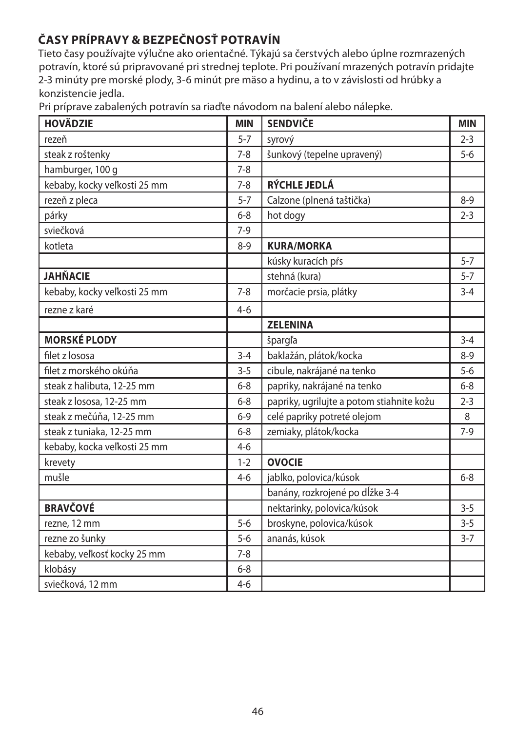# **ČASY PRÍPRAVY & BEZPEČNOSŤ POTRAVÍN**

Tieto časy používajte výlučne ako orientačné. Týkajú sa čerstvých alebo úplne rozmrazených potravín, ktoré sú pripravované pri strednej teplote. Pri používaní mrazených potravín pridajte 2-3 minúty pre morské plody, 3-6 minút pre mäso a hydinu, a to v závislosti od hrúbky a konzistencie jedla.

Pri príprave zabalených potravín sa riaďte návodom na balení alebo nálepke.

| <b>HOVÄDZIE</b>              | <b>MIN</b> | <b>SENDVIČE</b>                           | <b>MIN</b> |
|------------------------------|------------|-------------------------------------------|------------|
| rezeň                        | $5 - 7$    | syrový                                    | $2 - 3$    |
| steak z roštenky             | $7 - 8$    | šunkový (tepelne upravený)                | $5-6$      |
| hamburger, 100 g             | $7 - 8$    |                                           |            |
| kebaby, kocky veľkosti 25 mm | $7 - 8$    | RÝCHLE JEDLÁ                              |            |
| rezeň z pleca                | $5 - 7$    | Calzone (plnená taštička)                 | $8 - 9$    |
| párky                        | $6 - 8$    | hot dogy                                  | $2 - 3$    |
| sviečková                    | $7-9$      |                                           |            |
| kotleta                      | $8 - 9$    | <b>KURA/MORKA</b>                         |            |
|                              |            | kúsky kuracích pŕs                        | $5 - 7$    |
| <b>JAHŇACIE</b>              |            | stehná (kura)                             | $5 - 7$    |
| kebaby, kocky veľkosti 25 mm | $7 - 8$    | morčacie prsia, plátky                    | $3 - 4$    |
| rezne z karé                 | $4 - 6$    |                                           |            |
|                              |            | <b>ZELENINA</b>                           |            |
| <b>MORSKÉ PLODY</b>          |            | špargľa                                   | $3 - 4$    |
| filet z lososa               | $3 - 4$    | baklažán, plátok/kocka                    | $8 - 9$    |
| filet z morského okúňa       | $3 - 5$    | cibule, nakrájané na tenko                | $5 - 6$    |
| steak z halibuta, 12-25 mm   | $6 - 8$    | papriky, nakrájané na tenko               | $6 - 8$    |
| steak z lososa, 12-25 mm     | $6 - 8$    | papriky, ugrilujte a potom stiahnite kožu | $2 - 3$    |
| steak z mečúňa, 12-25 mm     | $6 - 9$    | celé papriky potreté olejom               | 8          |
| steak z tuniaka, 12-25 mm    | $6 - 8$    | zemiaky, plátok/kocka                     | $7-9$      |
| kebaby, kocka veľkosti 25 mm | $4 - 6$    |                                           |            |
| krevety                      | $1 - 2$    | <b>OVOCIE</b>                             |            |
| mušle                        | $4 - 6$    | jablko, polovica/kúsok                    | $6 - 8$    |
|                              |            | banány, rozkrojené po dĺžke 3-4           |            |
| <b>BRAVČOVÉ</b>              |            | nektarinky, polovica/kúsok                | $3 - 5$    |
| rezne, 12 mm                 | $5 - 6$    | broskyne, polovica/kúsok                  | $3 - 5$    |
| rezne zo šunky               | $5 - 6$    | ananás, kúsok                             | $3 - 7$    |
| kebaby, veľkosť kocky 25 mm  | $7 - 8$    |                                           |            |
| klobásy                      | $6 - 8$    |                                           |            |
| sviečková, 12 mm             | $4 - 6$    |                                           |            |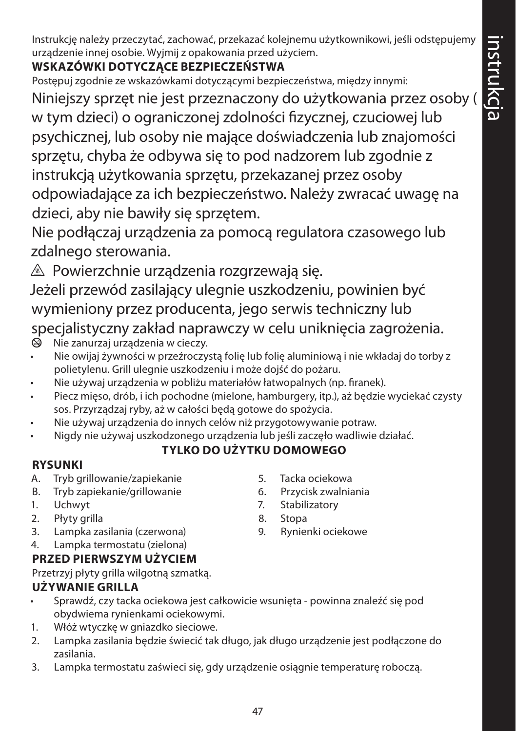Instrukcję należy przeczytać, zachować, przekazać kolejnemu użytkownikowi, jeśli odstępujemy urządzenie innej osobie. Wyjmij z opakowania przed użyciem.

# **WSKAZÓWKI DOTYCZĄCE BEZPIECZEŃSTWA**

Postępuj zgodnie ze wskazówkami dotyczącymi bezpieczeństwa, między innymi:

Niniejszy sprzęt nie jest przeznaczony do użytkowania przez osoby ( w tym dzieci) o ograniczonej zdolności fizycznej, czuciowej lub psychicznej, lub osoby nie mające doświadczenia lub znajomości sprzętu, chyba że odbywa się to pod nadzorem lub zgodnie z instrukcją użytkowania sprzętu, przekazanej przez osoby odpowiadające za ich bezpieczeństwo. Należy zwracać uwagę na dzieci, aby nie bawiły się sprzętem.

Nie podłączaj urządzenia za pomocą regulatora czasowego lub zdalnego sterowania.

 $\triangle$  Powierzchnie urządzenia rozgrzewają się.

Jeżeli przewód zasilający ulegnie uszkodzeniu, powinien być wymieniony przez producenta, jego serwis techniczny lub specjalistyczny zakład naprawczy w celu uniknięcia zagrożenia.

- $\circledA$  Nie zanurzaj urządzenia w cieczy.
- Nie owijaj żywności w przeźroczystą folię lub folię aluminiową i nie wkładaj do torby z polietylenu. Grill ulegnie uszkodzeniu i może dojść do pożaru.
- Nie używaj urządzenia w pobliżu materiałów łatwopalnych (np. firanek).
- Piecz mięso, drób, i ich pochodne (mielone, hamburgery, itp.), aż będzie wyciekać czysty sos. Przyrządzaj ryby, aż w całości będą gotowe do spożycia.
- Nie używaj urządzenia do innych celów niż przygotowywanie potraw.
- Nigdy nie używaj uszkodzonego urządzenia lub jeśli zaczęło wadliwie działać.

# **TYLKO DO UŻYTKU DOMOWEGO**

# **RYSUNKI**

- A. Tryb grillowanie/zapiekanie
- B. Tryb zapiekanie/grillowanie
- 1. Uchwyt
- 2. Płyty grilla
- 3. Lampka zasilania (czerwona)
- 4. Lampka termostatu (zielona)

# **PRZED PIERWSZYM UŻYCIEM**

Przetrzyj płyty grilla wilgotną szmatką.

# **UŻYWANIE GRILLA**

- Sprawdź, czy tacka ociekowa jest całkowicie wsunięta powinna znaleźć się pod obydwiema rynienkami ociekowymi.
- 1. Włóż wtyczkę w gniazdko sieciowe.
- 2. Lampka zasilania będzie świecić tak długo, jak długo urządzenie jest podłączone do zasilania.
- 3. Lampka termostatu zaświeci się, gdy urządzenie osiągnie temperaturę roboczą.
- 5. Tacka ociekowa
- 6. Przycisk zwalniania
- 7. Stabilizatory
- 8. Stopa
- 9. Rynienki ociekowe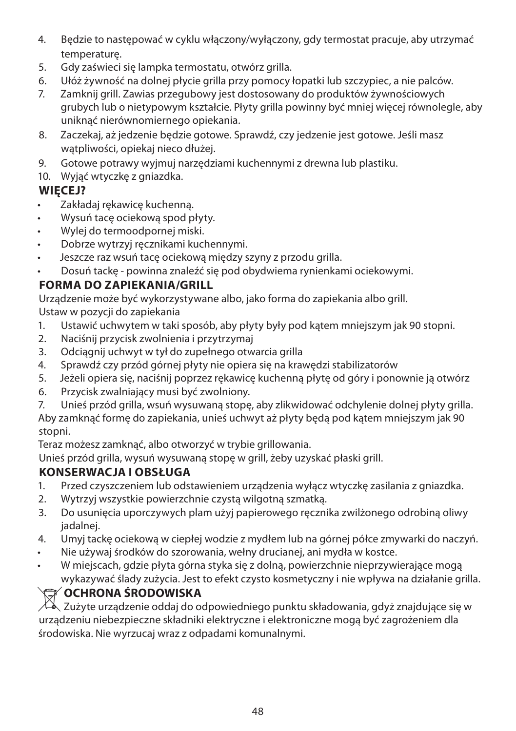- 4. Będzie to następować w cyklu włączony/wyłączony, gdy termostat pracuje, aby utrzymać temperaturę.
- 5. Gdy zaświeci się lampka termostatu, otwórz grilla.
- 6. Ułóż żywność na dolnej płycie grilla przy pomocy łopatki lub szczypiec, a nie palców.
- 7. Zamknij grill. Zawias przegubowy jest dostosowany do produktów żywnościowych grubych lub o nietypowym kształcie. Płyty grilla powinny być mniej więcej równolegle, aby uniknąć nierównomiernego opiekania.
- 8. Zaczekaj, aż jedzenie będzie gotowe. Sprawdź, czy jedzenie jest gotowe. Jeśli masz wątpliwości, opiekaj nieco dłużej.
- 9. Gotowe potrawy wyjmuj narzędziami kuchennymi z drewna lub plastiku.
- 10. Wyjąć wtyczkę z gniazdka.

## **WIĘCEJ?**

- Zakładaj rękawicę kuchenną.
- Wysuń tacę ociekową spod płyty.
- Wylej do termoodpornej miski.
- Dobrze wytrzyj ręcznikami kuchennymi.
- Jeszcze raz wsuń tacę ociekową między szyny z przodu grilla.
- Dosuń tackę powinna znaleźć się pod obydwiema rynienkami ociekowymi.

## **FORMA DO ZAPIEKANIA/GRILL**

Urządzenie może być wykorzystywane albo, jako forma do zapiekania albo grill. Ustaw w pozycji do zapiekania

- 1. Ustawić uchwytem w taki sposób, aby płyty były pod kątem mniejszym jak 90 stopni.
- 2. Naciśnij przycisk zwolnienia i przytrzymaj
- 3. Odciągnij uchwyt w tył do zupełnego otwarcia grilla
- 4. Sprawdź czy przód górnej płyty nie opiera się na krawędzi stabilizatorów
- 5. Jeżeli opiera się, naciśnij poprzez rękawicę kuchenną płytę od góry i ponownie ją otwórz
- 6. Przycisk zwalniający musi być zwolniony.
- 7. Unieś przód grilla, wsuń wysuwaną stopę, aby zlikwidować odchylenie dolnej płyty grilla.

Aby zamknąć formę do zapiekania, unieś uchwyt aż płyty będą pod kątem mniejszym jak 90 stopni.

Teraz możesz zamknąć, albo otworzyć w trybie grillowania.

Unieś przód grilla, wysuń wysuwaną stopę w grill, żeby uzyskać płaski grill.

# **KONSERWACJA I OBSŁUGA**

- 1. Przed czyszczeniem lub odstawieniem urządzenia wyłącz wtyczkę zasilania z gniazdka.
- 2. Wytrzyj wszystkie powierzchnie czystą wilgotną szmatką.
- 3. Do usunięcia uporczywych plam użyj papierowego ręcznika zwilżonego odrobiną oliwy jadalnej.
- 4. Umyj tackę ociekową w ciepłej wodzie z mydłem lub na górnej półce zmywarki do naczyń.
- Nie używaj środków do szorowania, wełny drucianej, ani mydła w kostce.
- W miejscach, gdzie płyta górna styka się z dolną, powierzchnie nieprzywierające mogą wykazywać ślady zużycia. Jest to efekt czysto kosmetyczny i nie wpływa na działanie grilla.

# W**OCHRONA ŚRODOWISKA**

Zużyte urządzenie oddaj do odpowiedniego punktu składowania, gdyż znajdujące się w urządzeniu niebezpieczne składniki elektryczne i elektroniczne mogą być zagrożeniem dla środowiska. Nie wyrzucaj wraz z odpadami komunalnymi.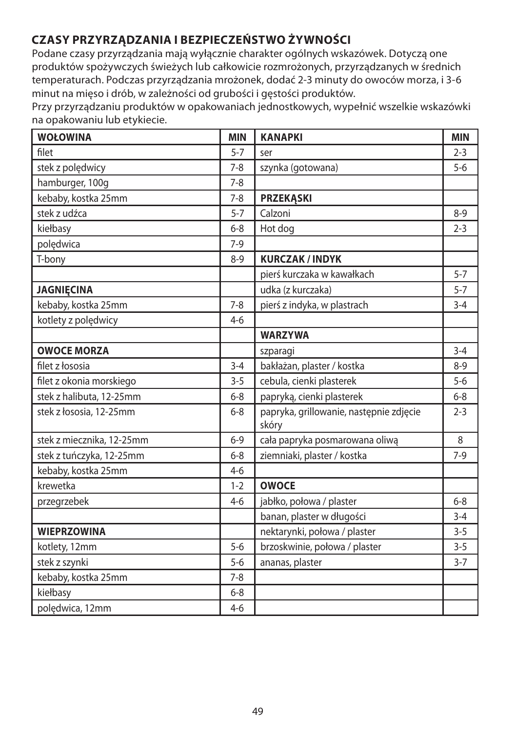# **CZASY PRZYRZĄDZANIA I BEZPIECZEŃSTWO ŻYWNOŚCI**

Podane czasy przyrządzania mają wyłącznie charakter ogólnych wskazówek. Dotyczą one produktów spożywczych świeżych lub całkowicie rozmrożonych, przyrządzanych w średnich temperaturach. Podczas przyrządzania mrożonek, dodać 2-3 minuty do owoców morza, i 3-6 minut na mięso i drób, w zależności od grubości i gęstości produktów.

Przy przyrządzaniu produktów w opakowaniach jednostkowych, wypełnić wszelkie wskazówki na opakowaniu lub etykiecie.

| <b>WOŁOWINA</b>           | <b>MIN</b> | <b>KANAPKI</b>                                   | <b>MIN</b> |
|---------------------------|------------|--------------------------------------------------|------------|
| filet                     | $5 - 7$    | ser                                              | $2 - 3$    |
| stek z polędwicy          | $7 - 8$    | szynka (gotowana)                                | $5-6$      |
| hamburger, 100g           | $7 - 8$    |                                                  |            |
| kebaby, kostka 25mm       | $7 - 8$    | <b>PRZEKĄSKI</b>                                 |            |
| stek z udźca              | $5 - 7$    | Calzoni                                          | $8-9$      |
| kiełbasy                  | $6 - 8$    | Hot dog                                          | $2 - 3$    |
| polędwica                 | $7-9$      |                                                  |            |
| T-bony                    | $8 - 9$    | <b>KURCZAK/INDYK</b>                             |            |
|                           |            | pierś kurczaka w kawałkach                       | $5 - 7$    |
| <b>JAGNIECINA</b>         |            | udka (z kurczaka)                                | $5 - 7$    |
| kebaby, kostka 25mm       | $7 - 8$    | pierś z indyka, w plastrach                      | $3 - 4$    |
| kotlety z polędwicy       | $4 - 6$    |                                                  |            |
|                           |            | <b>WARZYWA</b>                                   |            |
| <b>OWOCE MORZA</b>        |            | szparagi                                         | $3 - 4$    |
| filet z łososia           | $3 - 4$    | bakłażan, plaster / kostka                       | $8 - 9$    |
| filet z okonia morskiego  | $3 - 5$    | cebula, cienki plasterek                         | $5-6$      |
| stek z halibuta, 12-25mm  | $6 - 8$    | papryką, cienki plasterek                        | $6 - 8$    |
| stek z łososia, 12-25mm   | $6 - 8$    | papryka, grillowanie, następnie zdjęcie<br>skóry | $2 - 3$    |
| stek z miecznika, 12-25mm | $6 - 9$    | cała papryka posmarowana oliwą                   | 8          |
| stek z tuńczyka, 12-25mm  | $6 - 8$    | ziemniaki, plaster / kostka                      | $7-9$      |
| kebaby, kostka 25mm       | $4 - 6$    |                                                  |            |
| krewetka                  | $1 - 2$    | <b>OWOCE</b>                                     |            |
| przegrzebek               | $4 - 6$    | jabłko, połowa / plaster                         | $6 - 8$    |
|                           |            | banan, plaster w długości                        | $3 - 4$    |
| <b>WIEPRZOWINA</b>        |            | nektarynki, połowa / plaster                     | $3 - 5$    |
| kotlety, 12mm             | $5-6$      | brzoskwinie, połowa / plaster                    | $3 - 5$    |
| stek z szynki             | $5 - 6$    | ananas, plaster                                  | $3 - 7$    |
| kebaby, kostka 25mm       | $7 - 8$    |                                                  |            |
| kiełbasy                  | $6 - 8$    |                                                  |            |
| polędwica, 12mm           | $4-6$      |                                                  |            |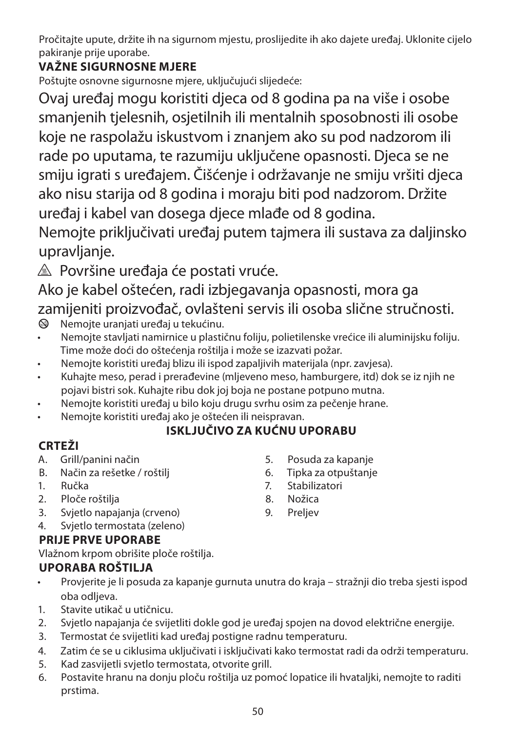Pročitajte upute, držite ih na sigurnom mjestu, proslijedite ih ako dajete uređaj. Uklonite cijelo pakiranje prije uporabe.

# **VAŽNE SIGURNOSNE MJERE**

Poštujte osnovne sigurnosne mjere, uključujući slijedeće:

Ovaj uređaj mogu koristiti djeca od 8 godina pa na više i osobe smanjenih tjelesnih, osjetilnih ili mentalnih sposobnosti ili osobe koje ne raspolažu iskustvom i znanjem ako su pod nadzorom ili rade po uputama, te razumiju uključene opasnosti. Djeca se ne smiju igrati s uređajem. Čišćenje i održavanje ne smiju vršiti djeca ako nisu starija od 8 godina i moraju biti pod nadzorom. Držite uređaj i kabel van dosega djece mlađe od 8 godina.

Nemojte priključivati uređaj putem tajmera ili sustava za daljinsko upravljanje.

 $\triangle$  Površine uređaja će postati vruće.

Ako je kabel oštećen, radi izbjegavanja opasnosti, mora ga zamijeniti proizvođač, ovlašteni servis ili osoba slične stručnosti.<br><sup>@</sup> Nemoite uraniati uređaj u tekućinu.

- b Nemojte uranjati uređaj u tekućinu.
- Nemojte stavljati namirnice u plastičnu foliju, polietilenske vrećice ili aluminijsku foliju. Time može doći do oštećenja roštilja i može se izazvati požar.
- Nemojte koristiti uređaj blizu ili ispod zapaljivih materijala (npr. zavjesa).
- Kuhajte meso, perad i prerađevine (mljeveno meso, hamburgere, itd) dok se iz njih ne pojavi bistri sok. Kuhajte ribu dok joj boja ne postane potpuno mutna.
- Nemojte koristiti uređaj u bilo koju drugu svrhu osim za pečenje hrane.
- Nemojte koristiti uređaj ako je oštećen ili neispravan.

## **ISKLJUČIVO ZA KUĆNU UPORABU**

# **CRTEŽI**

- A. Grill/panini način
- B. Način za rešetke / roštilj
- 1. Ručka
- 2. Ploče roštilja
- 3. Svjetlo napajanja (crveno)
- 4. Svjetlo termostata (zeleno)

## **PRIJE PRVE UPORABE**

Vlažnom krpom obrišite ploče roštilja.

# **UPORABA ROŠTILJA**

- Provjerite je li posuda za kapanje gurnuta unutra do kraja stražnji dio treba sjesti ispod oba odljeva.
- 1. Stavite utikač u utičnicu.
- 2. Svjetlo napajanja će svijetliti dokle god je uređaj spojen na dovod električne energije.
- 3. Termostat će svijetliti kad uređaj postigne radnu temperaturu.
- 4. Zatim će se u ciklusima uključivati i isključivati kako termostat radi da održi temperaturu.
- 5. Kad zasvijetli svjetlo termostata, otvorite grill.
- 6. Postavite hranu na donju ploču roštilja uz pomoć lopatice ili hvataljki, nemojte to raditi prstima.
	- 50
- 5. Posuda za kapanje
- 6. Tipka za otpuštanje
- 7. Stabilizatori
- 8. Nožica
- 9. Preljev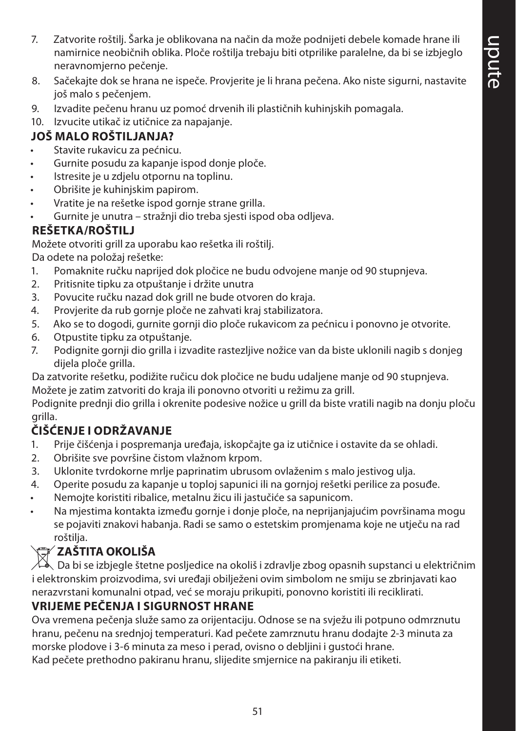- 7. Zatvorite roštilj. Šarka je oblikovana na način da može podnijeti debele komade hrane ili namirnice neobičnih oblika. Ploče roštilja trebaju biti otprilike paralelne, da bi se izbjeglo neravnomjerno pečenje.
- 8. Sačekajte dok se hrana ne ispeče. Provjerite je li hrana pečena. Ako niste sigurni, nastavite još malo s pečenjem.
- 9. Izvadite pečenu hranu uz pomoć drvenih ili plastičnih kuhinjskih pomagala.
- 10. Izvucite utikač iz utičnice za napajanje.

## **JOŠ MALO ROŠTILJANJA?**

- Stavite rukavicu za pećnicu.
- Gurnite posudu za kapanje ispod donje ploče.
- Istresite je u zdjelu otpornu na toplinu.
- Obrišite je kuhinjskim papirom.
- Vratite je na rešetke ispod gornje strane grilla.
- Gurnite je unutra stražnji dio treba sjesti ispod oba odljeva.

#### **REŠETKA/ROŠTILJ**

Možete otvoriti grill za uporabu kao rešetka ili roštilj.

Da odete na položaj rešetke:

- 1. Pomaknite ručku naprijed dok pločice ne budu odvojene manje od 90 stupnjeva.
- 2. Pritisnite tipku za otpuštanje i držite unutra
- 3. Povucite ručku nazad dok grill ne bude otvoren do kraja.
- 4. Provjerite da rub gornje ploče ne zahvati kraj stabilizatora.
- 5. Ako se to dogodi, gurnite gornji dio ploče rukavicom za pećnicu i ponovno je otvorite.
- 6. Otpustite tipku za otpuštanje.
- 7. Podignite gornji dio grilla i izvadite rastezljive nožice van da biste uklonili nagib s donjeg dijela ploče grilla.

Da zatvorite rešetku, podižite ručicu dok pločice ne budu udaljene manje od 90 stupnjeva. Možete je zatim zatvoriti do kraja ili ponovno otvoriti u režimu za grill.

Podignite prednji dio grilla i okrenite podesive nožice u grill da biste vratili nagib na donju ploču grilla.

# **ČIŠĆENJE I ODRŽAVANJE**

- 1. Prije čišćenja i pospremanja uređaja, iskopčajte ga iz utičnice i ostavite da se ohladi.
- 2. Obrišite sve površine čistom vlažnom krpom.
- 3. Uklonite tvrdokorne mrlje paprinatim ubrusom ovlaženim s malo jestivog ulja.
- 4. Operite posudu za kapanje u toploj sapunici ili na gornjoj rešetki perilice za posuđe.
- Nemojte koristiti ribalice, metalnu žicu ili jastučiće sa sapunicom.
- Na mjestima kontakta između gornje i donje ploče, na neprijanjajućim površinama mogu se pojaviti znakovi habanja. Radi se samo o estetskim promjenama koje ne utječu na rad roštilja.

# W**ZAŠTITA OKOLIŠA**

Da bi se izbjegle štetne posljedice na okoliš i zdravlje zbog opasnih supstanci u električnim i elektronskim proizvodima, svi uređaji obilježeni ovim simbolom ne smiju se zbrinjavati kao nerazvrstani komunalni otpad, već se moraju prikupiti, ponovno koristiti ili reciklirati.

#### **VRIJEME PEČENJA I SIGURNOST HRANE**

Ova vremena pečenja služe samo za orijentaciju. Odnose se na svježu ili potpuno odmrznutu hranu, pečenu na srednjoj temperaturi. Kad pečete zamrznutu hranu dodajte 2-3 minuta za morske plodove i 3-6 minuta za meso i perad, ovisno o debljini i gustoći hrane.

Kad pečete prethodno pakiranu hranu, slijedite smjernice na pakiranju ili etiketi.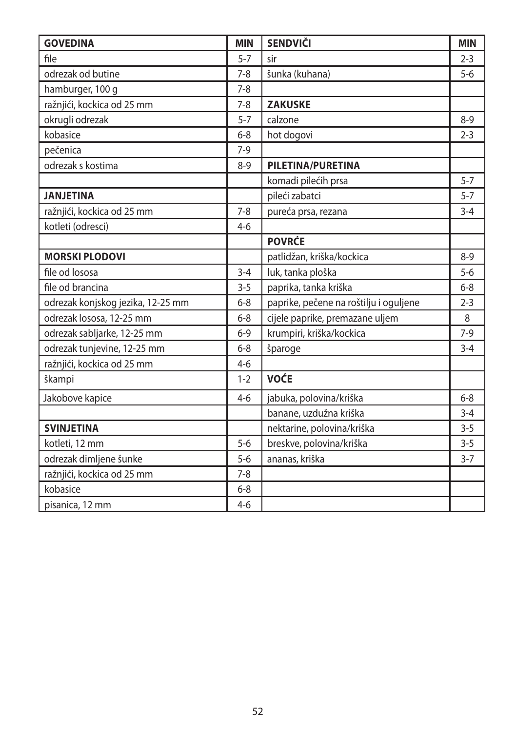| <b>GOVEDINA</b>                   | <b>MIN</b> | <b>SENDVIČI</b>                        | <b>MIN</b> |
|-----------------------------------|------------|----------------------------------------|------------|
| file                              | $5 - 7$    | sir                                    | $2 - 3$    |
| odrezak od butine                 | $7 - 8$    | šunka (kuhana)                         | $5-6$      |
| hamburger, 100 g                  | $7 - 8$    |                                        |            |
| ražnjići, kockica od 25 mm        | $7 - 8$    | <b>ZAKUSKE</b>                         |            |
| okrugli odrezak                   | $5 - 7$    | calzone                                | $8 - 9$    |
| kobasice                          | $6 - 8$    | hot dogovi                             | $2 - 3$    |
| pečenica                          | $7-9$      |                                        |            |
| odrezak s kostima                 | $8 - 9$    | PILETINA/PURETINA                      |            |
|                                   |            | komadi pilećih prsa                    | $5 - 7$    |
| <b>JANJETINA</b>                  |            | pileći zabatci                         | $5 - 7$    |
| ražnjići, kockica od 25 mm        | $7 - 8$    | pureća prsa, rezana                    | $3 - 4$    |
| kotleti (odresci)                 | $4-6$      |                                        |            |
|                                   |            | <b>POVRĆE</b>                          |            |
| <b>MORSKI PLODOVI</b>             |            | patlidžan, kriška/kockica              | $8-9$      |
| file od lososa                    | $3 - 4$    | luk, tanka ploška                      | $5-6$      |
| file od brancina                  | $3 - 5$    | paprika, tanka kriška                  | $6 - 8$    |
| odrezak konjskog jezika, 12-25 mm | $6 - 8$    | paprike, pečene na roštilju i oguljene | $2 - 3$    |
| odrezak lososa, 12-25 mm          | $6 - 8$    | cijele paprike, premazane uljem        | 8          |
| odrezak sabljarke, 12-25 mm       | $6 - 9$    | krumpiri, kriška/kockica               | $7-9$      |
| odrezak tunjevine, 12-25 mm       | $6 - 8$    | šparoge                                | $3 - 4$    |
| ražnjići, kockica od 25 mm        | $4 - 6$    |                                        |            |
| škampi                            | $1 - 2$    | <b>VOĆE</b>                            |            |
| Jakobove kapice                   | $4 - 6$    | jabuka, polovina/kriška                | $6 - 8$    |
|                                   |            | banane, uzdužna kriška                 | $3 - 4$    |
| <b>SVINJETINA</b>                 |            | nektarine, polovina/kriška             | $3 - 5$    |
| kotleti, 12 mm                    | $5 - 6$    | breskve, polovina/kriška               | $3 - 5$    |
| odrezak dimljene šunke            | $5 - 6$    | ananas, kriška                         | $3 - 7$    |
| ražnjići, kockica od 25 mm        | $7 - 8$    |                                        |            |
| kobasice                          | $6 - 8$    |                                        |            |
| pisanica, 12 mm                   | $4 - 6$    |                                        |            |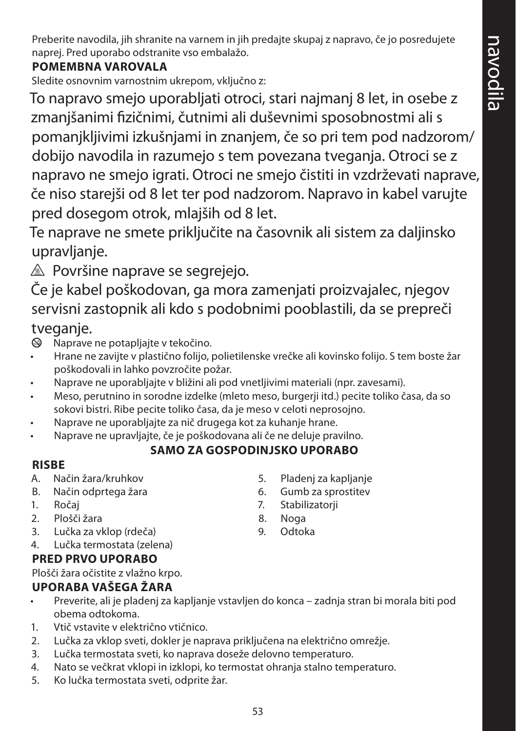Preberite navodila, jih shranite na varnem in jih predajte skupaj z napravo, če jo posredujete naprej. Pred uporabo odstranite vso embalažo.

## **POMEMBNA VAROVALA**

Sledite osnovnim varnostnim ukrepom, vključno z:

To napravo smejo uporabljati otroci, stari najmanj 8 let, in osebe z zmanjšanimi fizičnimi, čutnimi ali duševnimi sposobnostmi ali s pomanjkljivimi izkušnjami in znanjem, če so pri tem pod nadzorom/ dobijo navodila in razumejo s tem povezana tveganja. Otroci se z napravo ne smejo igrati. Otroci ne smejo čistiti in vzdrževati naprave, če niso starejši od 8 let ter pod nadzorom. Napravo in kabel varujte pred dosegom otrok, mlajših od 8 let.

Te naprave ne smete priključite na časovnik ali sistem za daljinsko upravljanje.

 $\triangle$  Površine naprave se segrejejo.

Če je kabel poškodovan, ga mora zamenjati proizvajalec, njegov servisni zastopnik ali kdo s podobnimi pooblastili, da se prepreči

# tveganje.

- $\otimes$  Naprave ne potapljajte v tekočino.
- Hrane ne zavijte v plastično folijo, polietilenske vrečke ali kovinsko folijo. S tem boste žar poškodovali in lahko povzročite požar.
- Naprave ne uporabljajte v bližini ali pod vnetljivimi materiali (npr. zavesami).
- Meso, perutnino in sorodne izdelke (mleto meso, burgerji itd.) pecite toliko časa, da so sokovi bistri. Ribe pecite toliko časa, da je meso v celoti neprosojno.
- Naprave ne uporabljajte za nič drugega kot za kuhanje hrane.
- Naprave ne upravljajte, če je poškodovana ali če ne deluje pravilno.

## **SAMO ZA GOSPODINJSKO UPORABO**

#### **RISBE**

- A. Način žara/kruhkov
- B. Način odprtega žara
- 1. Ročaj
- 2. Plošči žara
- 3. Lučka za vklop (rdeča)
- 4. Lučka termostata (zelena)

#### **PRED PRVO UPORABO**

Plošči žara očistite z vlažno krpo.

#### **UPORABA VAŠEGA ŽARA**

- Preverite, ali je pladenj za kapljanje vstavljen do konca zadnja stran bi morala biti pod obema odtokoma.
- 1. Vtič vstavite v električno vtičnico.
- 2. Lučka za vklop sveti, dokler je naprava priključena na električno omrežje.
- 3. Lučka termostata sveti, ko naprava doseže delovno temperaturo.
- 4. Nato se večkrat vklopi in izklopi, ko termostat ohranja stalno temperaturo.
- 5. Ko lučka termostata sveti, odprite žar.
- 5. Pladenj za kapljanje
- 6. Gumb za sprostitev
- 7. Stabilizatorji
- 8. Noga
- 9. Odtoka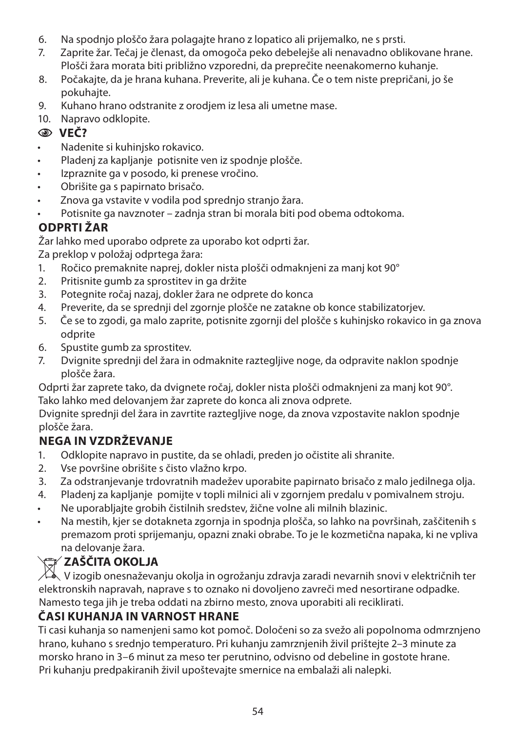- 6. Na spodnjo ploščo žara polagajte hrano z lopatico ali prijemalko, ne s prsti.
- 7. Zaprite žar. Tečaj je členast, da omogoča peko debelejše ali nenavadno oblikovane hrane. Plošči žara morata biti približno vzporedni, da preprečite neenakomerno kuhanje.
- 8. Počakajte, da je hrana kuhana. Preverite, ali je kuhana. Če o tem niste prepričani, jo še pokuhajte.
- 9. Kuhano hrano odstranite z orodjem iz lesa ali umetne mase.
- 10. Napravo odklopite.

## C **VEČ?**

- Nadenite si kuhinjsko rokavico.
- Pladenj za kapljanje potisnite ven iz spodnje plošče.
- Izpraznite ga v posodo, ki prenese vročino.
- Obrišite ga s papirnato brisačo.
- Znova ga vstavite v vodila pod sprednjo stranjo žara.
- Potisnite ga navznoter zadnja stran bi morala biti pod obema odtokoma.

# **ODPRTI ŽAR**

Žar lahko med uporabo odprete za uporabo kot odprti žar.

Za preklop v položaj odprtega žara:

- 1. Ročico premaknite naprej, dokler nista plošči odmaknjeni za manj kot 90°
- 2. Pritisnite gumb za sprostitev in ga držite
- 3. Potegnite ročaj nazaj, dokler žara ne odprete do konca
- 4. Preverite, da se sprednji del zgornje plošče ne zatakne ob konce stabilizatorjev.
- 5. Če se to zgodi, ga malo zaprite, potisnite zgornji del plošče s kuhinjsko rokavico in ga znova odprite
- 6. Spustite gumb za sprostitev.
- 7. Dvignite sprednji del žara in odmaknite raztegljive noge, da odpravite naklon spodnje plošče žara.

Odprti žar zaprete tako, da dvignete ročaj, dokler nista plošči odmaknjeni za manj kot 90°. Tako lahko med delovanjem žar zaprete do konca ali znova odprete.

Dvignite sprednji del žara in zavrtite raztegljive noge, da znova vzpostavite naklon spodnje plošče žara.

# **NEGA IN VZDRŽEVANJE**

- 1. Odklopite napravo in pustite, da se ohladi, preden jo očistite ali shranite.
- 2. Vse površine obrišite s čisto vlažno krpo.
- 3. Za odstranjevanje trdovratnih madežev uporabite papirnato brisačo z malo jedilnega olja.
- 4. Pladenj za kapljanje pomijte v topli milnici ali v zgornjem predalu v pomivalnem stroju.
- Ne uporabljajte grobih čistilnih sredstev, žične volne ali milnih blazinic.
- Na mestih, kjer se dotakneta zgornja in spodnja plošča, so lahko na površinah, zaščitenih s premazom proti sprijemanju, opazni znaki obrabe. To je le kozmetična napaka, ki ne vpliva na delovanje žara.

# W**ZAŠČITA OKOLJA**

 $\mathcal{W}$  V izogib onesnaževanju okolja in ogrožanju zdravja zaradi nevarnih snovi v električnih ter elektronskih napravah, naprave s to oznako ni dovoljeno zavreči med nesortirane odpadke. Namesto tega jih je treba oddati na zbirno mesto, znova uporabiti ali reciklirati.

## **ČASI KUHANJA IN VARNOST HRANE**

Ti casi kuhanja so namenjeni samo kot pomoč. Določeni so za svežo ali popolnoma odmrznjeno hrano, kuhano s srednjo temperaturo. Pri kuhanju zamrznjenih živil prištejte 2–3 minute za morsko hrano in 3–6 minut za meso ter perutnino, odvisno od debeline in gostote hrane. Pri kuhanju predpakiranih živil upoštevajte smernice na embalaži ali nalepki.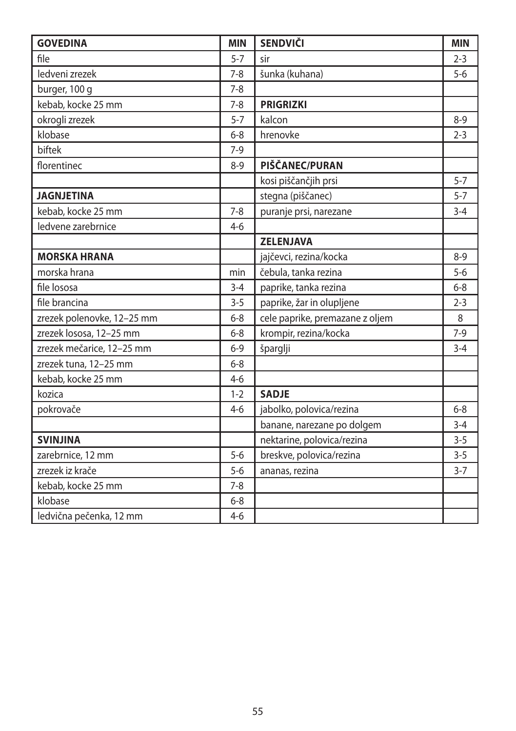| <b>GOVEDINA</b>            | <b>MIN</b> | <b>SENDVIČI</b>                 | <b>MIN</b> |
|----------------------------|------------|---------------------------------|------------|
| file                       | $5 - 7$    | sir                             | $2 - 3$    |
| ledveni zrezek             | $7 - 8$    | šunka (kuhana)                  | $5-6$      |
| burger, 100 g              | $7 - 8$    |                                 |            |
| kebab, kocke 25 mm         | $7 - 8$    | <b>PRIGRIZKI</b>                |            |
| okrogli zrezek             | $5 - 7$    | kalcon                          | $8 - 9$    |
| klobase                    | $6 - 8$    | hrenovke                        | $2 - 3$    |
| biftek                     | $7-9$      |                                 |            |
| florentinec                | $8 - 9$    | PIŠČANEC/PURAN                  |            |
|                            |            | kosi piščančjih prsi            | $5 - 7$    |
| <b>JAGNJETINA</b>          |            | stegna (piščanec)               | $5 - 7$    |
| kebab, kocke 25 mm         | $7 - 8$    | puranje prsi, narezane          | $3 - 4$    |
| ledvene zarebrnice         | $4 - 6$    |                                 |            |
|                            |            | <b>ZELENJAVA</b>                |            |
| <b>MORSKA HRANA</b>        |            | jajčevci, rezina/kocka          | $8 - 9$    |
| morska hrana               | min        | čebula, tanka rezina            | $5-6$      |
| file lososa                | $3 - 4$    | paprike, tanka rezina           | $6 - 8$    |
| file brancina              | $3 - 5$    | paprike, žar in olupljene       | $2 - 3$    |
| zrezek polenovke, 12-25 mm | $6 - 8$    | cele paprike, premazane z oljem | 8          |
| zrezek lososa, 12-25 mm    | $6 - 8$    | krompir, rezina/kocka           | $7-9$      |
| zrezek mečarice, 12-25 mm  | $6 - 9$    | šparglji                        | $3 - 4$    |
| zrezek tuna, 12-25 mm      | $6 - 8$    |                                 |            |
| kebab, kocke 25 mm         | $4 - 6$    |                                 |            |
| kozica                     | $1 - 2$    | <b>SADJE</b>                    |            |
| pokrovače                  | $4 - 6$    | jabolko, polovica/rezina        | $6-8$      |
|                            |            | banane, narezane po dolgem      | $3 - 4$    |
| <b>SVINJINA</b>            |            | nektarine, polovica/rezina      | $3 - 5$    |
| zarebrnice, 12 mm          | $5-6$      | breskve, polovica/rezina        | $3 - 5$    |
| zrezek iz krače            | $5 - 6$    | ananas, rezina                  | $3 - 7$    |
| kebab, kocke 25 mm         | $7 - 8$    |                                 |            |
| klobase                    | $6 - 8$    |                                 |            |
| ledvična pečenka, 12 mm    | $4 - 6$    |                                 |            |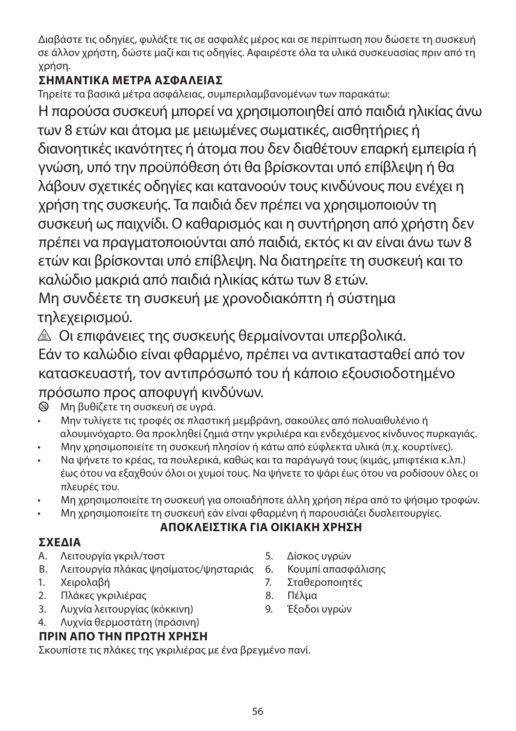Διαβάστε τις οδηγίες, φυλάξτε τις σε ασφαλές μέρος και σε περίπτωση που δώσετε τη συσκευή σε άλλον χρήστη, δώστε μαζί και τις οδηγίες. Αφαιρέστε όλα τα υλικά συσκευασίας πριν από τη χρήση.

# **ΣΗΜΑΝΤΙΚA ΜEΤΡΑ ΑΣΦAΛΕΙΑΣ**

Τηρείτε τα βασικά μέτρα ασφάλειας, συμπεριλαμβανομένων των παρακάτω:

Η παρούσα συσκευή μπορεί να χρησιμοποιηθεί από παιδιά ηλικίας άνω των 8 ετών και άτομα με μειωμένες σωματικές, αισθητήριες ή διανοητικές ικανότητες ή άτομα που δεν διαθέτουν επαρκή εμπειρία ή γνώση, υπό την προϋπόθεση ότι θα βρίσκονται υπό επίβλεψη ή θα λάβουν σχετικές οδηγίες και κατανοούν τους κινδύνους που ενέχει η χρήση της συσκευής. Τα παιδιά δεν πρέπει να χρησιμοποιούν τη συσκευή ως παιχνίδι. Ο καθαρισμός και η συντήρηση από χρήστη δεν πρέπει να πραγματοποιούνται από παιδιά, εκτός κι αν είναι άνω των 8 ετών και βρίσκονται υπό επίβλεψη. Να διατηρείτε τη συσκευή και το καλώδιο μακριά από παιδιά ηλικίας κάτω των 8 ετών.

Μη συνδέετε τη συσκευή με χρονοδιακόπτη ή σύστημα τηλεχειρισμού.

¬ Οι επιφάνειες της συσκευής θερμαίνονται υπερβολικά. Εάν το καλώδιο είναι φθαρμένο, πρέπει να αντικατασταθεί από τον κατασκευαστή, τον αντιπρόσωπό του ή κάποιο εξουσιοδοτημένο

# πρόσωπο προς αποφυγή κινδύνων.

b Μη βυθίζετε τη συσκευή σε υγρά.

- Μην τυλίγετε τις τροφές σε πλαστική μεμβράνη, σακούλες από πολυαιθυλένιο ή αλουμινόχαρτο. Θα προκληθεί ζημιά στην γκριλιέρα και ενδεχόμενος κίνδυνος πυρκαγιάς.
- Μην χρησιμοποιείτε τη συσκευή πλησίον ή κάτω από εύφλεκτα υλικά (π.χ. κουρτίνες).
- Να ψήνετε το κρέας, τα πουλερικά, καθώς και τα παράγωγά τους (κιμάς, μπιφτέκια κ.λπ.) έως ότου να εξαχθούν όλοι οι χυμοί τους. Να ψήνετε το ψάρι έως ότου να ροδίσουν όλες οι πλευρές του.
- Μη χρησιμοποιείτε τη συσκευή για οποιαδήποτε άλλη χρήση πέρα από το ψήσιμο τροφών.
- Μη χρησιμοποιείτε τη συσκευή εάν είναι φθαρμένη ή παρουσιάζει δυσλειτουργίες.

## **ΑΠΟΚΛΕΙΣΤΙΚΑ ΓΙΑ ΟΙΚΙΑΚΗ ΧΡΗΣΗ**

# **ΣΧΕΔΙΑ**

- A. Λειτουργία γκριλ/τοστ
- B. Λειτουργία πλάκας ψησίματος/ψησταριάς
- 1. Χειρολαβή
- 2. Πλάκες γκριλιέρας
- 3. Λυχνία λειτουργίας (κόκκινη)
- 4. Λυχνία θερμοστάτη (πράσινη)

## **ΠΡΙΝ ΑΠΟ ΤΗΝ ΠΡΩΤΗ ΧΡΗΣΗ**

Σκουπίστε τις πλάκες της γκριλιέρας με ένα βρεγμένο πανί.

- 5. Δίσκος υγρών
- 6. Κουμπί απασφάλισης
- 7. Σταθεροποιητές
- 8. Πέλμα
- 9. Έξοδοι υγρών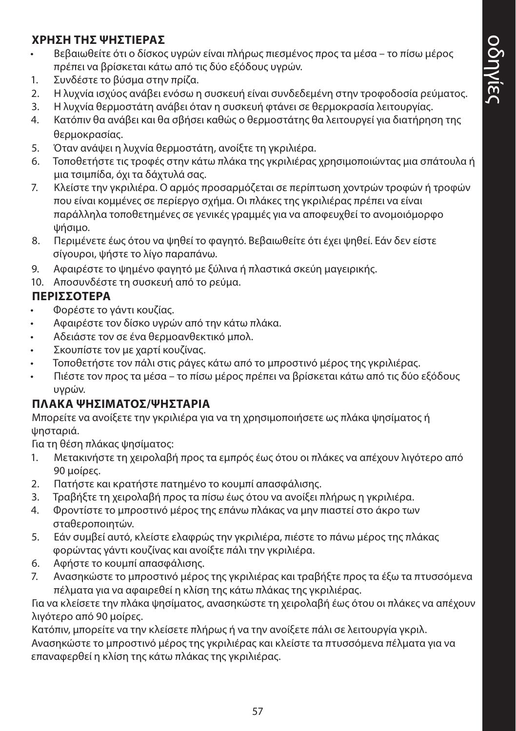#### **ΧΡΗΣΗ ΤΗΣ ΨΗΣΤΙΕΡΑΣ**

- Βεβαιωθείτε ότι ο δίσκος υγρών είναι πλήρως πιεσμένος προς τα μέσα το πίσω μέρος πρέπει να βρίσκεται κάτω από τις δύο εξόδους υγρών.
- 1. Συνδέστε το βύσμα στην πρίζα.
- 2. Η λυχνία ισχύος ανάβει ενόσω η συσκευή είναι συνδεδεμένη στην τροφοδοσία ρεύματος.
- 3. Η λυχνία θερμοστάτη ανάβει όταν η συσκευή φτάνει σε θερμοκρασία λειτουργίας.
- 4. Κατόπιν θα ανάβει και θα σβήσει καθώς ο θερμοστάτης θα λειτουργεί για διατήρηση της θερμοκρασίας.
- 5. Όταν ανάψει η λυχνία θερμοστάτη, ανοίξτε τη γκριλιέρα.
- 6. Τοποθετήστε τις τροφές στην κάτω πλάκα της γκριλιέρας χρησιμοποιώντας μια σπάτουλα ή μια τσιμπίδα, όχι τα δάχτυλά σας.
- 7. Κλείστε την γκριλιέρα. Ο αρμός προσαρμόζεται σε περίπτωση χοντρών τροφών ή τροφών που είναι κομμένες σε περίεργο σχήμα. Οι πλάκες της γκριλιέρας πρέπει να είναι παράλληλα τοποθετημένες σε γενικές γραμμές για να αποφευχθεί το ανομοιόμορφο ψήσιμο.
- 8. Περιμένετε έως ότου να ψηθεί το φαγητό. Βεβαιωθείτε ότι έχει ψηθεί. Εάν δεν είστε σίγουροι, ψήστε το λίγο παραπάνω.
- 9. Αφαιρέστε το ψημένο φαγητό με ξύλινα ή πλαστικά σκεύη μαγειρικής.
- 10. Αποσυνδέστε τη συσκευή από το ρεύμα.

#### **ΠΕΡΙΣΣΟΤΕΡΑ**

- Φορέστε το γάντι κουζίας.
- Αφαιρέστε τον δίσκο υγρών από την κάτω πλάκα.
- Αδειάστε τον σε ένα θερμοανθεκτικό μπολ.
- Σκουπίστε τον με χαρτί κουζίνας.
- Τοποθετήστε τον πάλι στις ράγες κάτω από το μπροστινό μέρος της γκριλιέρας.
- Πιέστε τον προς τα μέσα το πίσω μέρος πρέπει να βρίσκεται κάτω από τις δύο εξόδους υγρών.

#### **ΠΛΑΚΑ ΨΗΣΙΜΑΤΟΣ/ΨΗΣΤΑΡΙΑ**

Μπορείτε να ανοίξετε την γκριλιέρα για να τη χρησιμοποιήσετε ως πλάκα ψησίματος ή ψησταριά.

Για τη θέση πλάκας ψησίματος:

- 1. Μετακινήστε τη χειρολαβή προς τα εμπρός έως ότου οι πλάκες να απέχουν λιγότερο από 90 μοίρες.
- 2. Πατήστε και κρατήστε πατημένο το κουμπί απασφάλισης.
- 3. Τραβήξτε τη χειρολαβή προς τα πίσω έως ότου να ανοίξει πλήρως η γκριλιέρα.
- 4. Φροντίστε το μπροστινό μέρος της επάνω πλάκας να μην πιαστεί στο άκρο των σταθεροποιητών.
- 5. Εάν συμβεί αυτό, κλείστε ελαφρώς την γκριλιέρα, πιέστε το πάνω μέρος της πλάκας φορώντας γάντι κουζίνας και ανοίξτε πάλι την γκριλιέρα.
- 6. Αφήστε το κουμπί απασφάλισης.
- 7. Ανασηκώστε το μπροστινό μέρος της γκριλιέρας και τραβήξτε προς τα έξω τα πτυσσόμενα πέλματα για να αφαιρεθεί η κλίση της κάτω πλάκας της γκριλιέρας.

Για να κλείσετε την πλάκα ψησίματος, ανασηκώστε τη χειρολαβή έως ότου οι πλάκες να απέχουν λιγότερο από 90 μοίρες.

Κατόπιν, μπορείτε να την κλείσετε πλήρως ή να την ανοίξετε πάλι σε λειτουργία γκριλ. Ανασηκώστε το μπροστινό μέρος της γκριλιέρας και κλείστε τα πτυσσόμενα πέλματα για να επαναφερθεί η κλίση της κάτω πλάκας της γκριλιέρας.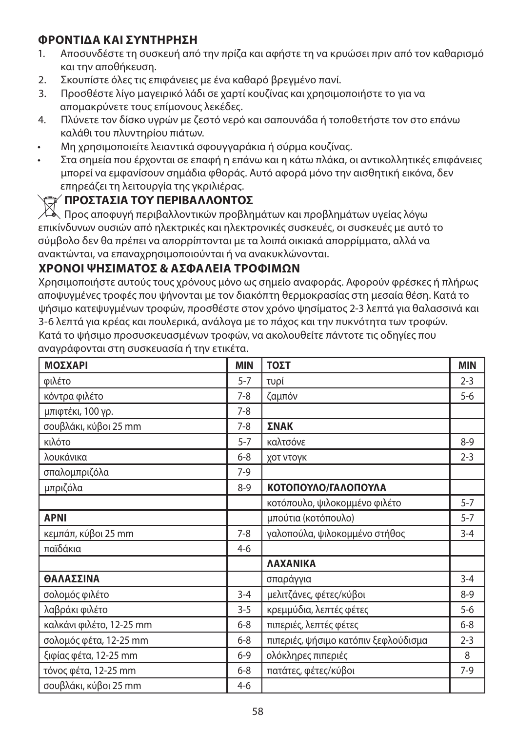#### **ΦΡΟΝΤΙΔΑ ΚΑΙ ΣΥΝΤΗΡΗΣΗ**

- 1. Αποσυνδέστε τη συσκευή από την πρίζα και αφήστε τη να κρυώσει πριν από τον καθαρισμό και την αποθήκευση.
- 2. Σκουπίστε όλες τις επιφάνειες με ένα καθαρό βρεγμένο πανί.
- 3. Προσθέστε λίγο μαγειρικό λάδι σε χαρτί κουζίνας και χρησιμοποιήστε το για να απομακρύνετε τους επίμονους λεκέδες.
- 4. Πλύνετε τον δίσκο υγρών με ζεστό νερό και σαπουνάδα ή τοποθετήστε τον στο επάνω καλάθι του πλυντηρίου πιάτων.
- Μη χρησιμοποιείτε λειαντικά σφουγγαράκια ή σύρμα κουζίνας.
- Στα σημεία που έρχονται σε επαφή η επάνω και η κάτω πλάκα, οι αντικολλητικές επιφάνειες μπορεί να εμφανίσουν σημάδια φθοράς. Αυτό αφορά μόνο την αισθητική εικόνα, δεν επηρεάζει τη λειτουργία της γκριλιέρας.

#### W**ΠΡΟΣΤΑΣΙΑ ΤΟΥ ΠΕΡΙΒΑΛΛΟΝΤΟΣ**

Προς αποφυγή περιβαλλοντικών προβλημάτων και προβλημάτων υγείας λόγω επικίνδυνων ουσιών από ηλεκτρικές και ηλεκτρονικές συσκευές, οι συσκευές με αυτό το σύμβολο δεν θα πρέπει να απορρίπτονται με τα λοιπά οικιακά απορρίμματα, αλλά να ανακτώνται, να επαναχρησιμοποιούνται ή να ανακυκλώνονται.

#### **ΧΡΟΝΟΙ ΨΗΣΙΜΑΤΟΣ & ΑΣΦΑΛΕΙΑ ΤΡΟΦΙΜΩΝ**

Χρησιμοποιήστε αυτούς τους χρόνους μόνο ως σημείο αναφοράς. Αφορούν φρέσκες ή πλήρως αποψυγμένες τροφές που ψήνονται με τον διακόπτη θερμοκρασίας στη μεσαία θέση. Κατά το ψήσιμο κατεψυγμένων τροφών, προσθέστε στον χρόνο ψησίματος 2-3 λεπτά για θαλασσινά και 3-6 λεπτά για κρέας και πουλερικά, ανάλογα με το πάχος και την πυκνότητα των τροφών. Κατά το ψήσιμο προσυσκευασμένων τροφών, να ακολουθείτε πάντοτε τις οδηγίες που αναγράφονται στη συσκευασία ή την ετικέτα.

| <b>ΜΟΣΧΑΡΙ</b>           | <b>MIN</b> | ΤΟΣΤ                                 | <b>MIN</b> |
|--------------------------|------------|--------------------------------------|------------|
| φιλέτο                   | $5 - 7$    | τυρί                                 | $2 - 3$    |
| κόντρα φιλέτο            | $7-8$      | ζαμπόν                               | $5-6$      |
| μπιφτέκι, 100 γρ.        | $7 - 8$    |                                      |            |
| σουβλάκι, κύβοι 25 mm    | $7 - 8$    | ΣΝΑΚ                                 |            |
| κιλότο                   | $5 - 7$    | καλτσόνε                             | $8 - 9$    |
| λουκάνικα                | $6 - 8$    | χοτ ντογκ                            | $2 - 3$    |
| σπαλομπριζόλα            | $7-9$      |                                      |            |
| μπριζόλα                 | $8-9$      | ΚΟΤΟΠΟΥΛΟ/ΓΑΛΟΠΟΥΛΑ                  |            |
|                          |            | κοτόπουλο, ψιλοκομμένο φιλέτο        | $5 - 7$    |
| <b>APNI</b>              |            | μπούτια (κοτόπουλο)                  | $5 - 7$    |
| κεμπάπ, κύβοι 25 mm      | $7 - 8$    | γαλοπούλα, ψιλοκομμένο στήθος        | $3 - 4$    |
| παϊδάκια                 | $4-6$      |                                      |            |
|                          |            | <b><i>AAXANIKA</i></b>               |            |
| ΘΑΛΑΣΣΙΝΑ                |            | σπαράγγια                            | $3 - 4$    |
| σολομός φιλέτο           | $3 - 4$    | μελιτζάνες, φέτες/κύβοι              | $8 - 9$    |
| λαβράκι φιλέτο           | $3 - 5$    | κρεμμύδια, λεπτές φέτες              | $5-6$      |
| καλκάνι φιλέτο, 12-25 mm | $6 - 8$    | πιπεριές, λεπτές φέτες               | $6 - 8$    |
| σολομός φέτα, 12-25 mm   | $6 - 8$    | πιπεριές, ψήσιμο κατόπιν ξεφλούδισμα | $2 - 3$    |
| ξιφίας φέτα, 12-25 mm    | $6 - 9$    | ολόκληρες πιπεριές                   | 8          |
| τόνος φέτα, 12-25 mm     | $6 - 8$    | πατάτες, φέτες/κύβοι                 | $7-9$      |
| σουβλάκι, κύβοι 25 mm    | $4-6$      |                                      |            |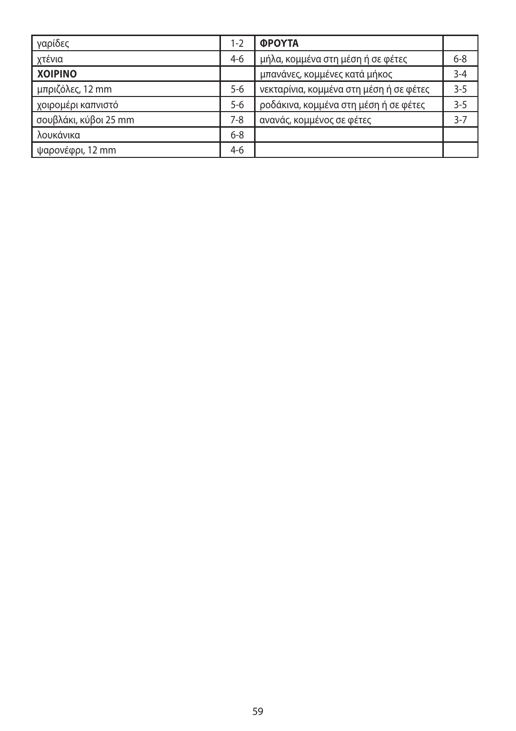| γαρίδες               | $1 - 2$ | <b>OPOYTA</b>                           |         |
|-----------------------|---------|-----------------------------------------|---------|
| χτένια                | $4-6$   | μήλα, κομμένα στη μέση ή σε φέτες       | $6 - 8$ |
| <b>XOIPINO</b>        |         | μπανάνες, κομμένες κατά μήκος           | $3 - 4$ |
| μπριζόλες, 12 mm      | $5 - 6$ | νεκταρίνια, κομμένα στη μέση ή σε φέτες | $3 - 5$ |
| χοιρομέρι καπνιστό    | $5 - 6$ | ροδάκινα, κομμένα στη μέση ή σε φέτες   | $3 - 5$ |
| σουβλάκι, κύβοι 25 mm | 7-8     | ανανάς, κομμένος σε φέτες               | $3 - 7$ |
| λουκάνικα             | $6 - 8$ |                                         |         |
| ψαρονέφρι, 12 mm      | $4-6$   |                                         |         |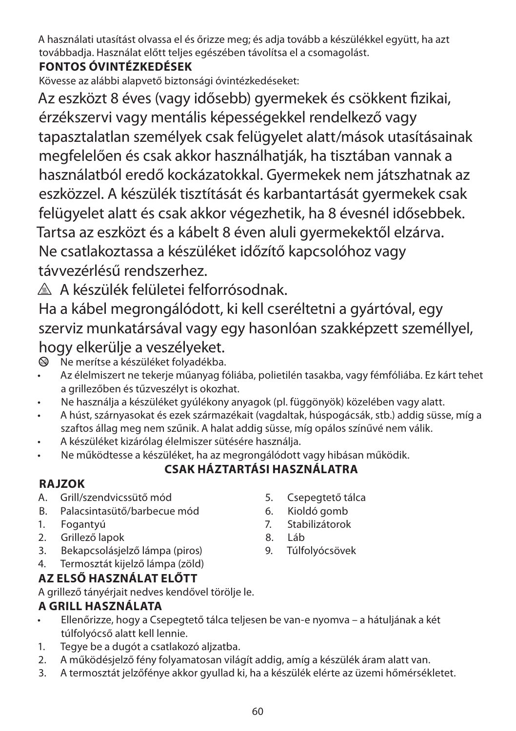A használati utasítást olvassa el és őrizze meg; és adja tovább a készülékkel együtt, ha azt továbbadja. Használat előtt teljes egészében távolítsa el a csomagolást.

# **FONTOS ÓVINTÉZKEDÉSEK**

Kövesse az alábbi alapvető biztonsági óvintézkedéseket:

Az eszközt 8 éves (vagy idősebb) gyermekek és csökkent fizikai, érzékszervi vagy mentális képességekkel rendelkező vagy tapasztalatlan személyek csak felügyelet alatt/mások utasításainak megfelelően és csak akkor használhatják, ha tisztában vannak a használatból eredő kockázatokkal. Gyermekek nem játszhatnak az eszközzel. A készülék tisztítását és karbantartását gyermekek csak felügyelet alatt és csak akkor végezhetik, ha 8 évesnél idősebbek. Tartsa az eszközt és a kábelt 8 éven aluli gyermekektől elzárva. Ne csatlakoztassa a készüléket időzítő kapcsolóhoz vagy távvezérlésű rendszerhez.

¬ A készülék felületei felforrósodnak.

Ha a kábel megrongálódott, ki kell cseréltetni a gyártóval, egy szerviz munkatársával vagy egy hasonlóan szakképzett személlyel, hogy elkerülje a veszélyeket.

 $\otimes$  Ne merítse a készüléket folyadékba.

- Az élelmiszert ne tekerje műanyag fóliába, polietilén tasakba, vagy fémfóliába. Ez kárt tehet a grillezőben és tűzveszélyt is okozhat.
- Ne használja a készüléket gyúlékony anyagok (pl. függönyök) közelében vagy alatt.
- A húst, szárnyasokat és ezek származékait (vagdaltak, húspogácsák, stb.) addig süsse, míg a szaftos állag meg nem szűnik. A halat addig süsse, míg opálos színűvé nem válik.
- A készüléket kizárólag élelmiszer sütésére használja.
- Ne működtesse a készüléket, ha az megrongálódott vagy hibásan működik.

## **CSAK HÁZTARTÁSI HASZNÁLATRA**

## **RAJZOK**

- A. Grill/szendvicssütő mód
- B. Palacsintasütő/barbecue mód
- 1. Fogantyú
- 2. Grillező lapok
- 3. Bekapcsolásjelző lámpa (piros)
- 4. Termosztát kijelző lámpa (zöld)

# **AZ ELSŐ HASZNÁLAT ELŐTT**

A grillező tányérjait nedves kendővel törölje le.

## **A GRILL HASZNÁLATA**

- Ellenőrizze, hogy a Csepegtető tálca teljesen be van-e nyomva a hátuljának a két túlfolyócső alatt kell lennie.
- 1. Tegye be a dugót a csatlakozó aljzatba.
- 2. A működésjelző fény folyamatosan világít addig, amíg a készülék áram alatt van.
- 3. A termosztát jelzőfénye akkor gyullad ki, ha a készülék elérte az üzemi hőmérsékletet.
- 5. Csepegtető tálca
- 6. Kioldó gomb
- 7. Stabilizátorok
- 8. Láb
- 9. Túlfolyócsövek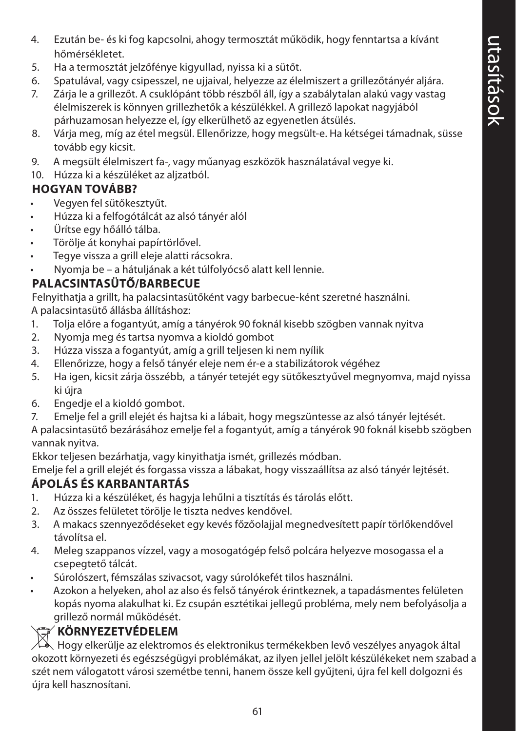- 4. Ezután be- és ki fog kapcsolni, ahogy termosztát működik, hogy fenntartsa a kívánt hőmérsékletet.
- 5. Ha a termosztát jelzőfénye kigyullad, nyissa ki a sütőt.
- 6. Spatulával, vagy csipesszel, ne ujjaival, helyezze az élelmiszert a grillezőtányér aljára.
- 7. Zárja le a grillezőt. A csuklópánt több részből áll, így a szabálytalan alakú vagy vastag élelmiszerek is könnyen grillezhetők a készülékkel. A grillező lapokat nagyjából párhuzamosan helyezze el, így elkerülhető az egyenetlen átsülés.
- 8. Várja meg, míg az étel megsül. Ellenőrizze, hogy megsült-e. Ha kétségei támadnak, süsse tovább egy kicsit.
- 9. A megsült élelmiszert fa-, vagy műanyag eszközök használatával vegye ki.
- 10. Húzza ki a készüléket az aljzatból.

## **HOGYAN TOVÁBB?**

- Vegyen fel sütőkesztyűt.
- Húzza ki a felfogótálcát az alsó tányér alól
- Ürítse egy hőálló tálba.
- Törölje át konyhai papírtörlővel.
- Tegye vissza a grill eleje alatti rácsokra.
- Nyomja be a hátuljának a két túlfolyócső alatt kell lennie.

# **PALACSINTASÜTŐ/BARBECUE**

Felnyithatja a grillt, ha palacsintasütőként vagy barbecue-ként szeretné használni. A palacsintasütő állásba állításhoz:

- 1. Tolja előre a fogantyút, amíg a tányérok 90 foknál kisebb szögben vannak nyitva
- 2. Nyomja meg és tartsa nyomva a kioldó gombot
- 3. Húzza vissza a fogantyút, amíg a grill teljesen ki nem nyílik
- 4. Ellenőrizze, hogy a felső tányér eleje nem ér-e a stabilizátorok végéhez
- 5. Ha igen, kicsit zárja összébb, a tányér tetejét egy sütőkesztyűvel megnyomva, majd nyissa ki újra
- 6. Engedje el a kioldó gombot.
- 7. Emelje fel a grill elejét és hajtsa ki a lábait, hogy megszüntesse az alsó tányér lejtését.
- A palacsintasütő bezárásához emelje fel a fogantyút, amíg a tányérok 90 foknál kisebb szögben vannak nyitva.

Ekkor teljesen bezárhatja, vagy kinyithatja ismét, grillezés módban.

Emelje fel a grill elejét és forgassa vissza a lábakat, hogy visszaállítsa az alsó tányér lejtését.

# **ÁPOLÁS ÉS KARBANTARTÁS**

- 1. Húzza ki a készüléket, és hagyja lehűlni a tisztítás és tárolás előtt.
- 2. Az összes felületet törölje le tiszta nedves kendővel.
- 3. A makacs szennyeződéseket egy kevés főzőolajjal megnedvesített papír törlőkendővel távolítsa el.
- 4. Meleg szappanos vízzel, vagy a mosogatógép felső polcára helyezve mosogassa el a csepegtető tálcát.
- Súrolószert, fémszálas szivacsot, vagy súrolókefét tilos használni.
- Azokon a helyeken, ahol az also és felső tányérok érintkeznek, a tapadásmentes felületen kopás nyoma alakulhat ki. Ez csupán esztétikai jellegű probléma, mely nem befolyásolja a grillező normál működését.

# W**KÖRNYEZETVÉDELEM**

Hogy elkerülje az elektromos és elektronikus termékekben levő veszélyes anyagok által okozott környezeti és egészségügyi problémákat, az ilyen jellel jelölt készülékeket nem szabad a szét nem válogatott városi szemétbe tenni, hanem össze kell gyűjteni, újra fel kell dolgozni és újra kell hasznosítani.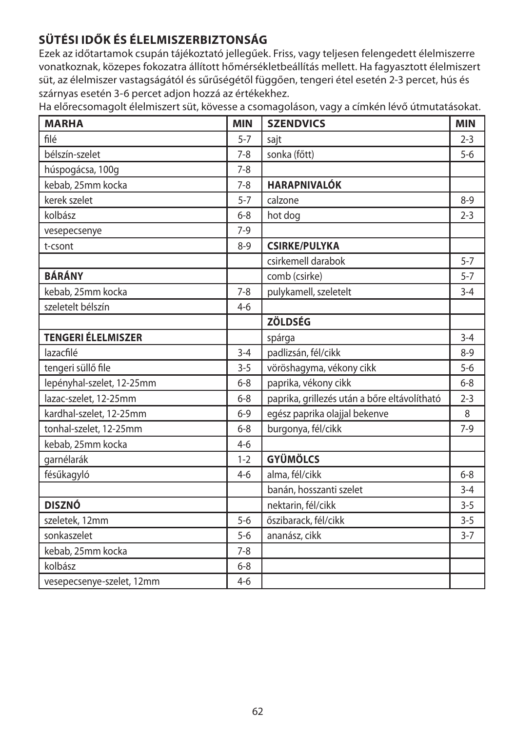# **SÜTÉSI IDŐK ÉS ÉLELMISZERBIZTONSÁG**

Ezek az időtartamok csupán tájékoztató jellegűek. Friss, vagy teljesen felengedett élelmiszerre vonatkoznak, közepes fokozatra állított hőmérsékletbeállítás mellett. Ha fagyasztott élelmiszert süt, az élelmiszer vastagságától és sűrűségétől függően, tengeri étel esetén 2-3 percet, hús és szárnyas esetén 3-6 percet adjon hozzá az értékekhez.

Ha előrecsomagolt élelmiszert süt, kövesse a csomagoláson, vagy a címkén lévő útmutatásokat.

| <b>MARHA</b>              | <b>MIN</b> | <b>SZENDVICS</b>                             | <b>MIN</b> |
|---------------------------|------------|----------------------------------------------|------------|
| filé                      | $5 - 7$    | sajt                                         | $2 - 3$    |
| bélszín-szelet            | $7 - 8$    | sonka (főtt)                                 | $5 - 6$    |
| húspogácsa, 100g          | $7 - 8$    |                                              |            |
| kebab, 25mm kocka         | $7 - 8$    | <b>HARAPNIVALÓK</b>                          |            |
| kerek szelet              | $5 - 7$    | calzone                                      | $8 - 9$    |
| kolbász                   | $6 - 8$    | hot dog                                      | $2 - 3$    |
| vesepecsenye              | $7-9$      |                                              |            |
| t-csont                   | $8 - 9$    | <b>CSIRKE/PULYKA</b>                         |            |
|                           |            | csirkemell darabok                           | $5 - 7$    |
| <b>BÁRÁNY</b>             |            | comb (csirke)                                | $5 - 7$    |
| kebab, 25mm kocka         | $7 - 8$    | pulykamell, szeletelt                        | $3 - 4$    |
| szeletelt bélszín         | $4 - 6$    |                                              |            |
|                           |            | <b>ZÖLDSÉG</b>                               |            |
| <b>TENGERI ÉLELMISZER</b> |            | spárga                                       | $3 - 4$    |
| lazacfilé                 | $3 - 4$    | padlizsán, fél/cikk                          | $8 - 9$    |
| tengeri süllő file        | $3 - 5$    | vöröshagyma, vékony cikk                     | $5-6$      |
| lepényhal-szelet, 12-25mm | $6 - 8$    | paprika, vékony cikk                         | $6 - 8$    |
| lazac-szelet, 12-25mm     | $6 - 8$    | paprika, grillezés után a bőre eltávolítható | $2 - 3$    |
| kardhal-szelet, 12-25mm   | $6 - 9$    | egész paprika olajjal bekenve                | 8          |
| tonhal-szelet, 12-25mm    | $6 - 8$    | burgonya, fél/cikk                           | $7-9$      |
| kebab, 25mm kocka         | $4 - 6$    |                                              |            |
| garnélarák                | $1 - 2$    | <b>GYÜMÖLCS</b>                              |            |
| fésűkagyló                | $4 - 6$    | alma, fél/cikk                               | $6 - 8$    |
|                           |            | banán, hosszanti szelet                      | $3 - 4$    |
| <b>DISZNÓ</b>             |            | nektarin, fél/cikk                           | $3 - 5$    |
| szeletek, 12mm            | $5-6$      | őszibarack, fél/cikk                         | $3 - 5$    |
| sonkaszelet               | $5 - 6$    | ananász, cikk                                | $3 - 7$    |
| kebab, 25mm kocka         | $7 - 8$    |                                              |            |
| kolbász                   | $6 - 8$    |                                              |            |
| vesepecsenye-szelet, 12mm | $4-6$      |                                              |            |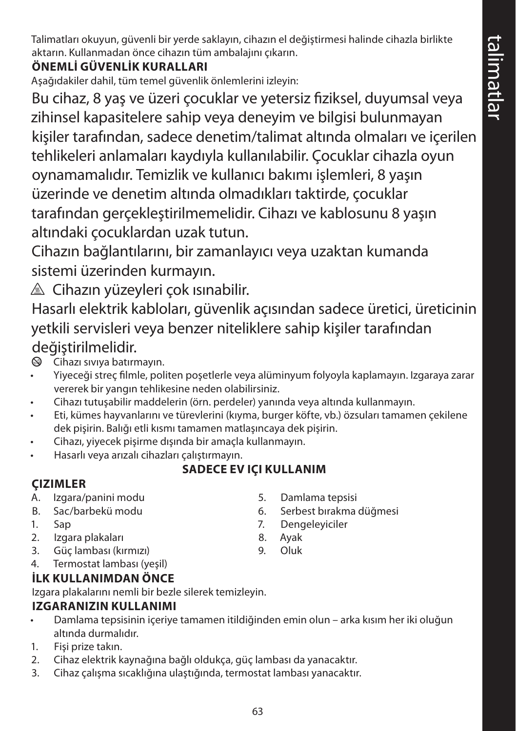Talimatları okuyun, güvenli bir yerde saklayın, cihazın el değiştirmesi halinde cihazla birlikte aktarın. Kullanmadan önce cihazın tüm ambalajını çıkarın.

## **ÖNEMLİ GÜVENLİK KURALLARI**

Aşağıdakiler dahil, tüm temel güvenlik önlemlerini izleyin:

Bu cihaz, 8 yaş ve üzeri çocuklar ve yetersiz fiziksel, duyumsal veya zihinsel kapasitelere sahip veya deneyim ve bilgisi bulunmayan kişiler tarafından, sadece denetim/talimat altında olmaları ve içerilen tehlikeleri anlamaları kaydıyla kullanılabilir. Çocuklar cihazla oyun oynamamalıdır. Temizlik ve kullanıcı bakımı işlemleri, 8 yaşın üzerinde ve denetim altında olmadıkları taktirde, çocuklar tarafından gerçekleştirilmemelidir. Cihazı ve kablosunu 8 yaşın altındaki çocuklardan uzak tutun.

Cihazın bağlantılarını, bir zamanlayıcı veya uzaktan kumanda sistemi üzerinden kurmayın.

 $\triangle$  Cihazın yüzeyleri çok ısınabilir.

Hasarlı elektrik kabloları, güvenlik açısından sadece üretici, üreticinin yetkili servisleri veya benzer niteliklere sahip kişiler tarafından değiştirilmelidir.

 $\circ$  Cihazı sıvıya batırmayın.

- Yiyeceği streç filmle, politen poşetlerle veya alüminyum folyoyla kaplamayın. Izgaraya zarar vererek bir yangın tehlikesine neden olabilirsiniz.
- Cihazı tutuşabilir maddelerin (örn. perdeler) yanında veya altında kullanmayın.
- Eti, kümes hayvanlarını ve türevlerini (kıyma, burger köfte, vb.) özsuları tamamen çekilene dek pişirin. Balığı etli kısmı tamamen matlaşıncaya dek pişirin.
- Cihazı, yiyecek pişirme dışında bir amaçla kullanmayın.
- Hasarlı veya arızalı cihazları çalıştırmayın.

# **SADECE EV IÇI KULLANIM**

## **ÇIZIMLER**

- A. Izgara/panini modu
- B. Sac/barbekü modu
- 1. Sap
- 2. Izgara plakaları
- 3. Güç lambası (kırmızı)
- 4. Termostat lambası (yeşil)

# **İLK KULLANIMDAN ÖNCE**

Izgara plakalarını nemli bir bezle silerek temizleyin.

#### **IZGARANIZIN KULLANIMI**

- Damlama tepsisinin içeriye tamamen itildiğinden emin olun arka kısım her iki oluğun altında durmalıdır.
- 1. Fişi prize takın.
- 2. Cihaz elektrik kaynağına bağlı oldukça, güç lambası da yanacaktır.
- 3. Cihaz çalışma sıcaklığına ulaştığında, termostat lambası yanacaktır.
- 5. Damlama tepsisi
- 6. Serbest bırakma düğmesi
- 7. Dengeleyiciler
- 8. Ayak
- 9. Oluk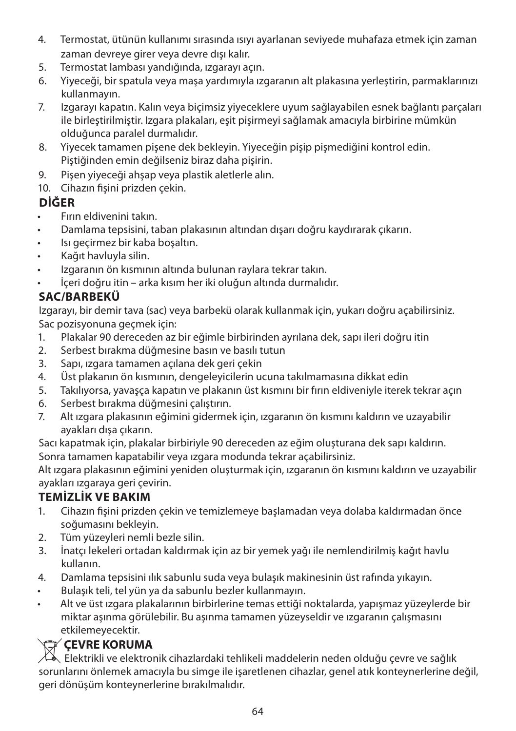- 4. Termostat, ütünün kullanımı sırasında ısıyı ayarlanan seviyede muhafaza etmek için zaman zaman devreye girer veya devre dışı kalır.
- 5. Termostat lambası yandığında, ızgarayı açın.
- 6. Yiyeceği, bir spatula veya maşa yardımıyla ızgaranın alt plakasına yerleştirin, parmaklarınızı kullanmayın.
- 7. Izgarayı kapatın. Kalın veya biçimsiz yiyeceklere uyum sağlayabilen esnek bağlantı parçaları ile birleştirilmiştir. Izgara plakaları, eşit pişirmeyi sağlamak amacıyla birbirine mümkün olduğunca paralel durmalıdır.
- 8. Yiyecek tamamen pişene dek bekleyin. Yiyeceğin pişip pişmediğini kontrol edin. Piştiğinden emin değilseniz biraz daha pişirin.
- 9. Pişen yiyeceği ahşap veya plastik aletlerle alın.
- 10. Cihazın fişini prizden çekin.

## **DİĞER**

- Fırın eldivenini takın.
- Damlama tepsisini, taban plakasının altından dışarı doğru kaydırarak çıkarın.
- Isı geçirmez bir kaba boşaltın.
- Kağıt havluyla silin.
- Izgaranın ön kısmının altında bulunan raylara tekrar takın.
- İçeri doğru itin arka kısım her iki oluğun altında durmalıdır.

# **SAC/BARBEKÜ**

Izgarayı, bir demir tava (sac) veya barbekü olarak kullanmak için, yukarı doğru açabilirsiniz. Sac pozisyonuna geçmek için:

- 1. Plakalar 90 dereceden az bir eğimle birbirinden ayrılana dek, sapı ileri doğru itin
- 2. Serbest bırakma düğmesine basın ve basılı tutun
- 3. Sapı, ızgara tamamen açılana dek geri çekin
- 4. Üst plakanın ön kısmının, dengeleyicilerin ucuna takılmamasına dikkat edin
- 5. Takılıyorsa, yavaşça kapatın ve plakanın üst kısmını bir fırın eldiveniyle iterek tekrar açın
- 6. Serbest bırakma düğmesini çalıştırın.
- 7. Alt ızgara plakasının eğimini gidermek için, ızgaranın ön kısmını kaldırın ve uzayabilir ayakları dışa çıkarın.

Sacı kapatmak için, plakalar birbiriyle 90 dereceden az eğim oluşturana dek sapı kaldırın. Sonra tamamen kapatabilir veya ızgara modunda tekrar açabilirsiniz.

Alt ızgara plakasının eğimini yeniden oluşturmak için, ızgaranın ön kısmını kaldırın ve uzayabilir ayakları ızgaraya geri çevirin.

# **TEMİZLİK VE BAKIM**

- 1. Cihazın fişini prizden çekin ve temizlemeye başlamadan veya dolaba kaldırmadan önce soğumasını bekleyin.
- 2. Tüm yüzeyleri nemli bezle silin.
- 3. İnatçı lekeleri ortadan kaldırmak için az bir yemek yağı ile nemlendirilmiş kağıt havlu kullanın.
- 4. Damlama tepsisini ılık sabunlu suda veya bulaşık makinesinin üst rafında yıkayın.
- Bulaşık teli, tel yün ya da sabunlu bezler kullanmayın.
- Alt ve üst ızgara plakalarının birbirlerine temas ettiği noktalarda, yapışmaz yüzeylerde bir miktar aşınma görülebilir. Bu aşınma tamamen yüzeyseldir ve ızgaranın çalışmasını etkilemeyecektir.

**CEVRE KORUMA**<br>Elektrikli ve elektronik cihazlardaki tehlikeli maddelerin neden olduğu çevre ve sağlık sorunlarını önlemek amacıyla bu simge ile işaretlenen cihazlar, genel atık konteynerlerine değil, geri dönüşüm konteynerlerine bırakılmalıdır.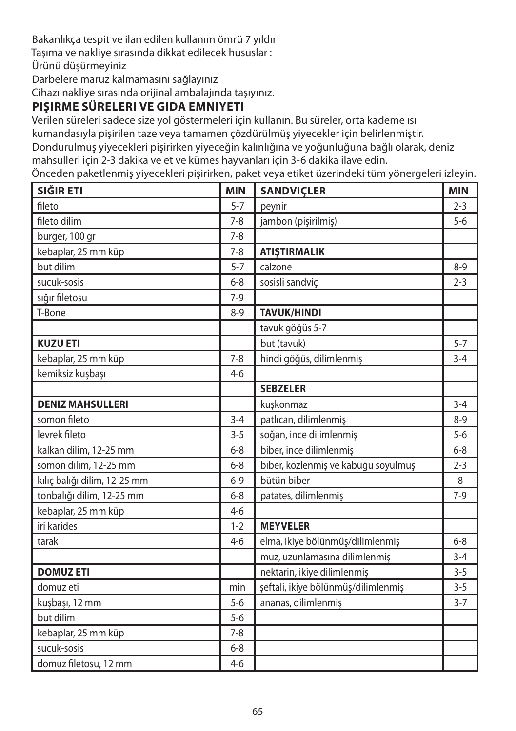Bakanlıkça tespit ve ilan edilen kullanım ömrü 7 yıldır Taşıma ve nakliye sırasında dikkat edilecek hususlar : Ürünü düşürmeyiniz Darbelere maruz kalmamasını sağlayınız

Cihazı nakliye sırasında orijinal ambalajında taşıyınız.

## **PIŞIRME SÜRELERI VE GIDA EMNIYETI**

Verilen süreleri sadece size yol göstermeleri için kullanın. Bu süreler, orta kademe ısı kumandasıyla pişirilen taze veya tamamen çözdürülmüş yiyecekler için belirlenmiştir.

Dondurulmuş yiyecekleri pişirirken yiyeceğin kalınlığına ve yoğunluğuna bağlı olarak, deniz mahsulleri için 2-3 dakika ve et ve kümes hayvanları için 3-6 dakika ilave edin.

Önceden paketlenmiş yiyecekleri pişirirken, paket veya etiket üzerindeki tüm yönergeleri izleyin.

| SIĞIR ETI                    | <b>MIN</b> | <b>SANDVIÇLER</b>                   | <b>MIN</b> |
|------------------------------|------------|-------------------------------------|------------|
| fileto                       | $5 - 7$    | peynir                              | $2 - 3$    |
| fileto dilim                 | $7 - 8$    | jambon (pişirilmiş)                 | $5-6$      |
| burger, 100 gr               | $7 - 8$    |                                     |            |
| kebaplar, 25 mm küp          | $7 - 8$    | <b>ATIŞTIRMALIK</b>                 |            |
| but dilim                    | $5 - 7$    | calzone                             | $8 - 9$    |
| sucuk-sosis                  | $6 - 8$    | sosisli sandvic                     | $2 - 3$    |
| sığır filetosu               | $7-9$      |                                     |            |
| T-Bone                       | $8 - 9$    | <b>TAVUK/HINDI</b>                  |            |
|                              |            | tavuk göğüs 5-7                     |            |
| <b>KUZU ETI</b>              |            | but (tavuk)                         | $5 - 7$    |
| kebaplar, 25 mm küp          | $7 - 8$    | hindi göğüs, dilimlenmiş            | $3 - 4$    |
| kemiksiz kuşbaşı             | $4 - 6$    |                                     |            |
|                              |            | <b>SEBZELER</b>                     |            |
| <b>DENIZ MAHSULLERI</b>      |            | kuşkonmaz                           | $3 - 4$    |
| somon fileto                 | $3 - 4$    | patlıcan, dilimlenmiş               | $8 - 9$    |
| levrek fileto                | $3 - 5$    | soğan, ince dilimlenmiş             | $5 - 6$    |
| kalkan dilim, 12-25 mm       | $6 - 8$    | biber, ince dilimlenmiş             | $6 - 8$    |
| somon dilim, 12-25 mm        | $6 - 8$    | biber, közlenmiş ve kabuğu soyulmuş | $2 - 3$    |
| kılıç balığı dilim, 12-25 mm | $6 - 9$    | bütün biber                         | 8          |
| tonbalığı dilim, 12-25 mm    | $6 - 8$    | patates, dilimlenmiş                | $7-9$      |
| kebaplar, 25 mm küp          | $4-6$      |                                     |            |
| iri karides                  | $1 - 2$    | <b>MEYVELER</b>                     |            |
| tarak                        | $4 - 6$    | elma, ikiye bölünmüş/dilimlenmiş    | $6 - 8$    |
|                              |            | muz, uzunlamasına dilimlenmiş       | $3 - 4$    |
| <b>DOMUZ ETI</b>             |            | nektarin, ikiye dilimlenmiş         | $3 - 5$    |
| domuz eti                    | min        | şeftali, ikiye bölünmüş/dilimlenmiş | $3 - 5$    |
| kuşbaşı, 12 mm               | $5 - 6$    | ananas, dilimlenmiş                 | $3 - 7$    |
| but dilim                    | $5-6$      |                                     |            |
| kebaplar, 25 mm küp          | $7 - 8$    |                                     |            |
| sucuk-sosis                  | $6 - 8$    |                                     |            |
| domuz filetosu, 12 mm        | $4 - 6$    |                                     |            |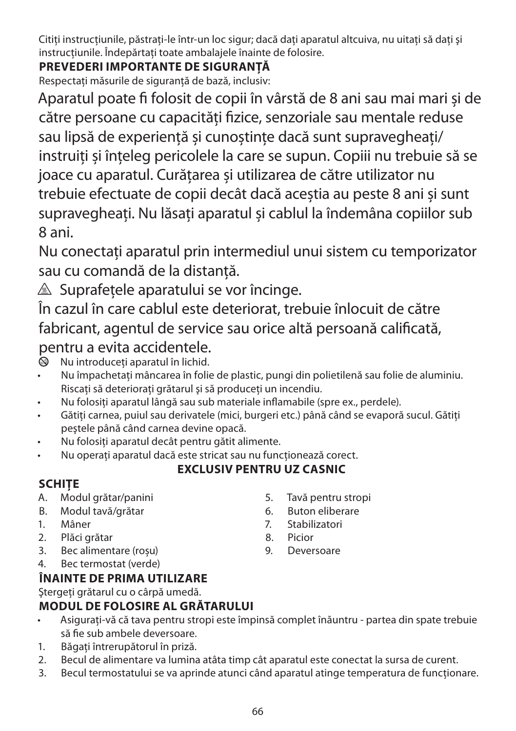Citiți instrucțiunile, păstrați-le într-un loc sigur; dacă dați aparatul altcuiva, nu uitați să dați și instructiunile. Îndepărtați toate ambalajele înainte de folosire.

# **PREVEDERI IMPORTANTE DE SIGURANŢĂ**

Respectați măsurile de siguranță de bază, inclusiv:

Aparatul poate fi folosit de copii în vârstă de 8 ani sau mai mari și de către persoane cu capacități fizice, senzoriale sau mentale reduse sau lipsă de experiență și cunoștințe dacă sunt supravegheați/ instruiți și înțeleg pericolele la care se supun. Copiii nu trebuie să se joace cu aparatul. Curățarea și utilizarea de către utilizator nu trebuie efectuate de copii decât dacă aceștia au peste 8 ani și sunt supravegheați. Nu lăsați aparatul și cablul la îndemâna copiilor sub 8 ani.

Nu conectaţi aparatul prin intermediul unui sistem cu temporizator sau cu comandă de la distanţă.

 $\triangle$  Suprafetele aparatului se vor încinge.

În cazul în care cablul este deteriorat, trebuie înlocuit de către fabricant, agentul de service sau orice altă persoană calificată, pentru a evita accidentele.<br>
introduceti aparatul în lichid.

Nu introduceti aparatul în lichid.

- Nu împachetati mâncarea în folie de plastic, pungi din polietilenă sau folie de aluminiu. Riscaţi să deterioraţi grătarul şi să produceţi un incendiu.
- Nu folositi aparatul lângă sau sub materiale inflamabile (spre ex., perdele).
- Gătiti carnea, puiul sau derivatele (mici, burgeri etc.) până când se evaporă sucul. Gătiti peştele până când carnea devine opacă.
- Nu folositi aparatul decât pentru gătit alimente.
- Nu operati aparatul dacă este stricat sau nu functionează corect.

## **EXCLUSIV PENTRU UZ CASNIC**

# **SCHIŢE**

- A. Modul grătar/panini
- B. Modul tavă/grătar
- 1. Mâner
- 2. Plăci grătar
- 3. Bec alimentare (roșu)
- 4. Bec termostat (verde)

## **ÎNAINTE DE PRIMA UTILIZARE**

Stergeti grătarul cu o cârpă umedă.

## **MODUL DE FOLOSIRE AL GRĂTARULUI**

- Asigurați-vă că tava pentru stropi este împinsă complet înăuntru partea din spate trebuie să fie sub ambele deversoare.
- 1. Băgați întrerupătorul în priză.
- 2. Becul de alimentare va lumina atâta timp cât aparatul este conectat la sursa de curent.
- 3. Becul termostatului se va aprinde atunci când aparatul atinge temperatura de funcționare.
- 5. Tavă pentru stropi
- 6. Buton eliberare
- 7. Stabilizatori
- 8. Picior
- 9. Deversoare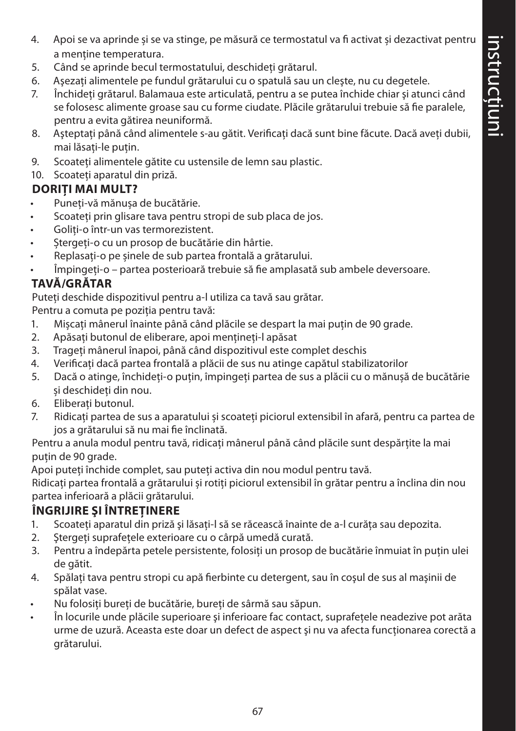- 4. Apoi se va aprinde și se va stinge, pe măsură ce termostatul va fi activat și dezactivat pentru a menține temperatura.
- 5. Când se aprinde becul termostatului, deschideți grătarul.
- 6. Aşezaţi alimentele pe fundul grătarului cu o spatulă sau un cleşte, nu cu degetele.
- 7. Închideti grătarul. Balamaua este articulată, pentru a se putea închide chiar și atunci când se folosesc alimente groase sau cu forme ciudate. Plăcile grătarului trebuie să fie paralele, pentru a evita gătirea neuniformă.
- 8. Asteptați până când alimentele s-au gătit. Verificați dacă sunt bine făcute. Dacă aveți dubii, mai lăsaţi-le puţin.
- 9. Scoateţi alimentele gătite cu ustensile de lemn sau plastic.
- 10. Scoateti aparatul din priză.

#### **DORITI MAI MULT?**

- Puneți-vă mănușa de bucătărie.
- Scoateți prin glisare tava pentru stropi de sub placa de jos.
- Goliți-o într-un vas termorezistent.
- Ștergeți-o cu un prosop de bucătărie din hârtie.
- Replasați-o pe șinele de sub partea frontală a grătarului.
- Împingeți-o partea posterioară trebuie să fie amplasată sub ambele deversoare.

## **TAVĂ/GRĂTAR**

Puteți deschide dispozitivul pentru a-l utiliza ca tavă sau grătar.

Pentru a comuta pe poziția pentru tavă:

- 1. Mișcați mânerul înainte până când plăcile se despart la mai puțin de 90 grade.
- 2. Apăsați butonul de eliberare, apoi mențineți-l apăsat
- 3. Trageți mânerul înapoi, până când dispozitivul este complet deschis
- 4. Verificați dacă partea frontală a plăcii de sus nu atinge capătul stabilizatorilor
- 5. Dacă o atinge, închideți-o puțin, împingeți partea de sus a plăcii cu o mănușă de bucătărie și deschideți din nou.
- 6. Eliberați butonul.
- 7. Ridicați partea de sus a aparatului și scoateți piciorul extensibil în afară, pentru ca partea de jos a grătarului să nu mai fie înclinată.

Pentru a anula modul pentru tavă, ridicați mânerul până când plăcile sunt despărțite la mai puțin de 90 grade.

Apoi puteți închide complet, sau puteți activa din nou modul pentru tavă.

Ridicați partea frontală a grătarului și rotiți piciorul extensibil în grătar pentru a înclina din nou partea inferioară a plăcii grătarului.

## **ÎNGRIJIRE ŞI ÎNTREŢINERE**

- 1. Scoateți aparatul din priză și lăsați-l să se răcească înainte de a-l curăța sau depozita.
- 2. Stergeți suprafețele exterioare cu o cârpă umedă curată.
- 3. Pentru a îndepărta petele persistente, folositi un prosop de bucătărie înmuiat în putin ulei de gătit.
- 4. Spălati tava pentru stropi cu apă fierbinte cu detergent, sau în coșul de sus al mașinii de spălat vase.
- Nu folositi bureti de bucătărie, bureti de sârmă sau săpun.
- În locurile unde plăcile superioare și inferioare fac contact, suprafetele neadezive pot arăta urme de uzură. Aceasta este doar un defect de aspect şi nu va afecta funcţionarea corectă a grătarului.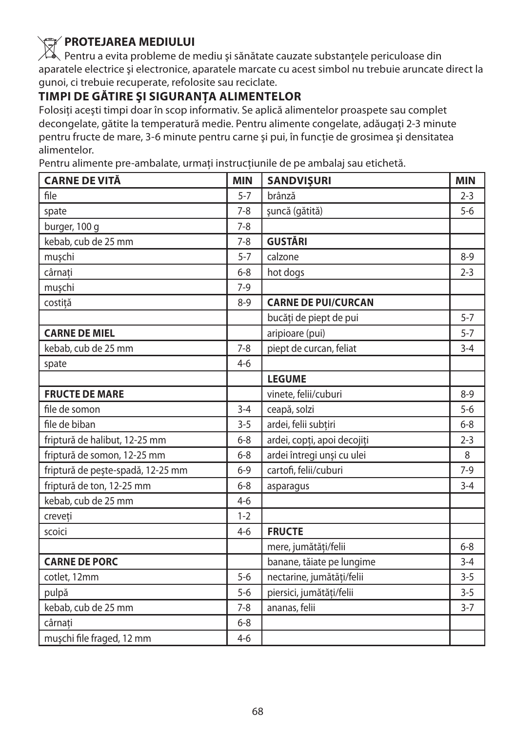**PROTEJAREA MEDIULUI**<br>Pentru a evita probleme de mediu și sănătate cauzate substanțele periculoase din aparatele electrice și electronice, aparatele marcate cu acest simbol nu trebuie aruncate direct la gunoi, ci trebuie recuperate, refolosite sau reciclate.

# **TIMPI DE GĂTIRE ŞI SIGURANŢA ALIMENTELOR**

Folositi acești timpi doar în scop informativ. Se aplică alimentelor proaspete sau complet decongelate, gătite la temperatură medie. Pentru alimente congelate, adăugati 2-3 minute pentru fructe de mare, 3-6 minute pentru carne şi pui, în funcţie de grosimea şi densitatea alimentelor.

Pentru alimente pre-ambalate, urmați instrucțiunile de pe ambalaj sau etichetă.

| <b>CARNE DE VITĂ</b>              | <b>MIN</b> | <b>SANDVIŞURI</b>           | <b>MIN</b> |
|-----------------------------------|------------|-----------------------------|------------|
| file                              | $5 - 7$    | brânză                      | $2 - 3$    |
| spate                             | $7 - 8$    | șuncă (gătită)              | $5-6$      |
| burger, 100 g                     | $7 - 8$    |                             |            |
| kebab, cub de 25 mm               | $7 - 8$    | <b>GUSTĂRI</b>              |            |
| muşchi                            | $5 - 7$    | calzone                     | $8 - 9$    |
| cârnați                           | $6 - 8$    | hot dogs                    | $2 - 3$    |
| muşchi                            | $7-9$      |                             |            |
| costită                           | $8 - 9$    | <b>CARNE DE PUI/CURCAN</b>  |            |
|                                   |            | bucăți de piept de pui      | $5 - 7$    |
| <b>CARNE DE MIEL</b>              |            | aripioare (pui)             | $5 - 7$    |
| kebab, cub de 25 mm               | $7 - 8$    | piept de curcan, feliat     | $3 - 4$    |
| spate                             | $4-6$      |                             |            |
|                                   |            | <b>LEGUME</b>               |            |
| <b>FRUCTE DE MARE</b>             |            | vinete, felii/cuburi        | $8 - 9$    |
| file de somon                     | $3 - 4$    | ceapă, solzi                | $5 - 6$    |
| file de biban                     | $3 - 5$    | ardei, felii subțiri        | $6 - 8$    |
| friptură de halibut, 12-25 mm     | $6 - 8$    | ardei, copți, apoi decojiți | $2 - 3$    |
| friptură de somon, 12-25 mm       | $6 - 8$    | ardei întregi unși cu ulei  | 8          |
| friptură de pește-spadă, 12-25 mm | $6 - 9$    | cartofi, felii/cuburi       | $7-9$      |
| friptură de ton, 12-25 mm         | $6 - 8$    | asparagus                   | $3 - 4$    |
| kebab, cub de 25 mm               | $4-6$      |                             |            |
| creveti                           | $1 - 2$    |                             |            |
| scoici                            | $4 - 6$    | <b>FRUCTE</b>               |            |
|                                   |            | mere, jumătăți/felii        | $6 - 8$    |
| <b>CARNE DE PORC</b>              |            | banane, tăiate pe lungime   | $3 - 4$    |
| cotlet, 12mm                      | $5 - 6$    | nectarine, jumătăți/felii   | $3 - 5$    |
| pulpă                             | $5 - 6$    | piersici, jumătăți/felii    | $3 - 5$    |
| kebab, cub de 25 mm               | $7 - 8$    | ananas, felii               | $3 - 7$    |
| cârnati                           | $6 - 8$    |                             |            |
| mușchi file fraged, 12 mm         | $4-6$      |                             |            |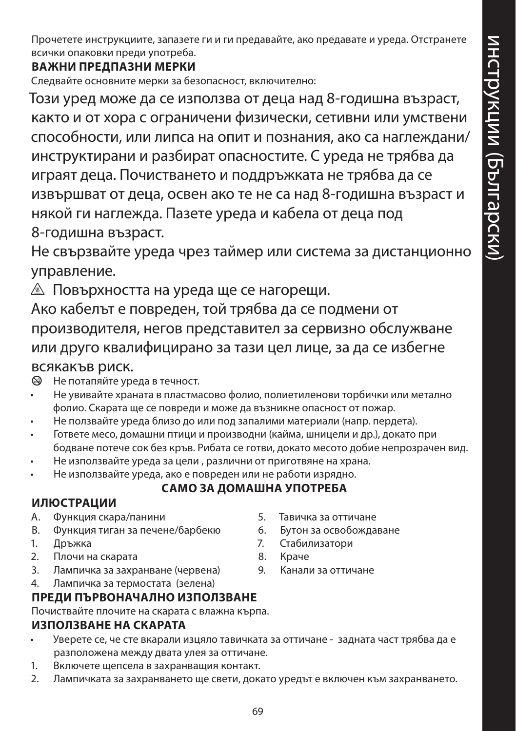Прочетете инструкциите, запазете ги и ги предавайте, ако предавате и уреда. Отстранете всички опаковки преди употреба.

#### **ВАЖНИ ПРЕДПАЗНИ МЕРКИ**

Следвайте основните мерки за безопасност, включително:

Този уред може да се използва от деца над 8-годишна възраст, както и от хора с ограничени физически, сетивни или умствени способности, или липса на опит и познания, ако са наглеждани/ инструктирани и разбират опасностите. С уреда не трябва да играят деца. Почистването и поддръжката не трябва да се извършват от деца, освен ако те не са над 8-годишна възраст и някой ги наглежда. Пазете уреда и кабела от деца под 8-годишна възраст.

Не свързвайте уреда чрез таймер или система за дистанционно управление.

 $\triangle$  Повърхността на уреда ще се нагорещи.

Ако кабелът е повреден, той трябва да се подмени от производителя, негов представител за сервизно обслужване или друго квалифицирано за тази цел лице, за да се избегне всякакъв риск.

 $\circledA$  Не потапяйте уреда в течност.

- Не увивайте храната в пластмасово фолио, полиетиленови торбички или метално фолио. Скарата ще се повреди и може да възникне опасност от пожар.
- Не ползвайте уреда близо до или под запалими материали (напр. пердета).
- Гответе месо, домашни птици и производни (кайма, шницели и др.), докато при бодване потече сок без кръв. Рибата се готви, докато месото добие непрозрачен вид.
- Не използвайте уреда за цели , различни от приготвяне на храна.
- Не използвайте уреда, ако е повреден или не работи изрядно.

# **САМО ЗА ДОМАШНА УПОТРЕБА**

#### **ИЛЮСТРАЦИИ**

- A. Функция скара/панини
- B. Функция тиган за печене/барбекю
- 1. Дръжка
- 2. Плочи на скарата
- 3. Лампичка за захранване (червена)
- 4. Лампичка за термостата (зелена)

#### **ПРЕДИ ПЪРВОНАЧАЛНО ИЗПОЛЗВАНЕ**

Почиствайте плочите на скарата с влажна кърпа.

#### **ИЗПОЛЗВАНЕ НА СКАРАТА**

- Уверете се, че сте вкарали изцяло тавичката за оттичане задната част трябва да е разположена между двата улея за оттичане.
- 1. Включете щепсела в захранващия контакт.
- 2. Лампичката за захранването ще свети, докато уредът е включен към захранването.
- 5. Тавичка за оттичане
- 6. Бутон за освобождаване
- 7. Стабилизатори
- 8. Краче
- 9. Канали за оттичане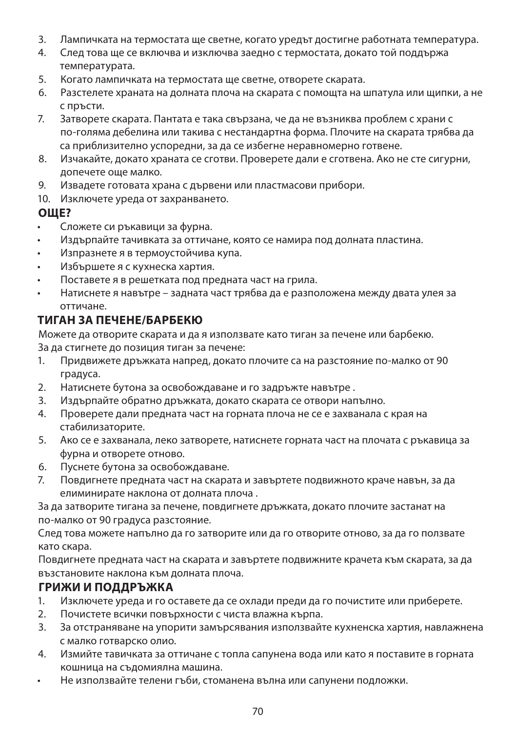- 3. Лампичката на термостата ще светне, когато уредът достигне работната температура.
- 4. След това ще се включва и изключва заедно с термостата, докато той поддържа температурата.
- 5. Когато лампичката на термостата ще светне, отворете скарата.
- 6. Разстелете храната на долната плоча на скарата с помощта на шпатула или щипки, а не с пръсти.
- 7. Затворете скарата. Пантата е така свързана, че да не възниква проблем с храни с по-голяма дебелина или такива с нестандартна форма. Плочите на скарата трябва да са приблизително успоредни, за да се избегне неравномерно готвене.
- 8. Изчакайте, докато храната се сготви. Проверете дали е сготвена. Ако не сте сигурни, допечете още малко.
- 9. Извадете готовата храна с дървени или пластмасови прибори.
- 10. Изключете уреда от захранването.

#### **ОЩЕ?**

- Сложете си ръкавици за фурна.
- Издърпайте тачивката за оттичане, която се намира под долната пластина.
- Изпразнете я в термоустойчива купа.
- Избършете я с кухнеска хартия.
- Поставете я в решетката под предната част на грила.
- Натиснете я навътре задната част трябва да е разположена между двата улея за оттичане.

#### **ТИГАН ЗА ПЕЧЕНЕ/БАРБЕКЮ**

Можете да отворите скарата и да я използвате като тиган за печене или барбекю. За да стигнете до позиция тиган за печене:

- 1. Придвижете дръжката напред, докато плочите са на разстояние по-малко от 90 градуса.
- 2. Натиснете бутона за освобождаване и го задръжте навътре .
- 3. Издърпайте обратно дръжката, докато скарата се отвори напълно.
- 4. Проверете дали предната част на горната плоча не се е захванала с края на стабилизаторите.
- 5. Ако се е захванала, леко затворете, натиснете горната част на плочата с ръкавица за фурна и отворете отново.
- 6. Пуснете бутона за освобождаване.
- 7. Повдигнете предната част на скарата и завъртете подвижното краче навън, за да елиминирате наклона от долната плоча .

За да затворите тигана за печене, повдигнете дръжката, докато плочите застанат на по-малко от 90 градуса разстояние.

След това можете напълно да го затворите или да го отворите отново, за да го ползвате като скара.

Повдигнете предната част на скарата и завъртете подвижните крачета към скарата, за да възстановите наклона към долната плоча.

#### **ГРИЖИ И ПОДДРЪЖКА**

- 1. Изключете уреда и го оставете да се охлади преди да го почистите или приберете.
- 2. Почистете всички повърхности с чиста влажна кърпа.
- 3. За отстраняване на упорити замърсявания използвайте кухненска хартия, навлажнена с малко готварско олио.
- 4. Измийте тавичката за оттичане с топла сапунена вода или като я поставите в горната кошница на съдомиялна машина.
- Не използвайте телени гъби, стоманена вълна или сапунени подложки.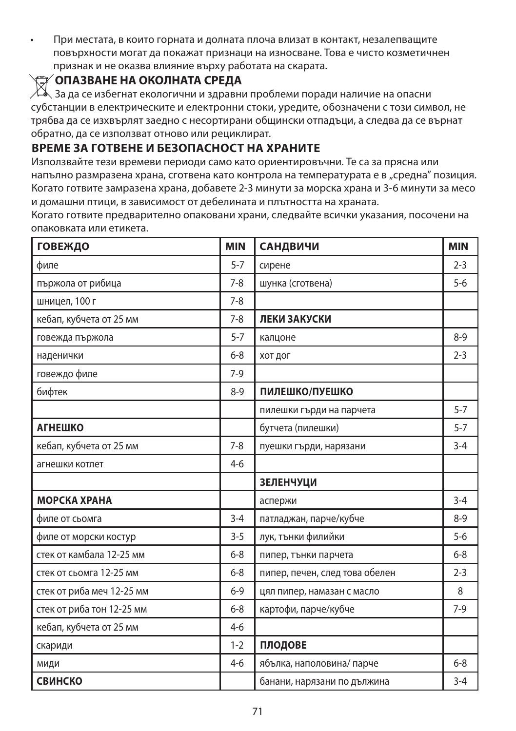• При местата, в които горната и долната плоча влизат в контакт, незалепващите повърхности могат да покажат признаци на износване. Това е чисто козметичнен признак и не оказва влияние върху работата на скарата.

W**ОПАЗВАНЕ НА ОКОЛНАТА СРЕДА** За да се избегнат екологични и здравни проблеми поради наличие на опасни субстанции в електрическите и електронни стоки, уредите, обозначени с този символ, не трябва да се изхвърлят заедно с несортирани общински отпадъци, а следва да се върнат обратно, да се използват отново или рециклират.

#### **ВРЕМЕ ЗА ГОТВЕНЕ И БЕЗОПАСНОСТ НА ХРАНИТЕ**

Използвайте тези времеви периоди само като ориентировъчни. Те са за прясна или напълно размразена храна, сготвена като контрола на температурата е в "средна" позиция. Когато готвите замразена храна, добавете 2-3 минути за морска храна и 3-6 минути за месо и домашни птици, в зависимост от дебелината и плътността на храната.

Когато готвите предварително опаковани храни, следвайте всички указания, посочени на опаковката или етикета.

| <b>ГОВЕЖДО</b>            | <b>MIN</b> | САНДВИЧИ                       | <b>MIN</b> |
|---------------------------|------------|--------------------------------|------------|
| филе                      | $5 - 7$    | сирене                         | $2 - 3$    |
| пържола от рибица         | $7 - 8$    | шунка (сготвена)               | $5-6$      |
| шницел, 100 г             | $7 - 8$    |                                |            |
| кебап, кубчета от 25 мм   | $7 - 8$    | ЛЕКИ ЗАКУСКИ                   |            |
| говежда пържола           | $5 - 7$    | калцоне                        | $8-9$      |
| наденички                 | $6 - 8$    | хот дог                        | $2 - 3$    |
| говеждо филе              | $7-9$      |                                |            |
| бифтек                    | $8 - 9$    | ПИЛЕШКО/ПУЕШКО                 |            |
|                           |            | пилешки гърди на парчета       | $5 - 7$    |
| <b>АГНЕШКО</b>            |            | бутчета (пилешки)              | $5 - 7$    |
| кебап, кубчета от 25 мм   | $7 - 8$    | пуешки гърди, нарязани         | $3 - 4$    |
| агнешки котлет            | $4 - 6$    |                                |            |
|                           |            | <b>ЗЕЛЕНЧУЦИ</b>               |            |
| <b>МОРСКА ХРАНА</b>       |            | аспержи                        | $3 - 4$    |
| филе от сьомга            | $3 - 4$    | патладжан, парче/кубче         | $8-9$      |
| филе от морски костур     | $3 - 5$    | лук, тънки филийки             | $5 - 6$    |
| стек от камбала 12-25 мм  | $6 - 8$    | пипер, тънки парчета           | $6 - 8$    |
| стек от сьомга 12-25 мм   | $6 - 8$    | пипер, печен, след това обелен | $2 - 3$    |
| стек от риба меч 12-25 мм | $6 - 9$    | цял пипер, намазан с масло     | 8          |
| стек от риба тон 12-25 мм | $6 - 8$    | картофи, парче/кубче           | $7-9$      |
| кебап, кубчета от 25 мм   | $4-6$      |                                |            |
| скариди                   | $1 - 2$    | ПЛОДОВЕ                        |            |
| МИДИ                      | $4-6$      | ябълка, наполовина/парче       | $6 - 8$    |
| <b>СВИНСКО</b>            |            | банани, нарязани по дължина    | $3 - 4$    |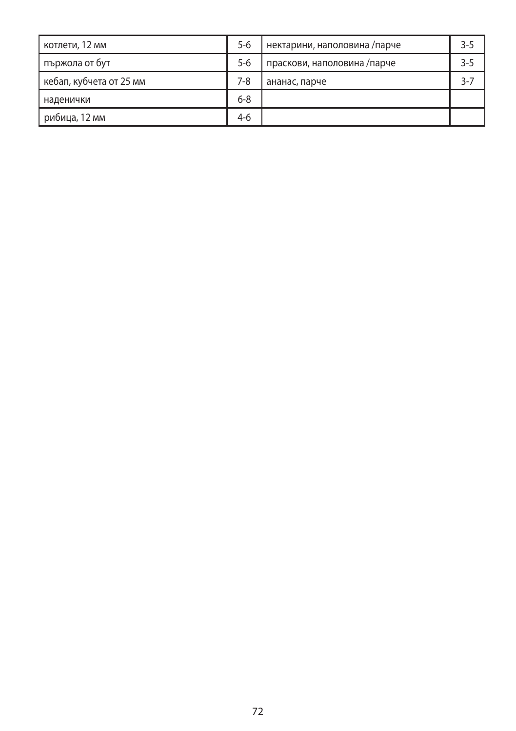| котлети, 12 мм          | $5 - 6$ | нектарини, наполовина /парче | $3 - 5$ |
|-------------------------|---------|------------------------------|---------|
| пържола от бут          | $5 - 6$ | праскови, наполовина /парче  | $3 - 5$ |
| кебап, кубчета от 25 мм | 7-8     | ананас, парче                | $3-7$   |
| наденички               | $6 - 8$ |                              |         |
| рибица, 12 мм           | $4-6$   |                              |         |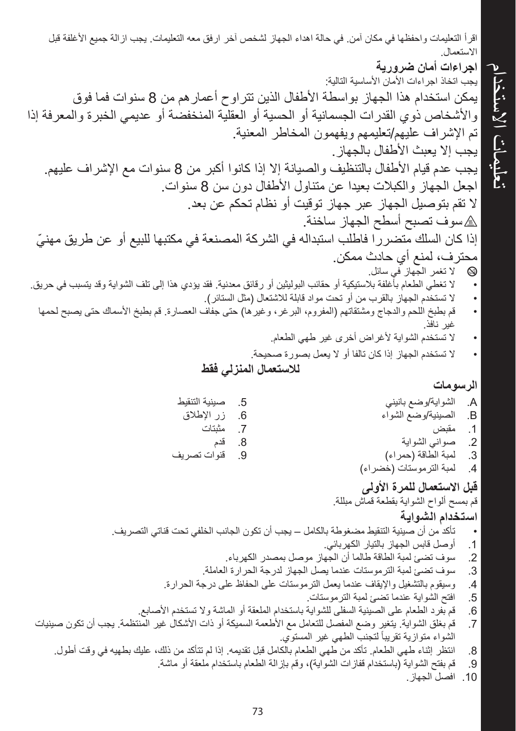اقرأ التعليمات واحفظها في مكان آمن. في حالة اهداء الجهاز لشخص آخر ارفق معه التعليمات. يجب ازالة جميع الأغلفة قبل االستعمال. **اجراءات أمان ضرورية**

يجب اتخاذ اجراءات األمان األساسية التالية: يمكن استخدام هذا الجهاز بواسطة األطفال الذين تتراوح أعمارهم من 8 سنوات فما فوق واألشخاص ذوي القدرات الجسمانية أو الحسية أو العقلية المنخفضة أو عديمي الخبرة والمعرفة إذا تم اإلشراف عليهم/تعليمهم ويفهمون المخاطر المعنية. يجب إال يعبث األطفال بالجهاز. يجب عدم قيام األطفال بالتنظيف والصيانة إال إذا كانوا أكبر من 8 سنوات مع اإلشراف عليهم. اجعل الجهاز والكبالت بعيدا عن متناول األطفال دون سن 8 سنوات. ال تقم بتوصيل الجهاز عبر جهاز توقيت أو نظام تحكم عن بعد. h سوف تصبح أسطح الجهاز ساخنة. ّ إذا كان السلك متضررا فاطلب استبداله في الشركة المصنعة في مكتبها للبيع أو عن طريق مهني محترف، لمنع أي حادث ممكن. b ال تغمر الجهاز في سائل. ال تغطي الطعام بأغلفة بالستيكية أو حقائب البوليثين أو رقائق معدنية. فقد يؤدي هذا إلى تلف الشواية وقد يتسبب في حريق. ال تستخدم الجهاز بالقرب من أو تحت مواد قابلة لالشتعال )مثل الستائر(. قم بطبخ اللحم والدجاج ومشتقاتهم )المفروم، البرغر، وغيرها( حتى جفاف العصارة. قم بطبخ األسماك حتى يصبح لحمها غير نافذ. ال تستخدم الشواية ألغراض أخرى غير طهي الطعام. ال تستخدم الجهاز إذا كان تالفا أو ال يعمل بصورة صحيحة.

**لالستعمال المنزلي فقط**

## **الرسومات**

تعليمات االستخدام

تعليمات الاستخدام

A. الشواية/وضع بانيني<br>B. الصينية/وضع الشواء B. الصينية/وضع الشواء <mark>1</mark>. مقبض<br>2. صوانی .2 صواني الشواية 3. لمبة الطاقة (حمراء)<br>4. لمبة الترموستات (خط .4 لمبة الترموستات )خضراء( 5. صينية التنقيط<br>6. زر الإطلاق 6. زر الإطلاق<br>7. مثبتات 7. مثبتات<br>8. قدم 8. قدم<br>9. قنوا .9 قنوات تصريف

**قبل االستعمال للمرة األولى**  قم بمسح ألواح الشواية بقطعة قماش مبللة. **استخدام الشواية** تأكد من أن صينية التنقيط مضغوطة بالكامل – يجب أن تكون الجانب الخلفي تحت قناتي التصريف. .1 أوصل قابس الجهاز بالتيار الكهربائي. .2 سوف تضئ لمبة الطاقة طالما أن الجهاز موصل بمصدر الكهرباء. .3 سوف تضئ لمبة الترموستات عندما يصل الجهاز لدرجة الحرارة العاملة. .4 وسيقوم بالتشغيل واإليقاف عندما يعمل الترموستات على الحفاظ على درجة الحرارة. .5 افتح الشواية عندما تضئ لمبة الترموستات. .6 قم بفرد الطعام على الصينية السفلى للشواية باستخدام الملعقة أو الماشة وال تستخدم األصابع. .7 قم بغلق الشواية. يتغير وضع المفصل للتعامل مع األطعمة السميكة أو ذات األشكال غير المنتظمة. يجب أن تكون صينيات ً لتجنب الطهي غير المستوي. الشواء متوازية تقريبا .8 انتظر إثناء طهي الطعام. تأكد من طهي الطعام بالكامل قبل تقديمه. إذا لم تتأكد من ذلك، عليك بطهيه في وقت أطول. .9 قم بفتح الشواية )باستخدام قفازات الشواية(، وقم بإزالة الطعام باستخدام ملعقة أو ماشة.

.<br>10. افصل الجهاز.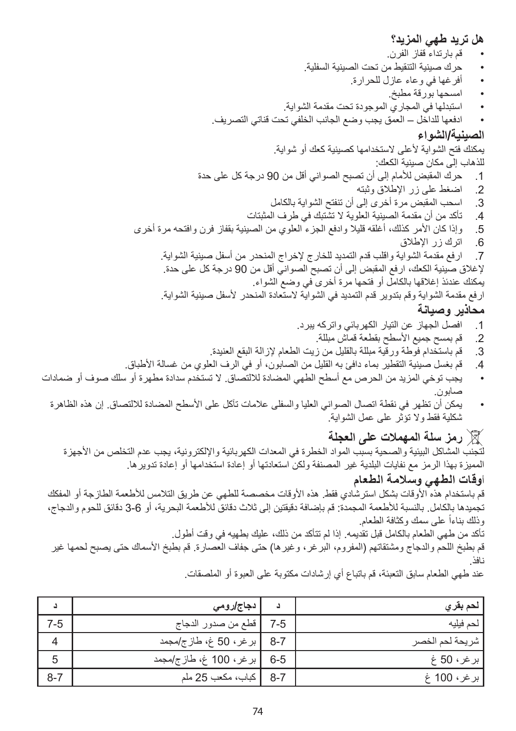## **هل تريد طهي المزيد؟**

- قم بارتداء قفاز الفرن.
- حرك صينية التنقيط من تحت الصينية السفلية.
	- أفرغها في وعاء عازل للحرارة.
		- امسحها بورقة مطبخ.
- استبدلها في المجاري الموجودة تحت مقدمة الشواية.

 ادفعها للداخل – العمق يجب وضع الجانب الخلفي تحت قناتي التصريف.

## **الصينية/الشواء**

يمكنك فتح الشواية لأعلى لاستخدامها كصينية كعك أو شواية. للذهاب إلى مكان صينية الكعك:

- .1 حرك المقبض لألمام إلى أن تصبح الصواني أقل من 90 درجة كل على حدة
	- .2 اضغط على زر اإلطالق وثبته
	- .3 اسحب المقبض مرة أخرى إلى أن تنفتح الشواية بالكامل
	- .4 تأكد من أن مقدمة الصينية العلوية ال تشتبك في طرف المثبتات
- 5. وإذا كان الأمر كذلك، أغلقه قليلا وادفع الجزء العلوي من الصينية بقفاز فرن وافتحه مرة أخرى
	- .6 اترك زر اإلطالق

.7 ارفع مقدمة الشواية واقلب قدم التمديد للخارج إلخراج المنحدر من أسفل صينية الشواية. إلغالق صينية الكعك، ارفع المقبض إلى أن تصبح الصواني أقل من 90 درجة كل على حدة. يمكنك عندئذ إغالقها بالكامل أو فتحها مرة أخرى في وضع الشواء. ار فع مقدمة الشواية و قم بتدوير قدم التمديد في الشو اية لاستعادة المنحدر لأسفل صينية الشو اية.

# **محاذير وصيانة**

- .1 افصل الجهاز عن التيار الكهربائي واتركه يبرد.
	- 2. قم بمسح جميع الأسطح بقطعة قماش مبللة.
- .3 قم باستخدام فوطة ورقية مبللة بالقليل من زيت الطعام إلزالة البقع العنيدة.
- 4. قم بغسل صينية التقطير بماء دافئ به القليل من الصابون، أو في الرف العلوي من غسالة الأطباق.
- يجب توخي المزيد من الحرص مع أسطح الطهي المضادة لاللتصاق. ال تستخدم سدادة مطهرة أو سلك صوف أو ضمادات صابون.
	- يمكن أن تظهر في نقطة اتصال الصواني العليا والسفلى عالمات تآكل على األسطح المضادة لاللتصاق. إن هذه الظاهرة شكلية فقط وال تؤثر على عمل الشواية.

لتجنب المشاكل البيئية والصحية بسبب المواد الخطرة في المعدات الكهربائية واإللكترونية، يجب عدم التخلص من األجهزة X **رمز سلة المهمالت على العجلة** المميزة بهذا الرمز مع نفايات البلدية غير المصنفة ولكن استعادتها أو إعادة استخدامها أو إعادة تدويرها.

# أ**وقات الطهي وسالمة الطعام**

نافذ.

قم باستخدام هذه األوقات بشكل استرشادي فقط. هذه األوقات مخصصة للطهي عن طريق التالمس لألطعمة الطازجة أو المفكك تجميدها بالكامل. بالنسبة لألطعمة المجمدة: قم بإضافة دقيقتين إلى ثالث دقائق لألطعمة البحرية، أو 3-6 دقائق للحوم والدجاج، ً على سمك وكثافة الطعام. وذلك بناءا

تأكد من طهي الطعام بالكامل قبل تقديمه. إذا لم تتأكد من ذلك، عليك بطهيه في وقت أطول. قم بطبخ اللحم والدجاج ومشتقاتهم (المفروم، البرغر ، وغيرها) حتى جفاف العصارة. قم بطبخ الأسماك حتى يصبح لحمها غير

| لحم بقر ي       | د       | دجا <i>ج ار</i> وم <i>ي</i> |         |
|-----------------|---------|-----------------------------|---------|
| لحم فيليه       | $7-5$   | قطع من صدور الدجاج          | $7 - 5$ |
| شريحة لحم الخصر | $8 - 7$ | بر غر ، 50 غ، طاز ج/مجمد    | 4       |
| برغر، 50 غ      | $6 - 5$ | بر غر ، 100 غ، طاز ج/مجمد   | 5       |
| برغر، 100 غ     | $8 - 7$ | كباب، مكعب 25 ملم           | $8 - 7$ |

عند طهي الطعام سابق التعبئة، قم باتباع أي إرشادات مكتوبة على العبوة أو الملصقات.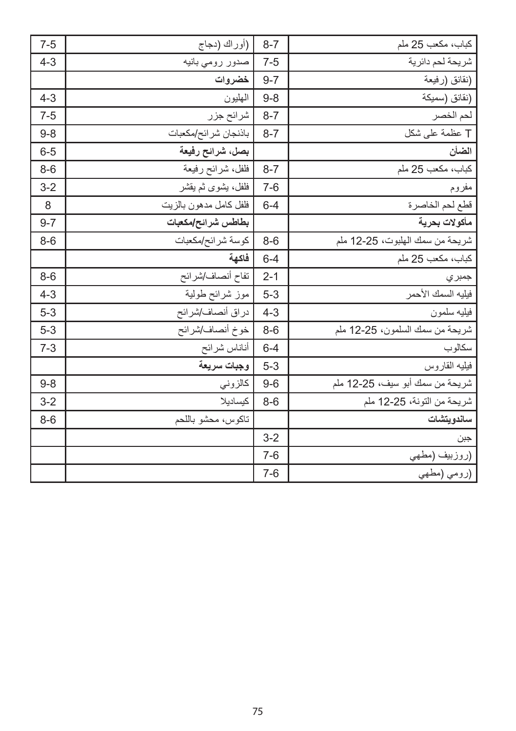| $7 - 5$ | (أوراك (دجاج           | $8 - 7$ | كباب، مكعب 25 ملم               |
|---------|------------------------|---------|---------------------------------|
| $4 - 3$ | صدور رومي بانيه        | $7 - 5$ | شريحة لحم دائرية                |
|         | خضروات                 | $9 - 7$ | (نقانق (رفيعة                   |
| $4 - 3$ | الهليون                | $9 - 8$ | (نقانق (سميكة                   |
| $7-5$   | شرائح جزر              | $8 - 7$ | لحم الخصر                       |
| $9 - 8$ | باذنجان شر ائح/مكعبات  | $8 - 7$ | T عظمة على شكل                  |
| $6 - 5$ | بصل، شرائح رفيعة       |         | الضأن                           |
| $8-6$   | فلفل، شرائح رفيعة      | $8 - 7$ | كباب، مكعب 25 ملم               |
| $3 - 2$ | فلفل، يشوى ثم يقشر     | $7 - 6$ | مفروم                           |
| 8       | فلفل كامل مدهون بالزيت | $6 - 4$ | قطع لحم الخاصرة                 |
| $9 - 7$ | بطاطس شرائح/مكعبات     |         | مأكولات بحرية                   |
| $8-6$   | كوسة شرائح/مكعبات      | $8-6$   | شريحة من سمك الملبوت، 25-12 ملم |
|         | فاكهة                  | $6 - 4$ | كباب، مكعب 25 ملم               |
| $8-6$   | تفاح أنصاف/شرائح       | $2 - 1$ | جمبر ي                          |
| $4 - 3$ | موز شرائح طولية        | $5 - 3$ | فيليه السمك الأحمر              |
| $5 - 3$ | دراق أنصاف/شرائح       | $4 - 3$ | فيليه سلمون                     |
| $5 - 3$ | خوخ أنصاف/شرائح        | $8-6$   | شريحة من سمك السلمون، 25-12 ملم |
| $7-3$   | أناناس شرائح           | $6 - 4$ | سكالوب                          |
|         | وجبات سريعة            | $5 - 3$ | فيليه القاروس                   |
| $9 - 8$ | كالزوني                | $9-6$   | شريحة من سمك أبو سيف، 25-12 ملم |
| $3 - 2$ | كيساديلا               | $8-6$   | شريحة من التونة، 25-12 ملم      |
| $8-6$   | تاكوس، محشو باللحم     |         | ساندويتشات                      |
|         |                        | $3 - 2$ | جبن                             |
|         |                        | $7 - 6$ | (روزبيف (مطهى                   |
|         |                        | $7-6$   | (رومي (مطهي                     |